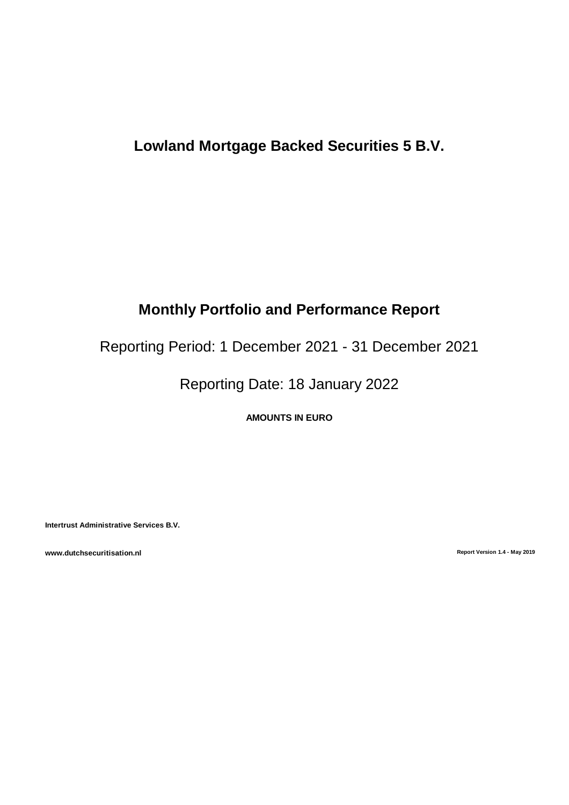# **Lowland Mortgage Backed Securities 5 B.V.**

# **Monthly Portfolio and Performance Report**

Reporting Period: 1 December 2021 - 31 December 2021

Reporting Date: 18 January 2022

**AMOUNTS IN EURO**

**Intertrust Administrative Services B.V.**

**www.dutchsecuritisation.nl Report Version 1.4 - May 2019**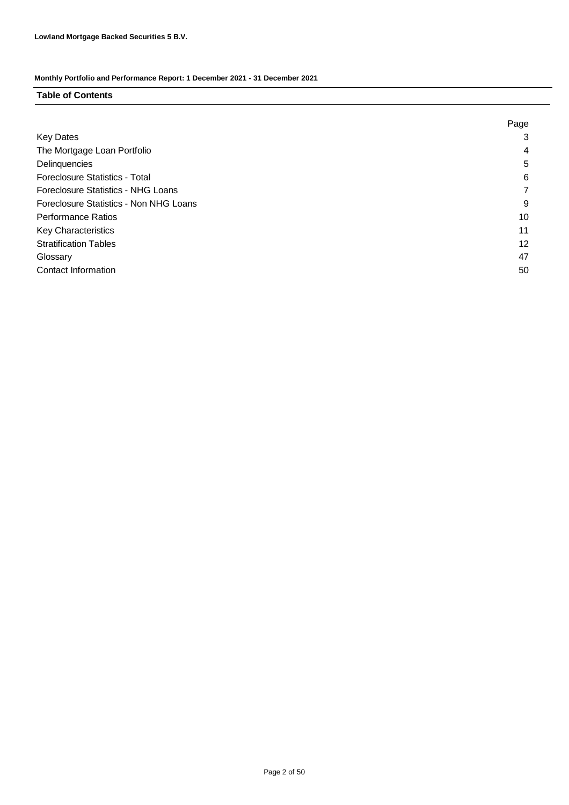#### **Table of Contents**

|                                        | Page |
|----------------------------------------|------|
| <b>Key Dates</b>                       | 3    |
| The Mortgage Loan Portfolio            | 4    |
| Delinquencies                          | 5    |
| Foreclosure Statistics - Total         | 6    |
| Foreclosure Statistics - NHG Loans     |      |
| Foreclosure Statistics - Non NHG Loans | 9    |
| <b>Performance Ratios</b>              | 10   |
| <b>Key Characteristics</b>             | 11   |
| <b>Stratification Tables</b>           | 12   |
| Glossary                               | 47   |
| Contact Information                    | 50   |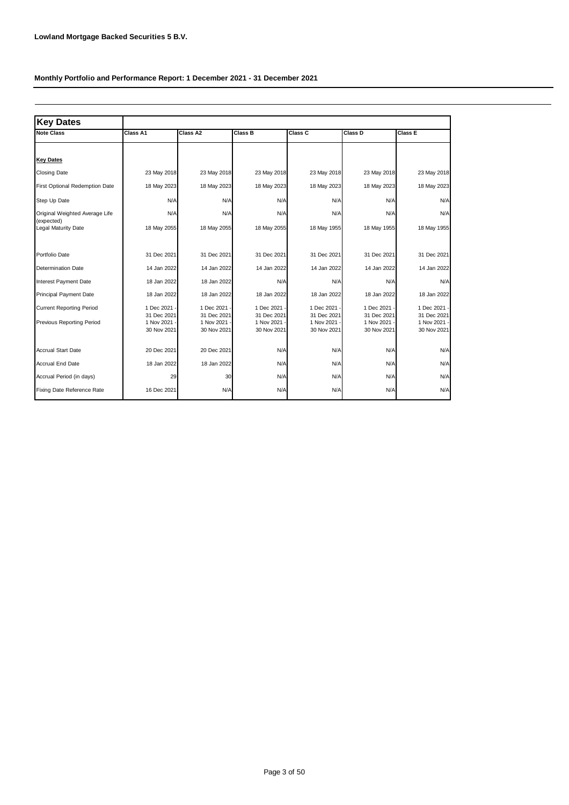| <b>Key Dates</b>                                                    |                                         |                                         |                                             |                                         |                                             |                                             |
|---------------------------------------------------------------------|-----------------------------------------|-----------------------------------------|---------------------------------------------|-----------------------------------------|---------------------------------------------|---------------------------------------------|
| <b>Note Class</b>                                                   | Class A1                                | Class A2                                | <b>Class B</b>                              | Class C                                 | Class D                                     | Class E                                     |
|                                                                     |                                         |                                         |                                             |                                         |                                             |                                             |
| <b>Key Dates</b>                                                    |                                         |                                         |                                             |                                         |                                             |                                             |
| <b>Closing Date</b>                                                 | 23 May 2018                             | 23 May 2018                             | 23 May 2018                                 | 23 May 2018                             | 23 May 2018                                 | 23 May 2018                                 |
| <b>First Optional Redemption Date</b>                               | 18 May 2023                             | 18 May 2023                             | 18 May 2023                                 | 18 May 2023                             | 18 May 2023                                 | 18 May 2023                                 |
| Step Up Date                                                        | N/A                                     | N/A                                     | N/A                                         | N/A                                     | N/A                                         | N/A                                         |
| Original Weighted Average Life<br>(expected)                        | N/A                                     | N/A                                     | N/A                                         | N/A                                     | N/A                                         | N/A                                         |
| <b>Legal Maturity Date</b>                                          | 18 May 2055                             | 18 May 2055                             | 18 May 2055                                 | 18 May 1955                             | 18 May 1955                                 | 18 May 1955                                 |
| Portfolio Date                                                      | 31 Dec 2021                             | 31 Dec 2021                             | 31 Dec 2021                                 | 31 Dec 2021                             | 31 Dec 2021                                 | 31 Dec 2021                                 |
| <b>Determination Date</b>                                           | 14 Jan 2022                             | 14 Jan 2022                             | 14 Jan 2022                                 | 14 Jan 2022                             | 14 Jan 2022                                 | 14 Jan 2022                                 |
| <b>Interest Payment Date</b>                                        | 18 Jan 2022                             | 18 Jan 2022                             | N/A                                         | N/A                                     | N/A                                         | N/A                                         |
| Principal Payment Date                                              | 18 Jan 2022                             | 18 Jan 2022                             | 18 Jan 2022                                 | 18 Jan 2022                             | 18 Jan 2022                                 | 18 Jan 2022                                 |
| <b>Current Reporting Period</b><br><b>Previous Reporting Period</b> | 1 Dec 2021<br>31 Dec 2021<br>1 Nov 2021 | 1 Dec 2021<br>31 Dec 2021<br>1 Nov 2021 | 1 Dec 2021 -<br>31 Dec 2021<br>1 Nov 2021 - | 1 Dec 2021<br>31 Dec 2021<br>1 Nov 2021 | 1 Dec 2021 -<br>31 Dec 2021<br>1 Nov 2021 - | 1 Dec 2021 -<br>31 Dec 2021<br>1 Nov 2021 - |
|                                                                     | 30 Nov 2021                             | 30 Nov 2021                             | 30 Nov 2021                                 | 30 Nov 2021                             | 30 Nov 2021                                 | 30 Nov 2021                                 |
| <b>Accrual Start Date</b>                                           | 20 Dec 2021                             | 20 Dec 2021                             | N/A                                         | N/A                                     | N/A                                         | N/A                                         |
| <b>Accrual End Date</b>                                             | 18 Jan 2022                             | 18 Jan 2022                             | N/A                                         | N/A                                     | N/A                                         | N/A                                         |
| Accrual Period (in days)                                            | 29                                      | 30                                      | N/A                                         | N/A                                     | N/A                                         | N/A                                         |
| Fixing Date Reference Rate                                          | 16 Dec 2021                             | N/A                                     | N/A                                         | N/A                                     | N/A                                         | N/A                                         |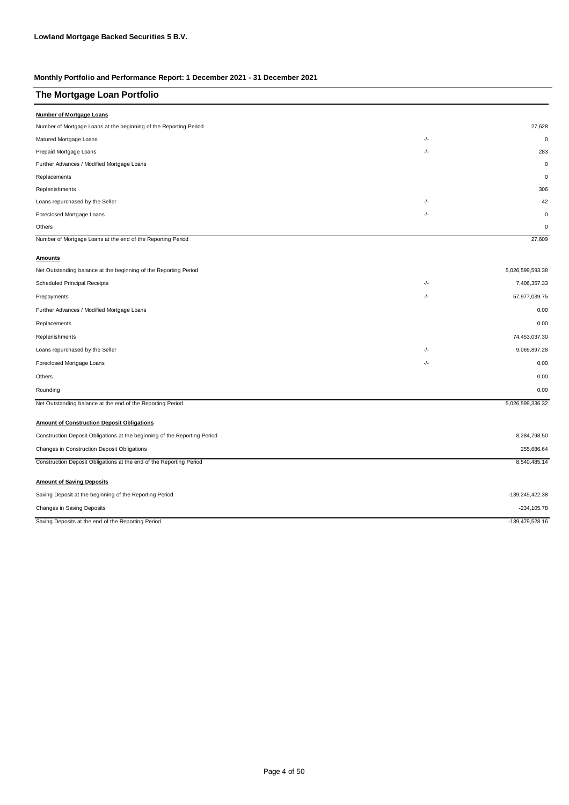| The Mortgage Loan Portfolio                                               |       |                  |
|---------------------------------------------------------------------------|-------|------------------|
| <b>Number of Mortgage Loans</b>                                           |       |                  |
| Number of Mortgage Loans at the beginning of the Reporting Period         |       | 27,628           |
| Matured Mortgage Loans                                                    | -/-   | $\mathbf 0$      |
| Prepaid Mortgage Loans                                                    | -/-   | 283              |
| Further Advances / Modified Mortgage Loans                                |       | $\mathbf 0$      |
| Replacements                                                              |       | $\mathbf 0$      |
| Replenishments                                                            |       | 306              |
| Loans repurchased by the Seller                                           | $-/-$ | 42               |
| Foreclosed Mortgage Loans                                                 | -/-   | $\pmb{0}$        |
| Others                                                                    |       | 0                |
| Number of Mortgage Loans at the end of the Reporting Period               |       | 27,609           |
| <b>Amounts</b>                                                            |       |                  |
| Net Outstanding balance at the beginning of the Reporting Period          |       | 5,026,599,593.38 |
| <b>Scheduled Principal Receipts</b>                                       | -/-   | 7,406,357.33     |
| Prepayments                                                               | -/-   | 57,977,039.75    |
| Further Advances / Modified Mortgage Loans                                |       | 0.00             |
| Replacements                                                              |       | 0.00             |
| Replenishments                                                            |       | 74,453,037.30    |
| Loans repurchased by the Seller                                           | -/-   | 9,069,897.28     |
| Foreclosed Mortgage Loans                                                 | $-/-$ | 0.00             |
| Others                                                                    |       | 0.00             |
| Rounding                                                                  |       | 0.00             |
| Net Outstanding balance at the end of the Reporting Period                |       | 5,026,599,336.32 |
| <b>Amount of Construction Deposit Obligations</b>                         |       |                  |
| Construction Deposit Obligations at the beginning of the Reporting Period |       | 8,284,798.50     |
| Changes in Construction Deposit Obligations                               |       | 255,686.64       |
| Construction Deposit Obligations at the end of the Reporting Period       |       | 8,540,485.14     |
| <b>Amount of Saving Deposits</b>                                          |       |                  |
| Saving Deposit at the beginning of the Reporting Period                   |       | -139,245,422.38  |
| Changes in Saving Deposits                                                |       | $-234, 105.78$   |
| Saving Deposits at the end of the Reporting Period                        |       | -139,479,528.16  |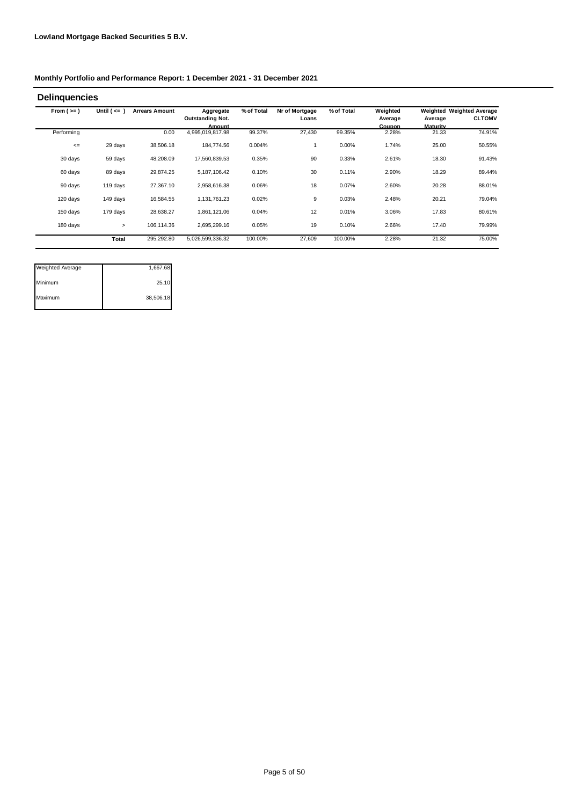| From $(>=)$ | Until $($ <= $)$ | <b>Arrears Amount</b> | Aggregate               | % of Total | Nr of Mortgage | % of Total | Weighted      |          | <b>Weighted Weighted Average</b> |
|-------------|------------------|-----------------------|-------------------------|------------|----------------|------------|---------------|----------|----------------------------------|
|             |                  |                       | <b>Outstanding Not.</b> |            | Loans          |            | Average       | Average  | <b>CLTOMV</b>                    |
|             |                  |                       | Amount                  |            |                |            | <b>Coupon</b> | Maturity |                                  |
| Performing  |                  | 0.00                  | 4,995,019,817.98        | 99.37%     | 27,430         | 99.35%     | 2.28%         | 21.33    | 74.91%                           |
| $\leq$      | 29 days          | 38,506.18             | 184,774.56              | 0.004%     |                | 0.00%      | 1.74%         | 25.00    | 50.55%                           |
| 30 days     | 59 days          | 48,208.09             | 17,560,839.53           | 0.35%      | 90             | 0.33%      | 2.61%         | 18.30    | 91.43%                           |
| 60 days     | 89 days          | 29,874.25             | 5,187,106.42            | 0.10%      | 30             | 0.11%      | 2.90%         | 18.29    | 89.44%                           |
| 90 days     | 119 days         | 27,367.10             | 2,958,616.38            | 0.06%      | 18             | 0.07%      | 2.60%         | 20.28    | 88.01%                           |
| 120 days    | 149 days         | 16,584.55             | 1,131,761.23            | 0.02%      | 9              | 0.03%      | 2.48%         | 20.21    | 79.04%                           |
| 150 days    | 179 days         | 28,638.27             | 1,861,121.06            | 0.04%      | 12             | 0.01%      | 3.06%         | 17.83    | 80.61%                           |
| 180 days    | $\,>\,$          | 106,114.36            | 2,695,299.16            | 0.05%      | 19             | 0.10%      | 2.66%         | 17.40    | 79.99%                           |
|             | Total            | 295,292.80            | 5,026,599,336.32        | 100.00%    | 27,609         | 100.00%    | 2.28%         | 21.32    | 75.00%                           |

| <b>Weighted Average</b> | 1,667.68  |
|-------------------------|-----------|
| Minimum                 | 25.10     |
| Maximum                 | 38,506.18 |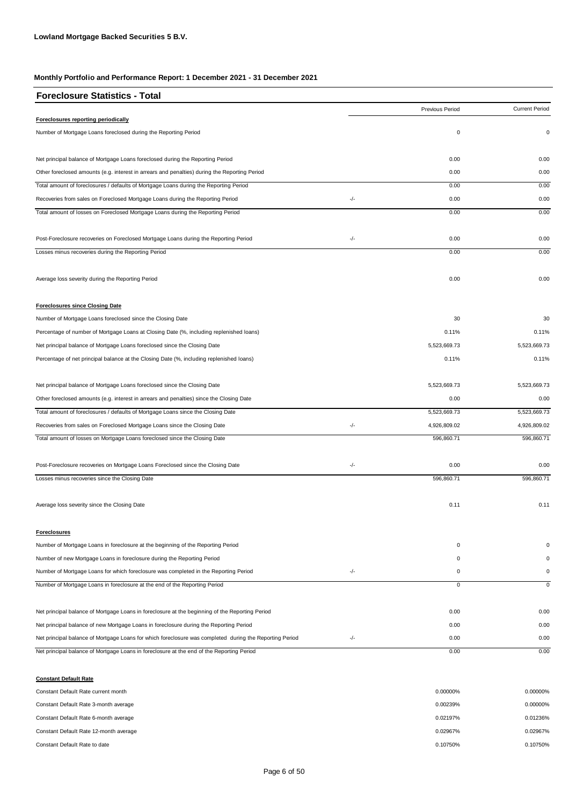| <b>Foreclosure Statistics - Total</b>                                                                   |     |                 |                       |
|---------------------------------------------------------------------------------------------------------|-----|-----------------|-----------------------|
|                                                                                                         |     | Previous Period | <b>Current Period</b> |
| Foreclosures reporting periodically                                                                     |     |                 |                       |
| Number of Mortgage Loans foreclosed during the Reporting Period                                         |     | $\pmb{0}$       | 0                     |
| Net principal balance of Mortgage Loans foreclosed during the Reporting Period                          |     | 0.00            | 0.00                  |
| Other foreclosed amounts (e.g. interest in arrears and penalties) during the Reporting Period           |     | 0.00            | 0.00                  |
| Total amount of foreclosures / defaults of Mortgage Loans during the Reporting Period                   |     | 0.00            | 0.00                  |
| Recoveries from sales on Foreclosed Mortgage Loans during the Reporting Period                          | -/- | 0.00            | 0.00                  |
| Total amount of losses on Foreclosed Mortgage Loans during the Reporting Period                         |     | 0.00            | 0.00                  |
| Post-Foreclosure recoveries on Foreclosed Mortgage Loans during the Reporting Period                    | -/- | 0.00            | 0.00                  |
| Losses minus recoveries during the Reporting Period                                                     |     | 0.00            | 0.00                  |
| Average loss severity during the Reporting Period                                                       |     | 0.00            | 0.00                  |
| <b>Foreclosures since Closing Date</b>                                                                  |     |                 |                       |
| Number of Mortgage Loans foreclosed since the Closing Date                                              |     | 30              | 30                    |
| Percentage of number of Mortgage Loans at Closing Date (%, including replenished loans)                 |     | 0.11%           | 0.11%                 |
| Net principal balance of Mortgage Loans foreclosed since the Closing Date                               |     | 5,523,669.73    | 5,523,669.73          |
| Percentage of net principal balance at the Closing Date (%, including replenished loans)                |     | 0.11%           | 0.11%                 |
| Net principal balance of Mortgage Loans foreclosed since the Closing Date                               |     | 5,523,669.73    | 5,523,669.73          |
| Other foreclosed amounts (e.g. interest in arrears and penalties) since the Closing Date                |     | 0.00            | 0.00                  |
| Total amount of foreclosures / defaults of Mortgage Loans since the Closing Date                        |     | 5,523,669.73    | 5,523,669.73          |
| Recoveries from sales on Foreclosed Mortgage Loans since the Closing Date                               | -/- | 4,926,809.02    | 4,926,809.02          |
| Total amount of losses on Mortgage Loans foreclosed since the Closing Date                              |     | 596,860.71      | 596,860.71            |
| Post-Foreclosure recoveries on Mortgage Loans Foreclosed since the Closing Date                         | -/- | 0.00            | 0.00                  |
| Losses minus recoveries since the Closing Date                                                          |     | 596,860.71      | 596,860.71            |
| Average loss severity since the Closing Date                                                            |     | 0.11            | 0.11                  |
| <b>Foreclosures</b>                                                                                     |     |                 |                       |
| Number of Mortgage Loans in foreclosure at the beginning of the Reporting Period                        |     | 0               | $\Omega$              |
| Number of new Mortgage Loans in foreclosure during the Reporting Period                                 |     | 0               | 0                     |
| Number of Mortgage Loans for which foreclosure was completed in the Reporting Period                    | -/- | 0               | 0                     |
| Number of Mortgage Loans in foreclosure at the end of the Reporting Period                              |     | $\mathsf 0$     | 0                     |
| Net principal balance of Mortgage Loans in foreclosure at the beginning of the Reporting Period         |     | 0.00            | 0.00                  |
| Net principal balance of new Mortgage Loans in foreclosure during the Reporting Period                  |     | 0.00            | 0.00                  |
| Net principal balance of Mortgage Loans for which foreclosure was completed during the Reporting Period | -/- | 0.00            | 0.00                  |
| Net principal balance of Mortgage Loans in foreclosure at the end of the Reporting Period               |     | 0.00            | 0.00                  |
| <b>Constant Default Rate</b>                                                                            |     |                 |                       |

| Constant Default Rate current month    | 0.00000% | 0.00000% |
|----------------------------------------|----------|----------|
| Constant Default Rate 3-month average  | 0.00239% | 0.00000% |
| Constant Default Rate 6-month average  | 0.02197% | 0.01236% |
| Constant Default Rate 12-month average | 0.02967% | 0.02967% |
| Constant Default Rate to date          | 0.10750% | 0.10750% |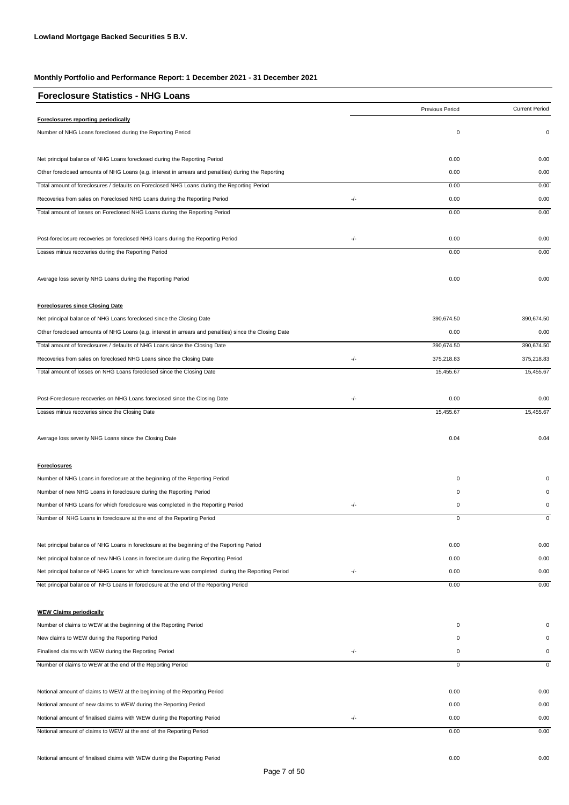| Previous Period<br>Foreclosures reporting periodically<br>0<br>Number of NHG Loans foreclosed during the Reporting Period<br>Net principal balance of NHG Loans foreclosed during the Reporting Period<br>0.00<br>Other foreclosed amounts of NHG Loans (e.g. interest in arrears and penalties) during the Reporting<br>0.00<br>0.00<br>Total amount of foreclosures / defaults on Foreclosed NHG Loans during the Reporting Period<br>-/-<br>0.00<br>Recoveries from sales on Foreclosed NHG Loans during the Reporting Period<br>0.00<br>Total amount of losses on Foreclosed NHG Loans during the Reporting Period<br>-/-<br>Post-foreclosure recoveries on foreclosed NHG loans during the Reporting Period<br>0.00<br>Losses minus recoveries during the Reporting Period<br>0.00<br>Average loss severity NHG Loans during the Reporting Period<br>0.00<br><b>Foreclosures since Closing Date</b><br>Net principal balance of NHG Loans foreclosed since the Closing Date<br>390,674.50<br>0.00<br>Other foreclosed amounts of NHG Loans (e.g. interest in arrears and penalties) since the Closing Date<br>390,674.50<br>Total amount of foreclosures / defaults of NHG Loans since the Closing Date<br>-/-<br>Recoveries from sales on foreclosed NHG Loans since the Closing Date<br>375,218.83<br>Total amount of losses on NHG Loans foreclosed since the Closing Date<br>15,455.67<br>-/-<br>Post-Foreclosure recoveries on NHG Loans foreclosed since the Closing Date<br>0.00<br>Losses minus recoveries since the Closing Date<br>15,455.67<br>Average loss severity NHG Loans since the Closing Date<br>0.04<br><b>Foreclosures</b><br>Number of NHG Loans in foreclosure at the beginning of the Reporting Period<br>0<br>Number of new NHG Loans in foreclosure during the Reporting Period<br>0<br>Number of NHG Loans for which foreclosure was completed in the Reporting Period<br>-/-<br>0<br>Number of NHG Loans in foreclosure at the end of the Reporting Period<br>Net principal balance of NHG Loans in foreclosure at the beginning of the Reporting Period<br>0.00<br>Net principal balance of new NHG Loans in foreclosure during the Reporting Period<br>0.00<br>-/-<br>Net principal balance of NHG Loans for which foreclosure was completed during the Reporting Period<br>0.00<br>Net principal balance of NHG Loans in foreclosure at the end of the Reporting Period<br>0.00<br><b>WEW Claims periodically</b><br>Number of claims to WEW at the beginning of the Reporting Period<br>0<br>O<br>New claims to WEW during the Reporting Period<br>0<br>-/-<br>Finalised claims with WEW during the Reporting Period<br>0<br>Number of claims to WEW at the end of the Reporting Period<br>$\overline{0}$<br>Notional amount of claims to WEW at the beginning of the Reporting Period<br>0.00<br>Notional amount of new claims to WEW during the Reporting Period<br>0.00<br>-/-<br>Notional amount of finalised claims with WEW during the Reporting Period<br>0.00<br>Notional amount of claims to WEW at the end of the Reporting Period<br>0.00 | <b>Foreclosure Statistics - NHG Loans</b> |  |                       |
|-------------------------------------------------------------------------------------------------------------------------------------------------------------------------------------------------------------------------------------------------------------------------------------------------------------------------------------------------------------------------------------------------------------------------------------------------------------------------------------------------------------------------------------------------------------------------------------------------------------------------------------------------------------------------------------------------------------------------------------------------------------------------------------------------------------------------------------------------------------------------------------------------------------------------------------------------------------------------------------------------------------------------------------------------------------------------------------------------------------------------------------------------------------------------------------------------------------------------------------------------------------------------------------------------------------------------------------------------------------------------------------------------------------------------------------------------------------------------------------------------------------------------------------------------------------------------------------------------------------------------------------------------------------------------------------------------------------------------------------------------------------------------------------------------------------------------------------------------------------------------------------------------------------------------------------------------------------------------------------------------------------------------------------------------------------------------------------------------------------------------------------------------------------------------------------------------------------------------------------------------------------------------------------------------------------------------------------------------------------------------------------------------------------------------------------------------------------------------------------------------------------------------------------------------------------------------------------------------------------------------------------------------------------------------------------------------------------------------------------------------------------------------------------------------------------------------------------------------------------------------------------------------------------------------------------------------------------------------------------------------------------------------------------------------------------------------------------------|-------------------------------------------|--|-----------------------|
|                                                                                                                                                                                                                                                                                                                                                                                                                                                                                                                                                                                                                                                                                                                                                                                                                                                                                                                                                                                                                                                                                                                                                                                                                                                                                                                                                                                                                                                                                                                                                                                                                                                                                                                                                                                                                                                                                                                                                                                                                                                                                                                                                                                                                                                                                                                                                                                                                                                                                                                                                                                                                                                                                                                                                                                                                                                                                                                                                                                                                                                                                           |                                           |  | <b>Current Period</b> |
|                                                                                                                                                                                                                                                                                                                                                                                                                                                                                                                                                                                                                                                                                                                                                                                                                                                                                                                                                                                                                                                                                                                                                                                                                                                                                                                                                                                                                                                                                                                                                                                                                                                                                                                                                                                                                                                                                                                                                                                                                                                                                                                                                                                                                                                                                                                                                                                                                                                                                                                                                                                                                                                                                                                                                                                                                                                                                                                                                                                                                                                                                           |                                           |  |                       |
|                                                                                                                                                                                                                                                                                                                                                                                                                                                                                                                                                                                                                                                                                                                                                                                                                                                                                                                                                                                                                                                                                                                                                                                                                                                                                                                                                                                                                                                                                                                                                                                                                                                                                                                                                                                                                                                                                                                                                                                                                                                                                                                                                                                                                                                                                                                                                                                                                                                                                                                                                                                                                                                                                                                                                                                                                                                                                                                                                                                                                                                                                           |                                           |  | 0                     |
|                                                                                                                                                                                                                                                                                                                                                                                                                                                                                                                                                                                                                                                                                                                                                                                                                                                                                                                                                                                                                                                                                                                                                                                                                                                                                                                                                                                                                                                                                                                                                                                                                                                                                                                                                                                                                                                                                                                                                                                                                                                                                                                                                                                                                                                                                                                                                                                                                                                                                                                                                                                                                                                                                                                                                                                                                                                                                                                                                                                                                                                                                           |                                           |  | 0.00                  |
|                                                                                                                                                                                                                                                                                                                                                                                                                                                                                                                                                                                                                                                                                                                                                                                                                                                                                                                                                                                                                                                                                                                                                                                                                                                                                                                                                                                                                                                                                                                                                                                                                                                                                                                                                                                                                                                                                                                                                                                                                                                                                                                                                                                                                                                                                                                                                                                                                                                                                                                                                                                                                                                                                                                                                                                                                                                                                                                                                                                                                                                                                           |                                           |  | 0.00                  |
|                                                                                                                                                                                                                                                                                                                                                                                                                                                                                                                                                                                                                                                                                                                                                                                                                                                                                                                                                                                                                                                                                                                                                                                                                                                                                                                                                                                                                                                                                                                                                                                                                                                                                                                                                                                                                                                                                                                                                                                                                                                                                                                                                                                                                                                                                                                                                                                                                                                                                                                                                                                                                                                                                                                                                                                                                                                                                                                                                                                                                                                                                           |                                           |  | 0.00                  |
|                                                                                                                                                                                                                                                                                                                                                                                                                                                                                                                                                                                                                                                                                                                                                                                                                                                                                                                                                                                                                                                                                                                                                                                                                                                                                                                                                                                                                                                                                                                                                                                                                                                                                                                                                                                                                                                                                                                                                                                                                                                                                                                                                                                                                                                                                                                                                                                                                                                                                                                                                                                                                                                                                                                                                                                                                                                                                                                                                                                                                                                                                           |                                           |  | 0.00                  |
|                                                                                                                                                                                                                                                                                                                                                                                                                                                                                                                                                                                                                                                                                                                                                                                                                                                                                                                                                                                                                                                                                                                                                                                                                                                                                                                                                                                                                                                                                                                                                                                                                                                                                                                                                                                                                                                                                                                                                                                                                                                                                                                                                                                                                                                                                                                                                                                                                                                                                                                                                                                                                                                                                                                                                                                                                                                                                                                                                                                                                                                                                           |                                           |  | 0.00                  |
|                                                                                                                                                                                                                                                                                                                                                                                                                                                                                                                                                                                                                                                                                                                                                                                                                                                                                                                                                                                                                                                                                                                                                                                                                                                                                                                                                                                                                                                                                                                                                                                                                                                                                                                                                                                                                                                                                                                                                                                                                                                                                                                                                                                                                                                                                                                                                                                                                                                                                                                                                                                                                                                                                                                                                                                                                                                                                                                                                                                                                                                                                           |                                           |  | 0.00                  |
|                                                                                                                                                                                                                                                                                                                                                                                                                                                                                                                                                                                                                                                                                                                                                                                                                                                                                                                                                                                                                                                                                                                                                                                                                                                                                                                                                                                                                                                                                                                                                                                                                                                                                                                                                                                                                                                                                                                                                                                                                                                                                                                                                                                                                                                                                                                                                                                                                                                                                                                                                                                                                                                                                                                                                                                                                                                                                                                                                                                                                                                                                           |                                           |  | 0.00                  |
|                                                                                                                                                                                                                                                                                                                                                                                                                                                                                                                                                                                                                                                                                                                                                                                                                                                                                                                                                                                                                                                                                                                                                                                                                                                                                                                                                                                                                                                                                                                                                                                                                                                                                                                                                                                                                                                                                                                                                                                                                                                                                                                                                                                                                                                                                                                                                                                                                                                                                                                                                                                                                                                                                                                                                                                                                                                                                                                                                                                                                                                                                           |                                           |  | 0.00                  |
|                                                                                                                                                                                                                                                                                                                                                                                                                                                                                                                                                                                                                                                                                                                                                                                                                                                                                                                                                                                                                                                                                                                                                                                                                                                                                                                                                                                                                                                                                                                                                                                                                                                                                                                                                                                                                                                                                                                                                                                                                                                                                                                                                                                                                                                                                                                                                                                                                                                                                                                                                                                                                                                                                                                                                                                                                                                                                                                                                                                                                                                                                           |                                           |  |                       |
|                                                                                                                                                                                                                                                                                                                                                                                                                                                                                                                                                                                                                                                                                                                                                                                                                                                                                                                                                                                                                                                                                                                                                                                                                                                                                                                                                                                                                                                                                                                                                                                                                                                                                                                                                                                                                                                                                                                                                                                                                                                                                                                                                                                                                                                                                                                                                                                                                                                                                                                                                                                                                                                                                                                                                                                                                                                                                                                                                                                                                                                                                           |                                           |  | 390,674.50            |
|                                                                                                                                                                                                                                                                                                                                                                                                                                                                                                                                                                                                                                                                                                                                                                                                                                                                                                                                                                                                                                                                                                                                                                                                                                                                                                                                                                                                                                                                                                                                                                                                                                                                                                                                                                                                                                                                                                                                                                                                                                                                                                                                                                                                                                                                                                                                                                                                                                                                                                                                                                                                                                                                                                                                                                                                                                                                                                                                                                                                                                                                                           |                                           |  | 0.00                  |
|                                                                                                                                                                                                                                                                                                                                                                                                                                                                                                                                                                                                                                                                                                                                                                                                                                                                                                                                                                                                                                                                                                                                                                                                                                                                                                                                                                                                                                                                                                                                                                                                                                                                                                                                                                                                                                                                                                                                                                                                                                                                                                                                                                                                                                                                                                                                                                                                                                                                                                                                                                                                                                                                                                                                                                                                                                                                                                                                                                                                                                                                                           |                                           |  | 390,674.50            |
|                                                                                                                                                                                                                                                                                                                                                                                                                                                                                                                                                                                                                                                                                                                                                                                                                                                                                                                                                                                                                                                                                                                                                                                                                                                                                                                                                                                                                                                                                                                                                                                                                                                                                                                                                                                                                                                                                                                                                                                                                                                                                                                                                                                                                                                                                                                                                                                                                                                                                                                                                                                                                                                                                                                                                                                                                                                                                                                                                                                                                                                                                           |                                           |  | 375,218.83            |
|                                                                                                                                                                                                                                                                                                                                                                                                                                                                                                                                                                                                                                                                                                                                                                                                                                                                                                                                                                                                                                                                                                                                                                                                                                                                                                                                                                                                                                                                                                                                                                                                                                                                                                                                                                                                                                                                                                                                                                                                                                                                                                                                                                                                                                                                                                                                                                                                                                                                                                                                                                                                                                                                                                                                                                                                                                                                                                                                                                                                                                                                                           |                                           |  | 15,455.67             |
|                                                                                                                                                                                                                                                                                                                                                                                                                                                                                                                                                                                                                                                                                                                                                                                                                                                                                                                                                                                                                                                                                                                                                                                                                                                                                                                                                                                                                                                                                                                                                                                                                                                                                                                                                                                                                                                                                                                                                                                                                                                                                                                                                                                                                                                                                                                                                                                                                                                                                                                                                                                                                                                                                                                                                                                                                                                                                                                                                                                                                                                                                           |                                           |  | 0.00                  |
|                                                                                                                                                                                                                                                                                                                                                                                                                                                                                                                                                                                                                                                                                                                                                                                                                                                                                                                                                                                                                                                                                                                                                                                                                                                                                                                                                                                                                                                                                                                                                                                                                                                                                                                                                                                                                                                                                                                                                                                                                                                                                                                                                                                                                                                                                                                                                                                                                                                                                                                                                                                                                                                                                                                                                                                                                                                                                                                                                                                                                                                                                           |                                           |  | 15,455.67             |
|                                                                                                                                                                                                                                                                                                                                                                                                                                                                                                                                                                                                                                                                                                                                                                                                                                                                                                                                                                                                                                                                                                                                                                                                                                                                                                                                                                                                                                                                                                                                                                                                                                                                                                                                                                                                                                                                                                                                                                                                                                                                                                                                                                                                                                                                                                                                                                                                                                                                                                                                                                                                                                                                                                                                                                                                                                                                                                                                                                                                                                                                                           |                                           |  | 0.04                  |
|                                                                                                                                                                                                                                                                                                                                                                                                                                                                                                                                                                                                                                                                                                                                                                                                                                                                                                                                                                                                                                                                                                                                                                                                                                                                                                                                                                                                                                                                                                                                                                                                                                                                                                                                                                                                                                                                                                                                                                                                                                                                                                                                                                                                                                                                                                                                                                                                                                                                                                                                                                                                                                                                                                                                                                                                                                                                                                                                                                                                                                                                                           |                                           |  |                       |
|                                                                                                                                                                                                                                                                                                                                                                                                                                                                                                                                                                                                                                                                                                                                                                                                                                                                                                                                                                                                                                                                                                                                                                                                                                                                                                                                                                                                                                                                                                                                                                                                                                                                                                                                                                                                                                                                                                                                                                                                                                                                                                                                                                                                                                                                                                                                                                                                                                                                                                                                                                                                                                                                                                                                                                                                                                                                                                                                                                                                                                                                                           |                                           |  |                       |
|                                                                                                                                                                                                                                                                                                                                                                                                                                                                                                                                                                                                                                                                                                                                                                                                                                                                                                                                                                                                                                                                                                                                                                                                                                                                                                                                                                                                                                                                                                                                                                                                                                                                                                                                                                                                                                                                                                                                                                                                                                                                                                                                                                                                                                                                                                                                                                                                                                                                                                                                                                                                                                                                                                                                                                                                                                                                                                                                                                                                                                                                                           |                                           |  |                       |
|                                                                                                                                                                                                                                                                                                                                                                                                                                                                                                                                                                                                                                                                                                                                                                                                                                                                                                                                                                                                                                                                                                                                                                                                                                                                                                                                                                                                                                                                                                                                                                                                                                                                                                                                                                                                                                                                                                                                                                                                                                                                                                                                                                                                                                                                                                                                                                                                                                                                                                                                                                                                                                                                                                                                                                                                                                                                                                                                                                                                                                                                                           |                                           |  | 0                     |
|                                                                                                                                                                                                                                                                                                                                                                                                                                                                                                                                                                                                                                                                                                                                                                                                                                                                                                                                                                                                                                                                                                                                                                                                                                                                                                                                                                                                                                                                                                                                                                                                                                                                                                                                                                                                                                                                                                                                                                                                                                                                                                                                                                                                                                                                                                                                                                                                                                                                                                                                                                                                                                                                                                                                                                                                                                                                                                                                                                                                                                                                                           |                                           |  |                       |
|                                                                                                                                                                                                                                                                                                                                                                                                                                                                                                                                                                                                                                                                                                                                                                                                                                                                                                                                                                                                                                                                                                                                                                                                                                                                                                                                                                                                                                                                                                                                                                                                                                                                                                                                                                                                                                                                                                                                                                                                                                                                                                                                                                                                                                                                                                                                                                                                                                                                                                                                                                                                                                                                                                                                                                                                                                                                                                                                                                                                                                                                                           |                                           |  | 0.00                  |
|                                                                                                                                                                                                                                                                                                                                                                                                                                                                                                                                                                                                                                                                                                                                                                                                                                                                                                                                                                                                                                                                                                                                                                                                                                                                                                                                                                                                                                                                                                                                                                                                                                                                                                                                                                                                                                                                                                                                                                                                                                                                                                                                                                                                                                                                                                                                                                                                                                                                                                                                                                                                                                                                                                                                                                                                                                                                                                                                                                                                                                                                                           |                                           |  | 0.00                  |
|                                                                                                                                                                                                                                                                                                                                                                                                                                                                                                                                                                                                                                                                                                                                                                                                                                                                                                                                                                                                                                                                                                                                                                                                                                                                                                                                                                                                                                                                                                                                                                                                                                                                                                                                                                                                                                                                                                                                                                                                                                                                                                                                                                                                                                                                                                                                                                                                                                                                                                                                                                                                                                                                                                                                                                                                                                                                                                                                                                                                                                                                                           |                                           |  | 0.00                  |
|                                                                                                                                                                                                                                                                                                                                                                                                                                                                                                                                                                                                                                                                                                                                                                                                                                                                                                                                                                                                                                                                                                                                                                                                                                                                                                                                                                                                                                                                                                                                                                                                                                                                                                                                                                                                                                                                                                                                                                                                                                                                                                                                                                                                                                                                                                                                                                                                                                                                                                                                                                                                                                                                                                                                                                                                                                                                                                                                                                                                                                                                                           |                                           |  | 0.00                  |
|                                                                                                                                                                                                                                                                                                                                                                                                                                                                                                                                                                                                                                                                                                                                                                                                                                                                                                                                                                                                                                                                                                                                                                                                                                                                                                                                                                                                                                                                                                                                                                                                                                                                                                                                                                                                                                                                                                                                                                                                                                                                                                                                                                                                                                                                                                                                                                                                                                                                                                                                                                                                                                                                                                                                                                                                                                                                                                                                                                                                                                                                                           |                                           |  |                       |
|                                                                                                                                                                                                                                                                                                                                                                                                                                                                                                                                                                                                                                                                                                                                                                                                                                                                                                                                                                                                                                                                                                                                                                                                                                                                                                                                                                                                                                                                                                                                                                                                                                                                                                                                                                                                                                                                                                                                                                                                                                                                                                                                                                                                                                                                                                                                                                                                                                                                                                                                                                                                                                                                                                                                                                                                                                                                                                                                                                                                                                                                                           |                                           |  |                       |
|                                                                                                                                                                                                                                                                                                                                                                                                                                                                                                                                                                                                                                                                                                                                                                                                                                                                                                                                                                                                                                                                                                                                                                                                                                                                                                                                                                                                                                                                                                                                                                                                                                                                                                                                                                                                                                                                                                                                                                                                                                                                                                                                                                                                                                                                                                                                                                                                                                                                                                                                                                                                                                                                                                                                                                                                                                                                                                                                                                                                                                                                                           |                                           |  |                       |
|                                                                                                                                                                                                                                                                                                                                                                                                                                                                                                                                                                                                                                                                                                                                                                                                                                                                                                                                                                                                                                                                                                                                                                                                                                                                                                                                                                                                                                                                                                                                                                                                                                                                                                                                                                                                                                                                                                                                                                                                                                                                                                                                                                                                                                                                                                                                                                                                                                                                                                                                                                                                                                                                                                                                                                                                                                                                                                                                                                                                                                                                                           |                                           |  | 0                     |
|                                                                                                                                                                                                                                                                                                                                                                                                                                                                                                                                                                                                                                                                                                                                                                                                                                                                                                                                                                                                                                                                                                                                                                                                                                                                                                                                                                                                                                                                                                                                                                                                                                                                                                                                                                                                                                                                                                                                                                                                                                                                                                                                                                                                                                                                                                                                                                                                                                                                                                                                                                                                                                                                                                                                                                                                                                                                                                                                                                                                                                                                                           |                                           |  | $\overline{0}$        |
|                                                                                                                                                                                                                                                                                                                                                                                                                                                                                                                                                                                                                                                                                                                                                                                                                                                                                                                                                                                                                                                                                                                                                                                                                                                                                                                                                                                                                                                                                                                                                                                                                                                                                                                                                                                                                                                                                                                                                                                                                                                                                                                                                                                                                                                                                                                                                                                                                                                                                                                                                                                                                                                                                                                                                                                                                                                                                                                                                                                                                                                                                           |                                           |  | 0.00                  |
|                                                                                                                                                                                                                                                                                                                                                                                                                                                                                                                                                                                                                                                                                                                                                                                                                                                                                                                                                                                                                                                                                                                                                                                                                                                                                                                                                                                                                                                                                                                                                                                                                                                                                                                                                                                                                                                                                                                                                                                                                                                                                                                                                                                                                                                                                                                                                                                                                                                                                                                                                                                                                                                                                                                                                                                                                                                                                                                                                                                                                                                                                           |                                           |  | 0.00                  |
|                                                                                                                                                                                                                                                                                                                                                                                                                                                                                                                                                                                                                                                                                                                                                                                                                                                                                                                                                                                                                                                                                                                                                                                                                                                                                                                                                                                                                                                                                                                                                                                                                                                                                                                                                                                                                                                                                                                                                                                                                                                                                                                                                                                                                                                                                                                                                                                                                                                                                                                                                                                                                                                                                                                                                                                                                                                                                                                                                                                                                                                                                           |                                           |  | 0.00                  |
|                                                                                                                                                                                                                                                                                                                                                                                                                                                                                                                                                                                                                                                                                                                                                                                                                                                                                                                                                                                                                                                                                                                                                                                                                                                                                                                                                                                                                                                                                                                                                                                                                                                                                                                                                                                                                                                                                                                                                                                                                                                                                                                                                                                                                                                                                                                                                                                                                                                                                                                                                                                                                                                                                                                                                                                                                                                                                                                                                                                                                                                                                           |                                           |  | 0.00                  |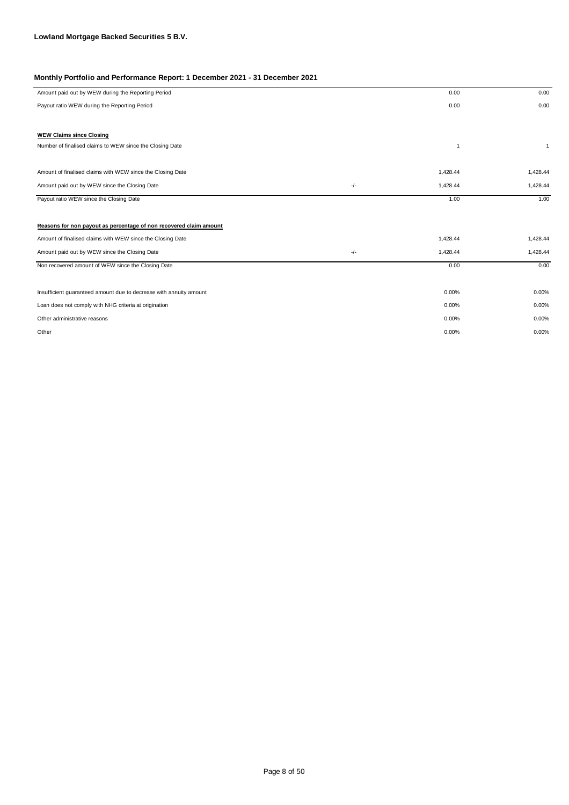| Amount paid out by WEW during the Reporting Period                 |       | 0.00           | 0.00         |
|--------------------------------------------------------------------|-------|----------------|--------------|
| Payout ratio WEW during the Reporting Period                       |       | 0.00           | 0.00         |
|                                                                    |       |                |              |
| <b>WEW Claims since Closing</b>                                    |       |                |              |
| Number of finalised claims to WEW since the Closing Date           |       | $\overline{1}$ | $\mathbf{1}$ |
|                                                                    |       |                |              |
| Amount of finalised claims with WEW since the Closing Date         |       | 1,428.44       | 1,428.44     |
| Amount paid out by WEW since the Closing Date                      | $-/-$ | 1,428.44       | 1,428.44     |
| Payout ratio WEW since the Closing Date                            |       | 1.00           | 1.00         |
|                                                                    |       |                |              |
| Reasons for non payout as percentage of non recovered claim amount |       |                |              |
| Amount of finalised claims with WEW since the Closing Date         |       | 1,428.44       | 1,428.44     |
| Amount paid out by WEW since the Closing Date                      | $-/-$ | 1,428.44       | 1,428.44     |
| Non recovered amount of WEW since the Closing Date                 |       | 0.00           | 0.00         |
|                                                                    |       |                |              |
| Insufficient guaranteed amount due to decrease with annuity amount |       | 0.00%          | 0.00%        |
| Loan does not comply with NHG criteria at origination              |       | 0.00%          | 0.00%        |
| Other administrative reasons                                       |       | 0.00%          | 0.00%        |
| Other                                                              |       | 0.00%          | 0.00%        |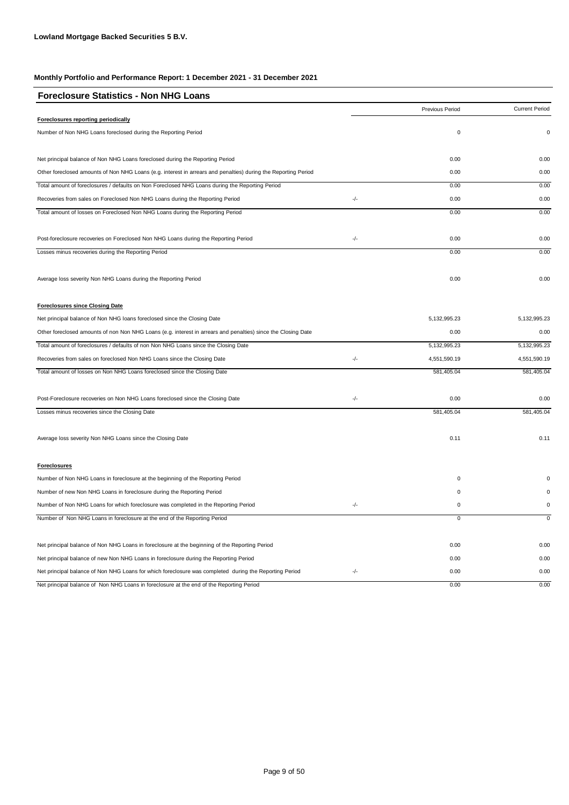| <b>Foreclosure Statistics - Non NHG Loans</b>                                                                  |       |                 |                       |
|----------------------------------------------------------------------------------------------------------------|-------|-----------------|-----------------------|
|                                                                                                                |       | Previous Period | <b>Current Period</b> |
| Foreclosures reporting periodically                                                                            |       |                 |                       |
| Number of Non NHG Loans foreclosed during the Reporting Period                                                 |       | 0               | 0                     |
| Net principal balance of Non NHG Loans foreclosed during the Reporting Period                                  |       | 0.00            | 0.00                  |
| Other foreclosed amounts of Non NHG Loans (e.g. interest in arrears and penalties) during the Reporting Period |       | 0.00            | 0.00                  |
| Total amount of foreclosures / defaults on Non Foreclosed NHG Loans during the Reporting Period                |       | 0.00            | 0.00                  |
| Recoveries from sales on Foreclosed Non NHG Loans during the Reporting Period                                  | $-/-$ | 0.00            | 0.00                  |
| Total amount of losses on Foreclosed Non NHG Loans during the Reporting Period                                 |       | 0.00            | 0.00                  |
| Post-foreclosure recoveries on Foreclosed Non NHG Loans during the Reporting Period                            | -/-   | 0.00            | 0.00                  |
| Losses minus recoveries during the Reporting Period                                                            |       | 0.00            | 0.00                  |
| Average loss severity Non NHG Loans during the Reporting Period                                                |       | 0.00            | 0.00                  |
| <b>Foreclosures since Closing Date</b>                                                                         |       |                 |                       |
| Net principal balance of Non NHG loans foreclosed since the Closing Date                                       |       | 5, 132, 995.23  | 5,132,995.23          |
| Other foreclosed amounts of non Non NHG Loans (e.g. interest in arrears and penalties) since the Closing Date  |       | 0.00            | 0.00                  |
| Total amount of foreclosures / defaults of non Non NHG Loans since the Closing Date                            |       | 5, 132, 995.23  | 5,132,995.23          |
| Recoveries from sales on foreclosed Non NHG Loans since the Closing Date                                       | -/-   | 4,551,590.19    | 4,551,590.19          |
| Total amount of losses on Non NHG Loans foreclosed since the Closing Date                                      |       | 581,405.04      | 581,405.04            |
| Post-Foreclosure recoveries on Non NHG Loans foreclosed since the Closing Date                                 | -/-   | 0.00            | 0.00                  |
| Losses minus recoveries since the Closing Date                                                                 |       | 581,405.04      | 581,405.04            |
| Average loss severity Non NHG Loans since the Closing Date                                                     |       | 0.11            | 0.11                  |
| <b>Foreclosures</b>                                                                                            |       |                 |                       |
| Number of Non NHG Loans in foreclosure at the beginning of the Reporting Period                                |       | 0               | 0                     |
| Number of new Non NHG Loans in foreclosure during the Reporting Period                                         |       | $\mathbf 0$     | $\Omega$              |
| Number of Non NHG Loans for which foreclosure was completed in the Reporting Period                            | $-/-$ | $\mathbf 0$     | 0                     |
| Number of Non NHG Loans in foreclosure at the end of the Reporting Period                                      |       | $\overline{0}$  | $\overline{0}$        |
| Net principal balance of Non NHG Loans in foreclosure at the beginning of the Reporting Period                 |       | 0.00            | 0.00                  |
| Net principal balance of new Non NHG Loans in foreclosure during the Reporting Period                          |       | 0.00            | 0.00                  |
| Net principal balance of Non NHG Loans for which foreclosure was completed during the Reporting Period         | -/-   | 0.00            | 0.00                  |
| Net principal balance of Non NHG Loans in foreclosure at the end of the Reporting Period                       |       | 0.00            | 0.00                  |

Page 9 of 50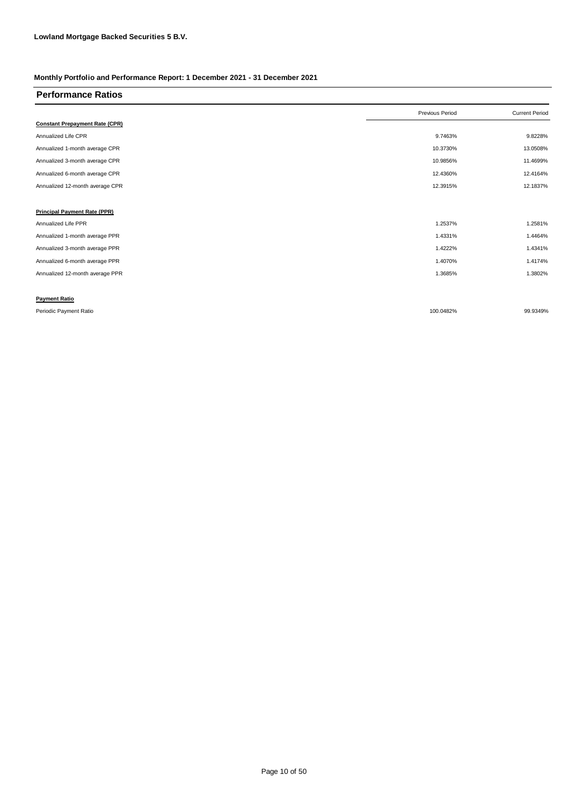| <b>Performance Ratios</b>             |                 |                       |
|---------------------------------------|-----------------|-----------------------|
|                                       | Previous Period | <b>Current Period</b> |
| <b>Constant Prepayment Rate (CPR)</b> |                 |                       |
| Annualized Life CPR                   | 9.7463%         | 9.8228%               |
| Annualized 1-month average CPR        | 10.3730%        | 13.0508%              |
| Annualized 3-month average CPR        | 10.9856%        | 11.4699%              |
| Annualized 6-month average CPR        | 12.4360%        | 12.4164%              |
| Annualized 12-month average CPR       | 12.3915%        | 12.1837%              |
|                                       |                 |                       |
| <b>Principal Payment Rate (PPR)</b>   |                 |                       |
| Annualized Life PPR                   | 1.2537%         | 1.2581%               |
| Annualized 1-month average PPR        | 1.4331%         | 1.4464%               |
| Annualized 3-month average PPR        | 1.4222%         | 1.4341%               |
| Annualized 6-month average PPR        | 1.4070%         | 1.4174%               |
| Annualized 12-month average PPR       | 1.3685%         | 1.3802%               |
|                                       |                 |                       |
| <b>Payment Ratio</b>                  |                 |                       |
| Periodic Payment Ratio                | 100.0482%       | 99.9349%              |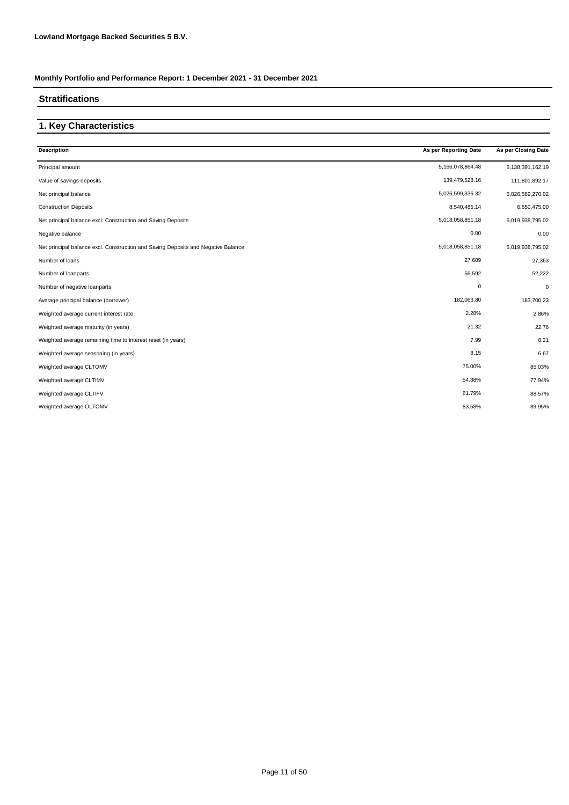#### **Stratifications**

### **1. Key Characteristics**

| <b>Description</b>                                                                | As per Reporting Date | As per Closing Date |
|-----------------------------------------------------------------------------------|-----------------------|---------------------|
| Principal amount                                                                  | 5,166,078,864.48      | 5,138,391,162.19    |
| Value of savings deposits                                                         | 139,479,528.16        | 111,801,892.17      |
| Net principal balance                                                             | 5,026,599,336.32      | 5,026,589,270.02    |
| <b>Construction Deposits</b>                                                      | 8,540,485.14          | 6,650,475.00        |
| Net principal balance excl. Construction and Saving Deposits                      | 5,018,058,851.18      | 5,019,938,795.02    |
| Negative balance                                                                  | 0.00                  | 0.00                |
| Net principal balance excl. Construction and Saving Deposits and Negative Balance | 5,018,058,851.18      | 5,019,938,795.02    |
| Number of loans                                                                   | 27,609                | 27,363              |
| Number of loanparts                                                               | 56,592                | 52,222              |
| Number of negative loanparts                                                      | 0                     | $\mathbf 0$         |
| Average principal balance (borrower)                                              | 182,063.80            | 183,700.23          |
| Weighted average current interest rate                                            | 2.28%                 | 2.86%               |
| Weighted average maturity (in years)                                              | 21.32                 | 22.76               |
| Weighted average remaining time to interest reset (in years)                      | 7.99                  | 8.21                |
| Weighted average seasoning (in years)                                             | 8.15                  | 6.67                |
| Weighted average CLTOMV                                                           | 75.00%                | 85.03%              |
| Weighted average CLTIMV                                                           | 54.38%                | 77.94%              |
| Weighted average CLTIFV                                                           | 61.79%                | 88.57%              |
| Weighted average OLTOMV                                                           | 83.58%                | 89.95%              |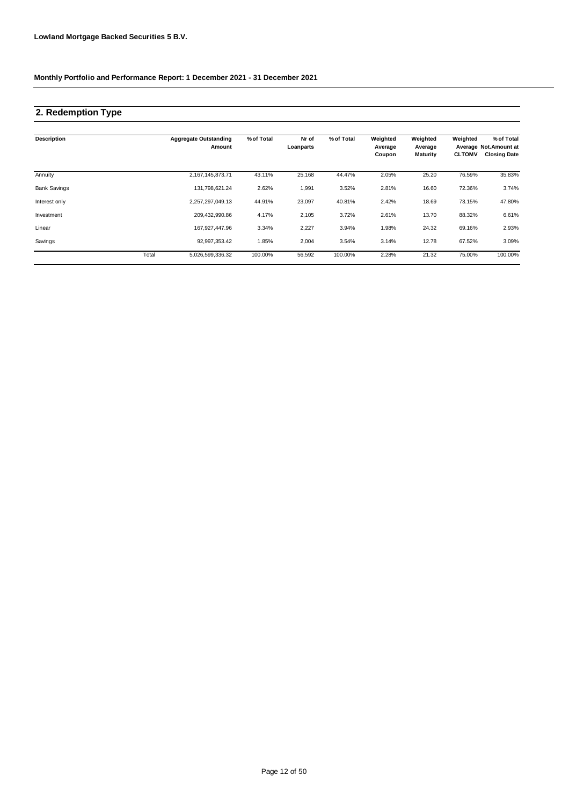### **2. Redemption Type**

| <b>Description</b>  |       | <b>Aggregate Outstanding</b><br>Amount | % of Total | Nr of<br>Loanparts | % of Total | Weighted<br>Average<br>Coupon | Weighted<br>Average<br><b>Maturity</b> | Weighted<br><b>CLTOMV</b> | % of Total<br>Average Not.Amount at<br><b>Closing Date</b> |
|---------------------|-------|----------------------------------------|------------|--------------------|------------|-------------------------------|----------------------------------------|---------------------------|------------------------------------------------------------|
| Annuity             |       | 2,167,145,873.71                       | 43.11%     | 25,168             | 44.47%     | 2.05%                         | 25.20                                  | 76.59%                    | 35.83%                                                     |
| <b>Bank Savings</b> |       | 131,798,621.24                         | 2.62%      | 1,991              | 3.52%      | 2.81%                         | 16.60                                  | 72.36%                    | 3.74%                                                      |
| Interest only       |       | 2,257,297,049.13                       | 44.91%     | 23,097             | 40.81%     | 2.42%                         | 18.69                                  | 73.15%                    | 47.80%                                                     |
| Investment          |       | 209,432,990.86                         | 4.17%      | 2,105              | 3.72%      | 2.61%                         | 13.70                                  | 88.32%                    | 6.61%                                                      |
| Linear              |       | 167,927,447.96                         | 3.34%      | 2,227              | 3.94%      | 1.98%                         | 24.32                                  | 69.16%                    | 2.93%                                                      |
| Savings             |       | 92.997.353.42                          | 1.85%      | 2,004              | 3.54%      | 3.14%                         | 12.78                                  | 67.52%                    | 3.09%                                                      |
|                     | Total | 5,026,599,336.32                       | 100.00%    | 56,592             | 100.00%    | 2.28%                         | 21.32                                  | 75.00%                    | 100.00%                                                    |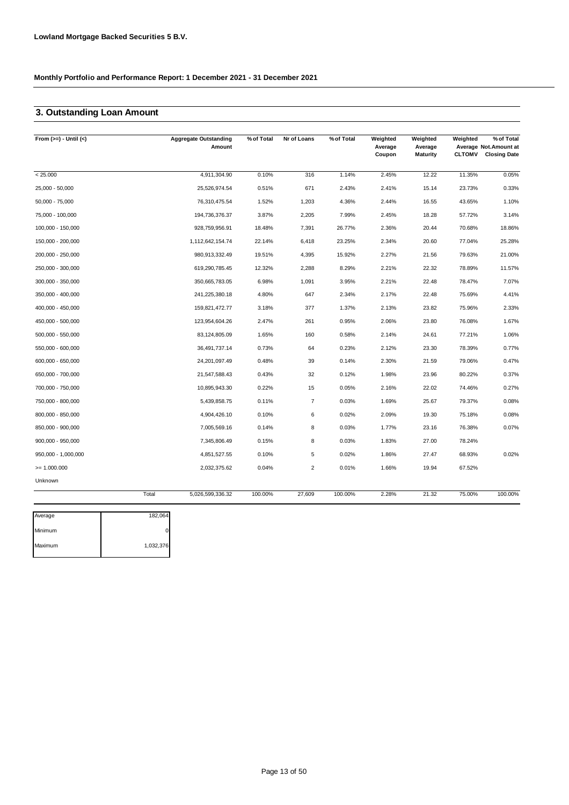### **3. Outstanding Loan Amount**

| From $(>=) -$ Until $(<)$ |       | <b>Aggregate Outstanding</b><br>Amount | % of Total | Nr of Loans             | % of Total | Weighted<br>Average<br>Coupon | Weighted<br>Average<br><b>Maturity</b> | Weighted<br><b>CLTOMV</b> | % of Total<br>Average Not. Amount at<br><b>Closing Date</b> |
|---------------------------|-------|----------------------------------------|------------|-------------------------|------------|-------------------------------|----------------------------------------|---------------------------|-------------------------------------------------------------|
| < 25.000                  |       | 4,911,304.90                           | 0.10%      | 316                     | 1.14%      | 2.45%                         | 12.22                                  | 11.35%                    | 0.05%                                                       |
| 25,000 - 50,000           |       | 25,526,974.54                          | 0.51%      | 671                     | 2.43%      | 2.41%                         | 15.14                                  | 23.73%                    | 0.33%                                                       |
| $50,000 - 75,000$         |       | 76,310,475.54                          | 1.52%      | 1,203                   | 4.36%      | 2.44%                         | 16.55                                  | 43.65%                    | 1.10%                                                       |
| 75,000 - 100,000          |       | 194,736,376.37                         | 3.87%      | 2,205                   | 7.99%      | 2.45%                         | 18.28                                  | 57.72%                    | 3.14%                                                       |
| 100,000 - 150,000         |       | 928,759,956.91                         | 18.48%     | 7,391                   | 26.77%     | 2.36%                         | 20.44                                  | 70.68%                    | 18.86%                                                      |
| 150,000 - 200,000         |       | 1,112,642,154.74                       | 22.14%     | 6,418                   | 23.25%     | 2.34%                         | 20.60                                  | 77.04%                    | 25.28%                                                      |
| 200,000 - 250,000         |       | 980,913,332.49                         | 19.51%     | 4,395                   | 15.92%     | 2.27%                         | 21.56                                  | 79.63%                    | 21.00%                                                      |
| 250,000 - 300,000         |       | 619,290,785.45                         | 12.32%     | 2,288                   | 8.29%      | 2.21%                         | 22.32                                  | 78.89%                    | 11.57%                                                      |
| 300,000 - 350,000         |       | 350,665,783.05                         | 6.98%      | 1,091                   | 3.95%      | 2.21%                         | 22.48                                  | 78.47%                    | 7.07%                                                       |
| 350,000 - 400,000         |       | 241,225,380.18                         | 4.80%      | 647                     | 2.34%      | 2.17%                         | 22.48                                  | 75.69%                    | 4.41%                                                       |
| 400,000 - 450,000         |       | 159,821,472.77                         | 3.18%      | 377                     | 1.37%      | 2.13%                         | 23.82                                  | 75.96%                    | 2.33%                                                       |
| 450,000 - 500,000         |       | 123,954,604.26                         | 2.47%      | 261                     | 0.95%      | 2.06%                         | 23.80                                  | 76.08%                    | 1.67%                                                       |
| 500,000 - 550,000         |       | 83,124,805.09                          | 1.65%      | 160                     | 0.58%      | 2.14%                         | 24.61                                  | 77.21%                    | 1.06%                                                       |
| 550,000 - 600,000         |       | 36,491,737.14                          | 0.73%      | 64                      | 0.23%      | 2.12%                         | 23.30                                  | 78.39%                    | 0.77%                                                       |
| 600,000 - 650,000         |       | 24,201,097.49                          | 0.48%      | 39                      | 0.14%      | 2.30%                         | 21.59                                  | 79.06%                    | 0.47%                                                       |
| 650,000 - 700,000         |       | 21,547,588.43                          | 0.43%      | 32                      | 0.12%      | 1.98%                         | 23.96                                  | 80.22%                    | 0.37%                                                       |
| 700,000 - 750,000         |       | 10,895,943.30                          | 0.22%      | 15                      | 0.05%      | 2.16%                         | 22.02                                  | 74.46%                    | 0.27%                                                       |
| 750,000 - 800,000         |       | 5,439,858.75                           | 0.11%      | $\overline{7}$          | 0.03%      | 1.69%                         | 25.67                                  | 79.37%                    | 0.08%                                                       |
| 800,000 - 850,000         |       | 4,904,426.10                           | 0.10%      | 6                       | 0.02%      | 2.09%                         | 19.30                                  | 75.18%                    | 0.08%                                                       |
| 850,000 - 900,000         |       | 7,005,569.16                           | 0.14%      | 8                       | 0.03%      | 1.77%                         | 23.16                                  | 76.38%                    | 0.07%                                                       |
| $900,000 - 950,000$       |       | 7,345,806.49                           | 0.15%      | 8                       | 0.03%      | 1.83%                         | 27.00                                  | 78.24%                    |                                                             |
| 950,000 - 1,000,000       |       | 4,851,527.55                           | 0.10%      | 5                       | 0.02%      | 1.86%                         | 27.47                                  | 68.93%                    | 0.02%                                                       |
| $= 1.000.000$             |       | 2,032,375.62                           | 0.04%      | $\overline{\mathbf{c}}$ | 0.01%      | 1.66%                         | 19.94                                  | 67.52%                    |                                                             |
| Unknown                   |       |                                        |            |                         |            |                               |                                        |                           |                                                             |
|                           | Total | 5,026,599,336.32                       | 100.00%    | 27,609                  | 100.00%    | 2.28%                         | 21.32                                  | 75.00%                    | 100.00%                                                     |

| Average | 182,064   |
|---------|-----------|
| Minimum |           |
| Maximum | 1,032,376 |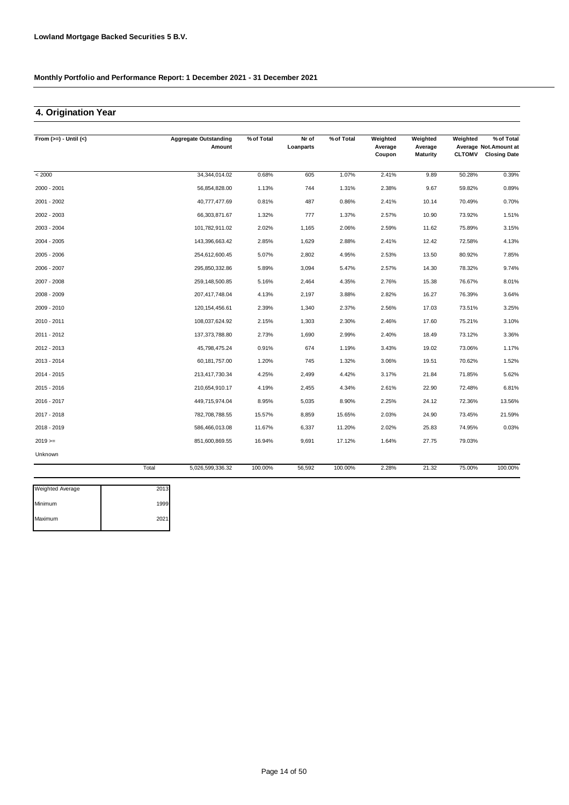### **4. Origination Year**

| From $(>=) -$ Until $(<)$ |       | <b>Aggregate Outstanding</b> | % of Total | Nr of     | % of Total | Weighted          | Weighted                   | Weighted      | % of Total                                    |
|---------------------------|-------|------------------------------|------------|-----------|------------|-------------------|----------------------------|---------------|-----------------------------------------------|
|                           |       | Amount                       |            | Loanparts |            | Average<br>Coupon | Average<br><b>Maturity</b> | <b>CLTOMV</b> | Average Not. Amount at<br><b>Closing Date</b> |
| < 2000                    |       | 34,344,014.02                | 0.68%      | 605       | 1.07%      | 2.41%             | 9.89                       | 50.28%        | 0.39%                                         |
| 2000 - 2001               |       | 56,854,828.00                | 1.13%      | 744       | 1.31%      | 2.38%             | 9.67                       | 59.82%        | 0.89%                                         |
| 2001 - 2002               |       | 40,777,477.69                | 0.81%      | 487       | 0.86%      | 2.41%             | 10.14                      | 70.49%        | 0.70%                                         |
| 2002 - 2003               |       | 66,303,871.67                | 1.32%      | 777       | 1.37%      | 2.57%             | 10.90                      | 73.92%        | 1.51%                                         |
| 2003 - 2004               |       | 101,782,911.02               | 2.02%      | 1,165     | 2.06%      | 2.59%             | 11.62                      | 75.89%        | 3.15%                                         |
| $2004 - 2005$             |       | 143,396,663.42               | 2.85%      | 1,629     | 2.88%      | 2.41%             | 12.42                      | 72.58%        | 4.13%                                         |
| 2005 - 2006               |       | 254,612,600.45               | 5.07%      | 2,802     | 4.95%      | 2.53%             | 13.50                      | 80.92%        | 7.85%                                         |
| 2006 - 2007               |       | 295,850,332.86               | 5.89%      | 3,094     | 5.47%      | 2.57%             | 14.30                      | 78.32%        | 9.74%                                         |
| 2007 - 2008               |       | 259,148,500.85               | 5.16%      | 2,464     | 4.35%      | 2.76%             | 15.38                      | 76.67%        | 8.01%                                         |
| 2008 - 2009               |       | 207,417,748.04               | 4.13%      | 2,197     | 3.88%      | 2.82%             | 16.27                      | 76.39%        | 3.64%                                         |
| 2009 - 2010               |       | 120, 154, 456.61             | 2.39%      | 1,340     | 2.37%      | 2.56%             | 17.03                      | 73.51%        | 3.25%                                         |
| 2010 - 2011               |       | 108,037,624.92               | 2.15%      | 1,303     | 2.30%      | 2.46%             | 17.60                      | 75.21%        | 3.10%                                         |
| 2011 - 2012               |       | 137,373,788.80               | 2.73%      | 1,690     | 2.99%      | 2.40%             | 18.49                      | 73.12%        | 3.36%                                         |
| 2012 - 2013               |       | 45,798,475.24                | 0.91%      | 674       | 1.19%      | 3.43%             | 19.02                      | 73.06%        | 1.17%                                         |
| 2013 - 2014               |       | 60,181,757.00                | 1.20%      | 745       | 1.32%      | 3.06%             | 19.51                      | 70.62%        | 1.52%                                         |
| 2014 - 2015               |       | 213,417,730.34               | 4.25%      | 2,499     | 4.42%      | 3.17%             | 21.84                      | 71.85%        | 5.62%                                         |
| 2015 - 2016               |       | 210,654,910.17               | 4.19%      | 2,455     | 4.34%      | 2.61%             | 22.90                      | 72.48%        | 6.81%                                         |
| 2016 - 2017               |       | 449,715,974.04               | 8.95%      | 5,035     | 8.90%      | 2.25%             | 24.12                      | 72.36%        | 13.56%                                        |
| 2017 - 2018               |       | 782,708,788.55               | 15.57%     | 8,859     | 15.65%     | 2.03%             | 24.90                      | 73.45%        | 21.59%                                        |
| 2018 - 2019               |       | 586,466,013.08               | 11.67%     | 6,337     | 11.20%     | 2.02%             | 25.83                      | 74.95%        | 0.03%                                         |
| $2019 =$                  |       | 851,600,869.55               | 16.94%     | 9,691     | 17.12%     | 1.64%             | 27.75                      | 79.03%        |                                               |
| Unknown                   |       |                              |            |           |            |                   |                            |               |                                               |
|                           | Total | 5,026,599,336.32             | 100.00%    | 56,592    | 100.00%    | 2.28%             | 21.32                      | 75.00%        | 100.00%                                       |

| <b>Weighted Average</b> | 2013 |
|-------------------------|------|
| Minimum                 | 1999 |
| Maximum                 | 2021 |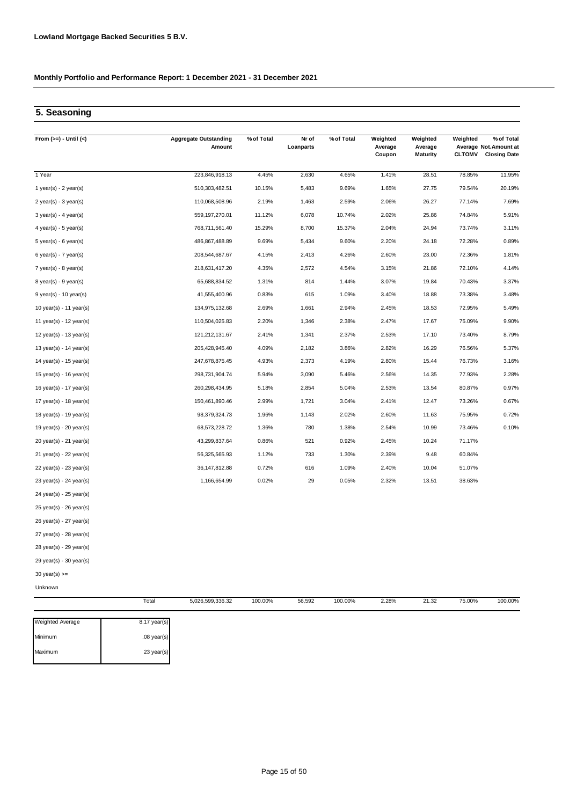### **5. Seasoning**

| From $(>=) -$ Until $(<)$   |       | <b>Aggregate Outstanding</b><br>Amount | % of Total | Nr of<br>Loanparts | % of Total | Weighted<br>Average<br>Coupon | Weighted<br>Average<br><b>Maturity</b> | Weighted<br><b>CLTOMV</b> | % of Total<br>Average Not.Amount at<br><b>Closing Date</b> |
|-----------------------------|-------|----------------------------------------|------------|--------------------|------------|-------------------------------|----------------------------------------|---------------------------|------------------------------------------------------------|
| 1 Year                      |       | 223,846,918.13                         | 4.45%      | 2,630              | 4.65%      | 1.41%                         | 28.51                                  | 78.85%                    | 11.95%                                                     |
| 1 year(s) - $2$ year(s)     |       | 510,303,482.51                         | 10.15%     | 5,483              | 9.69%      | 1.65%                         | 27.75                                  | 79.54%                    | 20.19%                                                     |
| 2 year(s) - 3 year(s)       |       | 110,068,508.96                         | 2.19%      | 1,463              | 2.59%      | 2.06%                         | 26.27                                  | 77.14%                    | 7.69%                                                      |
| $3$ year(s) - 4 year(s)     |       | 559, 197, 270.01                       | 11.12%     | 6,078              | 10.74%     | 2.02%                         | 25.86                                  | 74.84%                    | 5.91%                                                      |
| 4 year(s) - 5 year(s)       |       | 768,711,561.40                         | 15.29%     | 8,700              | 15.37%     | 2.04%                         | 24.94                                  | 73.74%                    | 3.11%                                                      |
| $5$ year(s) - $6$ year(s)   |       | 486,867,488.89                         | 9.69%      | 5,434              | 9.60%      | 2.20%                         | 24.18                                  | 72.28%                    | 0.89%                                                      |
| $6$ year(s) - 7 year(s)     |       | 208,544,687.67                         | 4.15%      | 2,413              | 4.26%      | 2.60%                         | 23.00                                  | 72.36%                    | 1.81%                                                      |
| $7$ year(s) - 8 year(s)     |       | 218,631,417.20                         | 4.35%      | 2,572              | 4.54%      | 3.15%                         | 21.86                                  | 72.10%                    | 4.14%                                                      |
| 8 year(s) - 9 year(s)       |       | 65,688,834.52                          | 1.31%      | 814                | 1.44%      | 3.07%                         | 19.84                                  | 70.43%                    | 3.37%                                                      |
| $9$ year(s) - 10 year(s)    |       | 41,555,400.96                          | 0.83%      | 615                | 1.09%      | 3.40%                         | 18.88                                  | 73.38%                    | 3.48%                                                      |
| 10 year(s) - 11 year(s)     |       | 134,975,132.68                         | 2.69%      | 1,661              | 2.94%      | 2.45%                         | 18.53                                  | 72.95%                    | 5.49%                                                      |
| 11 year(s) - 12 year(s)     |       | 110,504,025.83                         | 2.20%      | 1,346              | 2.38%      | 2.47%                         | 17.67                                  | 75.09%                    | 9.90%                                                      |
| 12 year(s) - 13 year(s)     |       | 121,212,131.67                         | 2.41%      | 1,341              | 2.37%      | 2.53%                         | 17.10                                  | 73.40%                    | 8.79%                                                      |
| 13 year(s) - 14 year(s)     |       | 205,428,945.40                         | 4.09%      | 2,182              | 3.86%      | 2.82%                         | 16.29                                  | 76.56%                    | 5.37%                                                      |
| 14 year(s) - $15$ year(s)   |       | 247,678,875.45                         | 4.93%      | 2,373              | 4.19%      | 2.80%                         | 15.44                                  | 76.73%                    | 3.16%                                                      |
| 15 year(s) - 16 year(s)     |       | 298,731,904.74                         | 5.94%      | 3,090              | 5.46%      | 2.56%                         | 14.35                                  | 77.93%                    | 2.28%                                                      |
| 16 year(s) - 17 year(s)     |       | 260,298,434.95                         | 5.18%      | 2,854              | 5.04%      | 2.53%                         | 13.54                                  | 80.87%                    | 0.97%                                                      |
| 17 year(s) - 18 year(s)     |       | 150,461,890.46                         | 2.99%      | 1,721              | 3.04%      | 2.41%                         | 12.47                                  | 73.26%                    | 0.67%                                                      |
| 18 year(s) - 19 year(s)     |       | 98,379,324.73                          | 1.96%      | 1,143              | 2.02%      | 2.60%                         | 11.63                                  | 75.95%                    | 0.72%                                                      |
| 19 year(s) - 20 year(s)     |       | 68,573,228.72                          | 1.36%      | 780                | 1.38%      | 2.54%                         | 10.99                                  | 73.46%                    | 0.10%                                                      |
| 20 year(s) - 21 year(s)     |       | 43,299,837.64                          | 0.86%      | 521                | 0.92%      | 2.45%                         | 10.24                                  | 71.17%                    |                                                            |
| $21$ year(s) - 22 year(s)   |       | 56,325,565.93                          | 1.12%      | 733                | 1.30%      | 2.39%                         | 9.48                                   | 60.84%                    |                                                            |
| 22 year(s) - 23 year(s)     |       | 36, 147, 812.88                        | 0.72%      | 616                | 1.09%      | 2.40%                         | 10.04                                  | 51.07%                    |                                                            |
| $23$ year(s) - $24$ year(s) |       | 1,166,654.99                           | 0.02%      | 29                 | 0.05%      | 2.32%                         | 13.51                                  | 38.63%                    |                                                            |
| 24 year(s) - 25 year(s)     |       |                                        |            |                    |            |                               |                                        |                           |                                                            |
| 25 year(s) - 26 year(s)     |       |                                        |            |                    |            |                               |                                        |                           |                                                            |
| 26 year(s) - 27 year(s)     |       |                                        |            |                    |            |                               |                                        |                           |                                                            |
| 27 year(s) - 28 year(s)     |       |                                        |            |                    |            |                               |                                        |                           |                                                            |
| 28 year(s) - 29 year(s)     |       |                                        |            |                    |            |                               |                                        |                           |                                                            |
| 29 year(s) - 30 year(s)     |       |                                        |            |                    |            |                               |                                        |                           |                                                            |
| $30 \text{ year(s)} >=$     |       |                                        |            |                    |            |                               |                                        |                           |                                                            |
| Unknown                     |       |                                        |            |                    |            |                               |                                        |                           |                                                            |
|                             | Total | 5,026,599,336.32                       | 100.00%    | 56,592             | 100.00%    | 2.28%                         | 21.32                                  | 75.00%                    | 100.00%                                                    |

| <b>Weighted Average</b> | $8.17$ year(s) |
|-------------------------|----------------|
| Minimum                 | $.08$ year(s)  |
| Maximum                 | 23 year(s)     |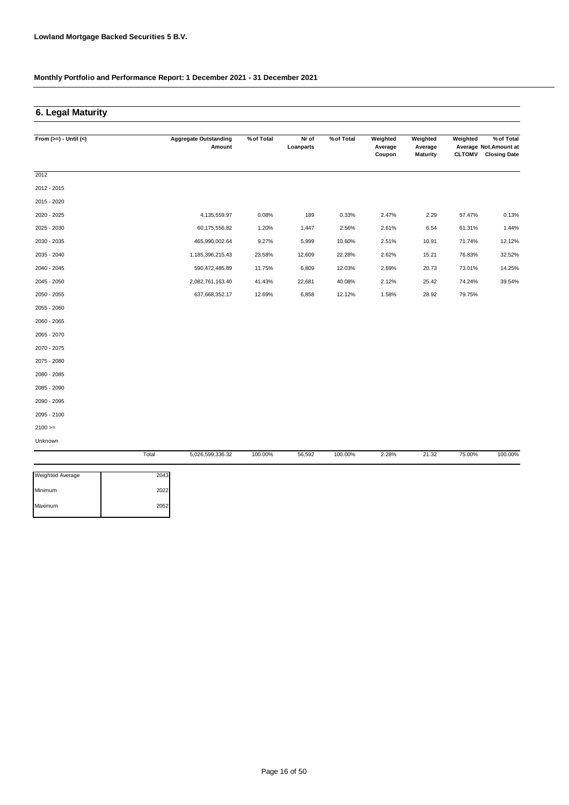### **6. Legal Maturity**

| From $(>=) -$ Until $(<)$ |       | <b>Aggregate Outstanding</b><br>Amount | % of Total | Nr of<br>Loanparts | % of Total | Weighted<br>Average | Weighted<br>Average | Weighted      | % of Total<br>Average Not. Amount at |
|---------------------------|-------|----------------------------------------|------------|--------------------|------------|---------------------|---------------------|---------------|--------------------------------------|
|                           |       |                                        |            |                    |            | Coupon              | <b>Maturity</b>     | <b>CLTOMV</b> | <b>Closing Date</b>                  |
| 2012                      |       |                                        |            |                    |            |                     |                     |               |                                      |
| 2012 - 2015               |       |                                        |            |                    |            |                     |                     |               |                                      |
| 2015 - 2020               |       |                                        |            |                    |            |                     |                     |               |                                      |
| 2020 - 2025               |       | 4,135,559.97                           | 0.08%      | 189                | 0.33%      | 2.47%               | 2.29                | 57.47%        | 0.13%                                |
| 2025 - 2030               |       | 60,175,556.82                          | 1.20%      | 1,447              | 2.56%      | 2.61%               | 6.54                | 61.31%        | 1.44%                                |
| 2030 - 2035               |       | 465,990,002.64                         | 9.27%      | 5,999              | 10.60%     | 2.51%               | 10.91               | 71.74%        | 12.12%                               |
| 2035 - 2040               |       | 1,185,396,215.43                       | 23.58%     | 12,609             | 22.28%     | 2.62%               | 15.21               | 76.83%        | 32.52%                               |
| 2040 - 2045               |       | 590,472,485.89                         | 11.75%     | 6,809              | 12.03%     | 2.69%               | 20.73               | 73.01%        | 14.25%                               |
| 2045 - 2050               |       | 2,082,761,163.40                       | 41.43%     | 22,681             | 40.08%     | 2.12%               | 25.42               | 74.24%        | 39.54%                               |
| 2050 - 2055               |       | 637,668,352.17                         | 12.69%     | 6,858              | 12.12%     | 1.58%               | 28.92               | 79.75%        |                                      |
| 2055 - 2060               |       |                                        |            |                    |            |                     |                     |               |                                      |
| 2060 - 2065               |       |                                        |            |                    |            |                     |                     |               |                                      |
| 2065 - 2070               |       |                                        |            |                    |            |                     |                     |               |                                      |
| 2070 - 2075               |       |                                        |            |                    |            |                     |                     |               |                                      |
| 2075 - 2080               |       |                                        |            |                    |            |                     |                     |               |                                      |
| 2080 - 2085               |       |                                        |            |                    |            |                     |                     |               |                                      |
| 2085 - 2090               |       |                                        |            |                    |            |                     |                     |               |                                      |
| 2090 - 2095               |       |                                        |            |                    |            |                     |                     |               |                                      |
| 2095 - 2100               |       |                                        |            |                    |            |                     |                     |               |                                      |
| $2100 >=$                 |       |                                        |            |                    |            |                     |                     |               |                                      |
| Unknown                   |       |                                        |            |                    |            |                     |                     |               |                                      |
|                           | Total | 5,026,599,336.32                       | 100.00%    | 56,592             | 100.00%    | 2.28%               | 21.32               | 75.00%        | 100.00%                              |

| <b>Weighted Average</b> | 2043 |
|-------------------------|------|
| Minimum                 | 2022 |
| Maximum                 | 2052 |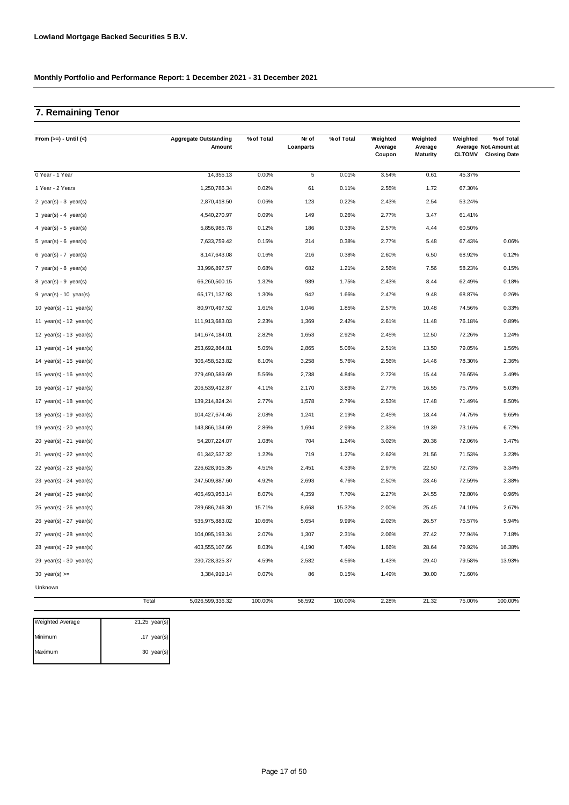### **7. Remaining Tenor**

| From $(>=) -$ Until $(<)$   | <b>Aggregate Outstanding</b><br>Amount | % of Total | Nr of<br>Loanparts | % of Total | Weighted<br>Average<br>Coupon | Weighted<br>Average<br><b>Maturity</b> | Weighted<br><b>CLTOMV</b> | % of Total<br>Average Not.Amount at<br><b>Closing Date</b> |
|-----------------------------|----------------------------------------|------------|--------------------|------------|-------------------------------|----------------------------------------|---------------------------|------------------------------------------------------------|
| 0 Year - 1 Year             | 14,355.13                              | 0.00%      | 5                  | 0.01%      | 3.54%                         | 0.61                                   | 45.37%                    |                                                            |
| 1 Year - 2 Years            | 1,250,786.34                           | 0.02%      | 61                 | 0.11%      | 2.55%                         | 1.72                                   | 67.30%                    |                                                            |
| 2 $year(s) - 3 year(s)$     | 2,870,418.50                           | 0.06%      | 123                | 0.22%      | 2.43%                         | 2.54                                   | 53.24%                    |                                                            |
| 3 year(s) - 4 year(s)       | 4,540,270.97                           | 0.09%      | 149                | 0.26%      | 2.77%                         | 3.47                                   | 61.41%                    |                                                            |
| 4 year(s) - 5 year(s)       | 5,856,985.78                           | 0.12%      | 186                | 0.33%      | 2.57%                         | 4.44                                   | 60.50%                    |                                                            |
| 5 year(s) - $6$ year(s)     | 7,633,759.42                           | 0.15%      | 214                | 0.38%      | 2.77%                         | 5.48                                   | 67.43%                    | 0.06%                                                      |
| 6 year(s) - 7 year(s)       | 8,147,643.08                           | 0.16%      | 216                | 0.38%      | 2.60%                         | 6.50                                   | 68.92%                    | 0.12%                                                      |
| 7 year(s) - 8 year(s)       | 33,996,897.57                          | 0.68%      | 682                | 1.21%      | 2.56%                         | 7.56                                   | 58.23%                    | 0.15%                                                      |
| 8 year(s) - 9 year(s)       | 66,260,500.15                          | 1.32%      | 989                | 1.75%      | 2.43%                         | 8.44                                   | 62.49%                    | 0.18%                                                      |
| $9$ year(s) - 10 year(s)    | 65, 171, 137.93                        | 1.30%      | 942                | 1.66%      | 2.47%                         | 9.48                                   | 68.87%                    | 0.26%                                                      |
| 10 $year(s) - 11$ $year(s)$ | 80,970,497.52                          | 1.61%      | 1,046              | 1.85%      | 2.57%                         | 10.48                                  | 74.56%                    | 0.33%                                                      |
| 11 $year(s) - 12$ $year(s)$ | 111,913,683.03                         | 2.23%      | 1,369              | 2.42%      | 2.61%                         | 11.48                                  | 76.18%                    | 0.89%                                                      |
| 12 $year(s) - 13$ $year(s)$ | 141,674,184.01                         | 2.82%      | 1,653              | 2.92%      | 2.45%                         | 12.50                                  | 72.26%                    | 1.24%                                                      |
| 13 year(s) - 14 year(s)     | 253,692,864.81                         | 5.05%      | 2,865              | 5.06%      | 2.51%                         | 13.50                                  | 79.05%                    | 1.56%                                                      |
| 14 year(s) - 15 year(s)     | 306,458,523.82                         | 6.10%      | 3,258              | 5.76%      | 2.56%                         | 14.46                                  | 78.30%                    | 2.36%                                                      |
| 15 $year(s) - 16$ $year(s)$ | 279,490,589.69                         | 5.56%      | 2,738              | 4.84%      | 2.72%                         | 15.44                                  | 76.65%                    | 3.49%                                                      |
| 16 $year(s) - 17$ $year(s)$ | 206,539,412.87                         | 4.11%      | 2,170              | 3.83%      | 2.77%                         | 16.55                                  | 75.79%                    | 5.03%                                                      |
| 17 $year(s) - 18$ $year(s)$ | 139,214,824.24                         | 2.77%      | 1,578              | 2.79%      | 2.53%                         | 17.48                                  | 71.49%                    | 8.50%                                                      |
| 18 year(s) - 19 year(s)     | 104,427,674.46                         | 2.08%      | 1,241              | 2.19%      | 2.45%                         | 18.44                                  | 74.75%                    | 9.65%                                                      |
| 19 year(s) - 20 year(s)     | 143,866,134.69                         | 2.86%      | 1,694              | 2.99%      | 2.33%                         | 19.39                                  | 73.16%                    | 6.72%                                                      |
| $20$ year(s) - 21 year(s)   | 54,207,224.07                          | 1.08%      | 704                | 1.24%      | 3.02%                         | 20.36                                  | 72.06%                    | 3.47%                                                      |
| 21 year(s) - 22 year(s)     | 61,342,537.32                          | 1.22%      | 719                | 1.27%      | 2.62%                         | 21.56                                  | 71.53%                    | 3.23%                                                      |
| 22 $year(s) - 23$ $year(s)$ | 226,628,915.35                         | 4.51%      | 2,451              | 4.33%      | 2.97%                         | 22.50                                  | 72.73%                    | 3.34%                                                      |
| 23 $year(s) - 24$ $year(s)$ | 247,509,887.60                         | 4.92%      | 2,693              | 4.76%      | 2.50%                         | 23.46                                  | 72.59%                    | 2.38%                                                      |
| $24$ year(s) - $25$ year(s) | 405,493,953.14                         | 8.07%      | 4,359              | 7.70%      | 2.27%                         | 24.55                                  | 72.80%                    | 0.96%                                                      |
| 25 year(s) - 26 year(s)     | 789,686,246.30                         | 15.71%     | 8,668              | 15.32%     | 2.00%                         | 25.45                                  | 74.10%                    | 2.67%                                                      |
| $26$ year(s) - $27$ year(s) | 535,975,883.02                         | 10.66%     | 5,654              | 9.99%      | 2.02%                         | 26.57                                  | 75.57%                    | 5.94%                                                      |
| $27$ year(s) - $28$ year(s) | 104,095,193.34                         | 2.07%      | 1,307              | 2.31%      | 2.06%                         | 27.42                                  | 77.94%                    | 7.18%                                                      |
| 28 year(s) - 29 year(s)     | 403,555,107.66                         | 8.03%      | 4,190              | 7.40%      | 1.66%                         | 28.64                                  | 79.92%                    | 16.38%                                                     |
| $29$ year(s) - 30 year(s)   | 230,728,325.37                         | 4.59%      | 2,582              | 4.56%      | 1.43%                         | 29.40                                  | 79.58%                    | 13.93%                                                     |
| 30 year(s) $>=$             | 3,384,919.14                           | 0.07%      | 86                 | 0.15%      | 1.49%                         | 30.00                                  | 71.60%                    |                                                            |
| Unknown                     |                                        |            |                    |            |                               |                                        |                           |                                                            |
|                             | Total<br>5,026,599,336.32              | 100.00%    | 56,592             | 100.00%    | 2.28%                         | 21.32                                  | 75.00%                    | 100.00%                                                    |

| <b>Weighted Average</b> | $21.25$ year(s) |
|-------------------------|-----------------|
| Minimum                 | $.17$ year(s)   |
| Maximum                 | 30 year(s)      |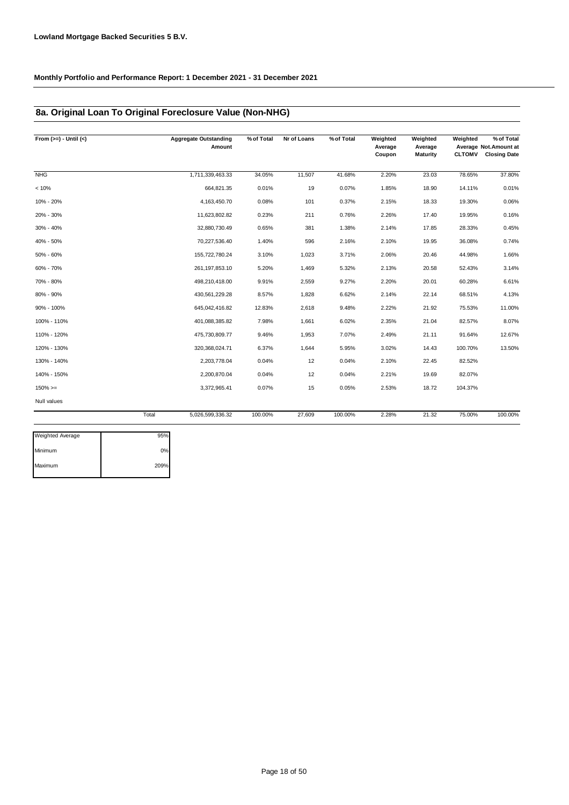### **8a. Original Loan To Original Foreclosure Value (Non-NHG)**

| From $(>=) -$ Until $(<)$ |       | <b>Aggregate Outstanding</b><br>Amount | % of Total | Nr of Loans | % of Total | Weighted<br>Average<br>Coupon | Weighted<br>Average<br><b>Maturity</b> | Weighted<br><b>CLTOMV</b> | % of Total<br>Average Not.Amount at<br><b>Closing Date</b> |
|---------------------------|-------|----------------------------------------|------------|-------------|------------|-------------------------------|----------------------------------------|---------------------------|------------------------------------------------------------|
| <b>NHG</b>                |       | 1,711,339,463.33                       | 34.05%     | 11,507      | 41.68%     | 2.20%                         | 23.03                                  | 78.65%                    | 37.80%                                                     |
| < 10%                     |       | 664,821.35                             | 0.01%      | 19          | 0.07%      | 1.85%                         | 18.90                                  | 14.11%                    | 0.01%                                                      |
| 10% - 20%                 |       | 4,163,450.70                           | 0.08%      | 101         | 0.37%      | 2.15%                         | 18.33                                  | 19.30%                    | 0.06%                                                      |
| 20% - 30%                 |       | 11,623,802.82                          | 0.23%      | 211         | 0.76%      | 2.26%                         | 17.40                                  | 19.95%                    | 0.16%                                                      |
| 30% - 40%                 |       | 32,880,730.49                          | 0.65%      | 381         | 1.38%      | 2.14%                         | 17.85                                  | 28.33%                    | 0.45%                                                      |
| 40% - 50%                 |       | 70,227,536.40                          | 1.40%      | 596         | 2.16%      | 2.10%                         | 19.95                                  | 36.08%                    | 0.74%                                                      |
| 50% - 60%                 |       | 155,722,780.24                         | 3.10%      | 1,023       | 3.71%      | 2.06%                         | 20.46                                  | 44.98%                    | 1.66%                                                      |
| 60% - 70%                 |       | 261, 197, 853. 10                      | 5.20%      | 1,469       | 5.32%      | 2.13%                         | 20.58                                  | 52.43%                    | 3.14%                                                      |
| 70% - 80%                 |       | 498,210,418.00                         | 9.91%      | 2,559       | 9.27%      | 2.20%                         | 20.01                                  | 60.28%                    | 6.61%                                                      |
| 80% - 90%                 |       | 430,561,229.28                         | 8.57%      | 1,828       | 6.62%      | 2.14%                         | 22.14                                  | 68.51%                    | 4.13%                                                      |
| 90% - 100%                |       | 645,042,416.82                         | 12.83%     | 2,618       | 9.48%      | 2.22%                         | 21.92                                  | 75.53%                    | 11.00%                                                     |
| 100% - 110%               |       | 401,088,385.82                         | 7.98%      | 1,661       | 6.02%      | 2.35%                         | 21.04                                  | 82.57%                    | 8.07%                                                      |
| 110% - 120%               |       | 475,730,809.77                         | 9.46%      | 1,953       | 7.07%      | 2.49%                         | 21.11                                  | 91.64%                    | 12.67%                                                     |
| 120% - 130%               |       | 320, 368, 024.71                       | 6.37%      | 1,644       | 5.95%      | 3.02%                         | 14.43                                  | 100.70%                   | 13.50%                                                     |
| 130% - 140%               |       | 2,203,778.04                           | 0.04%      | 12          | 0.04%      | 2.10%                         | 22.45                                  | 82.52%                    |                                                            |
| 140% - 150%               |       | 2,200,870.04                           | 0.04%      | 12          | 0.04%      | 2.21%                         | 19.69                                  | 82.07%                    |                                                            |
| $150\%>=$                 |       | 3,372,965.41                           | 0.07%      | 15          | 0.05%      | 2.53%                         | 18.72                                  | 104.37%                   |                                                            |
| Null values               |       |                                        |            |             |            |                               |                                        |                           |                                                            |
|                           | Total | 5,026,599,336.32                       | 100.00%    | 27,609      | 100.00%    | 2.28%                         | 21.32                                  | 75.00%                    | 100.00%                                                    |

| Weighted Average | 95%  |
|------------------|------|
| Minimum          | 0%   |
| Maximum          | 209% |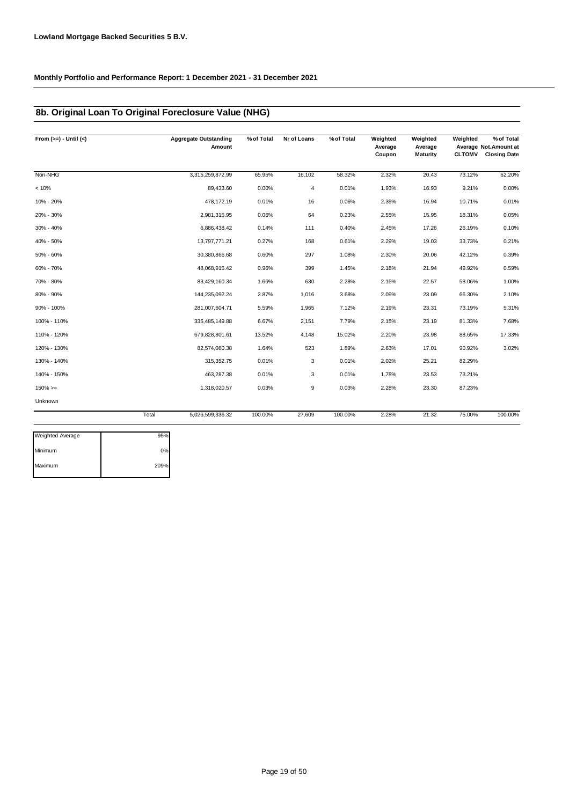### **8b. Original Loan To Original Foreclosure Value (NHG)**

| From $(>=) -$ Until $(<)$ | <b>Aggregate Outstanding</b><br>Amount | % of Total | Nr of Loans | % of Total | Weighted<br>Average<br>Coupon | Weighted<br>Average<br><b>Maturity</b> | Weighted<br><b>CLTOMV</b> | % of Total<br>Average Not.Amount at<br><b>Closing Date</b> |
|---------------------------|----------------------------------------|------------|-------------|------------|-------------------------------|----------------------------------------|---------------------------|------------------------------------------------------------|
| Non-NHG                   | 3,315,259,872.99                       | 65.95%     | 16,102      | 58.32%     | 2.32%                         | 20.43                                  | 73.12%                    | 62.20%                                                     |
| < 10%                     | 89,433.60                              | 0.00%      | 4           | 0.01%      | 1.93%                         | 16.93                                  | 9.21%                     | 0.00%                                                      |
| 10% - 20%                 | 478,172.19                             | 0.01%      | 16          | 0.06%      | 2.39%                         | 16.94                                  | 10.71%                    | 0.01%                                                      |
| 20% - 30%                 | 2,981,315.95                           | 0.06%      | 64          | 0.23%      | 2.55%                         | 15.95                                  | 18.31%                    | 0.05%                                                      |
| 30% - 40%                 | 6,886,438.42                           | 0.14%      | 111         | 0.40%      | 2.45%                         | 17.26                                  | 26.19%                    | 0.10%                                                      |
| 40% - 50%                 | 13,797,771.21                          | 0.27%      | 168         | 0.61%      | 2.29%                         | 19.03                                  | 33.73%                    | 0.21%                                                      |
| 50% - 60%                 | 30,380,866.68                          | 0.60%      | 297         | 1.08%      | 2.30%                         | 20.06                                  | 42.12%                    | 0.39%                                                      |
| 60% - 70%                 | 48,068,915.42                          | 0.96%      | 399         | 1.45%      | 2.18%                         | 21.94                                  | 49.92%                    | 0.59%                                                      |
| 70% - 80%                 | 83,429,160.34                          | 1.66%      | 630         | 2.28%      | 2.15%                         | 22.57                                  | 58.06%                    | 1.00%                                                      |
| 80% - 90%                 | 144,235,092.24                         | 2.87%      | 1,016       | 3.68%      | 2.09%                         | 23.09                                  | 66.30%                    | 2.10%                                                      |
| 90% - 100%                | 281,007,604.71                         | 5.59%      | 1,965       | 7.12%      | 2.19%                         | 23.31                                  | 73.19%                    | 5.31%                                                      |
| 100% - 110%               | 335,485,149.88                         | 6.67%      | 2,151       | 7.79%      | 2.15%                         | 23.19                                  | 81.33%                    | 7.68%                                                      |
| 110% - 120%               | 679,828,801.61                         | 13.52%     | 4,148       | 15.02%     | 2.20%                         | 23.98                                  | 88.65%                    | 17.33%                                                     |
| 120% - 130%               | 82,574,080.38                          | 1.64%      | 523         | 1.89%      | 2.63%                         | 17.01                                  | 90.92%                    | 3.02%                                                      |
| 130% - 140%               | 315, 352.75                            | 0.01%      | 3           | 0.01%      | 2.02%                         | 25.21                                  | 82.29%                    |                                                            |
| 140% - 150%               | 463,287.38                             | 0.01%      | 3           | 0.01%      | 1.78%                         | 23.53                                  | 73.21%                    |                                                            |
| $150\%>=$                 | 1,318,020.57                           | 0.03%      | 9           | 0.03%      | 2.28%                         | 23.30                                  | 87.23%                    |                                                            |
| Unknown                   |                                        |            |             |            |                               |                                        |                           |                                                            |
|                           | Total<br>5,026,599,336.32              | 100.00%    | 27,609      | 100.00%    | 2.28%                         | 21.32                                  | 75.00%                    | 100.00%                                                    |

| <b>Weighted Average</b> | 95%  |
|-------------------------|------|
| Minimum                 | 0%   |
| Maximum                 | 209% |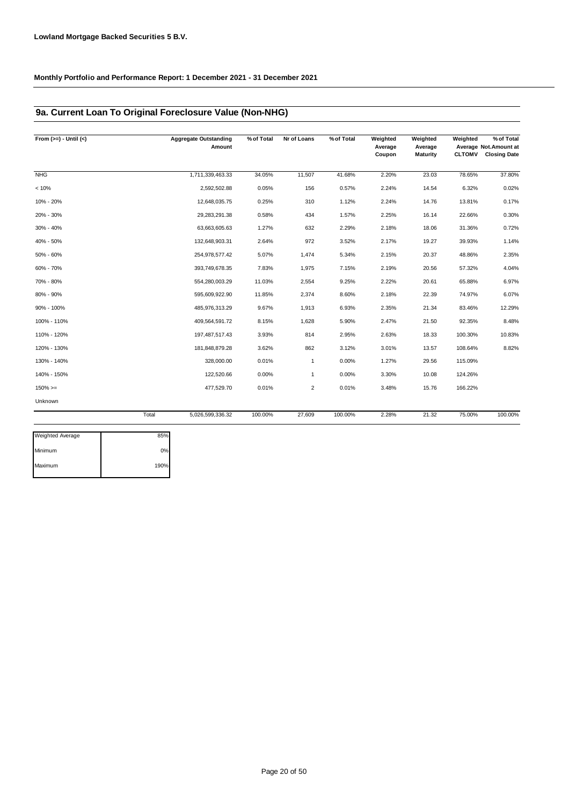### **9a. Current Loan To Original Foreclosure Value (Non-NHG)**

| From $(>=) -$ Until $(<)$ |       | <b>Aggregate Outstanding</b><br>Amount | % of Total | Nr of Loans    | % of Total | Weighted<br>Average<br>Coupon | Weighted<br>Average<br><b>Maturity</b> | Weighted<br><b>CLTOMV</b> | % of Total<br>Average Not. Amount at<br><b>Closing Date</b> |
|---------------------------|-------|----------------------------------------|------------|----------------|------------|-------------------------------|----------------------------------------|---------------------------|-------------------------------------------------------------|
| <b>NHG</b>                |       | 1,711,339,463.33                       | 34.05%     | 11,507         | 41.68%     | 2.20%                         | 23.03                                  | 78.65%                    | 37.80%                                                      |
| < 10%                     |       | 2,592,502.88                           | 0.05%      | 156            | 0.57%      | 2.24%                         | 14.54                                  | 6.32%                     | 0.02%                                                       |
| 10% - 20%                 |       | 12,648,035.75                          | 0.25%      | 310            | 1.12%      | 2.24%                         | 14.76                                  | 13.81%                    | 0.17%                                                       |
| 20% - 30%                 |       | 29,283,291.38                          | 0.58%      | 434            | 1.57%      | 2.25%                         | 16.14                                  | 22.66%                    | 0.30%                                                       |
| 30% - 40%                 |       | 63,663,605.63                          | 1.27%      | 632            | 2.29%      | 2.18%                         | 18.06                                  | 31.36%                    | 0.72%                                                       |
| 40% - 50%                 |       | 132,648,903.31                         | 2.64%      | 972            | 3.52%      | 2.17%                         | 19.27                                  | 39.93%                    | 1.14%                                                       |
| 50% - 60%                 |       | 254,978,577.42                         | 5.07%      | 1,474          | 5.34%      | 2.15%                         | 20.37                                  | 48.86%                    | 2.35%                                                       |
| 60% - 70%                 |       | 393,749,678.35                         | 7.83%      | 1,975          | 7.15%      | 2.19%                         | 20.56                                  | 57.32%                    | 4.04%                                                       |
| 70% - 80%                 |       | 554,280,003.29                         | 11.03%     | 2,554          | 9.25%      | 2.22%                         | 20.61                                  | 65.88%                    | 6.97%                                                       |
| 80% - 90%                 |       | 595,609,922.90                         | 11.85%     | 2,374          | 8.60%      | 2.18%                         | 22.39                                  | 74.97%                    | 6.07%                                                       |
| 90% - 100%                |       | 485,976,313.29                         | 9.67%      | 1,913          | 6.93%      | 2.35%                         | 21.34                                  | 83.46%                    | 12.29%                                                      |
| 100% - 110%               |       | 409,564,591.72                         | 8.15%      | 1,628          | 5.90%      | 2.47%                         | 21.50                                  | 92.35%                    | 8.48%                                                       |
| 110% - 120%               |       | 197,487,517.43                         | 3.93%      | 814            | 2.95%      | 2.63%                         | 18.33                                  | 100.30%                   | 10.83%                                                      |
| 120% - 130%               |       | 181,848,879.28                         | 3.62%      | 862            | 3.12%      | 3.01%                         | 13.57                                  | 108.64%                   | 8.82%                                                       |
| 130% - 140%               |       | 328,000.00                             | 0.01%      | $\mathbf{1}$   | 0.00%      | 1.27%                         | 29.56                                  | 115.09%                   |                                                             |
| 140% - 150%               |       | 122,520.66                             | 0.00%      | $\mathbf{1}$   | 0.00%      | 3.30%                         | 10.08                                  | 124.26%                   |                                                             |
| $150\%>=$                 |       | 477,529.70                             | 0.01%      | $\overline{2}$ | 0.01%      | 3.48%                         | 15.76                                  | 166.22%                   |                                                             |
| Unknown                   |       |                                        |            |                |            |                               |                                        |                           |                                                             |
|                           | Total | 5,026,599,336.32                       | 100.00%    | 27,609         | 100.00%    | 2.28%                         | 21.32                                  | 75.00%                    | 100.00%                                                     |
| Weighted Average          | 85%   |                                        |            |                |            |                               |                                        |                           |                                                             |

| <b>Weighted Average</b> | 85%  |
|-------------------------|------|
| Minimum                 | 0%   |
| Maximum                 | 190% |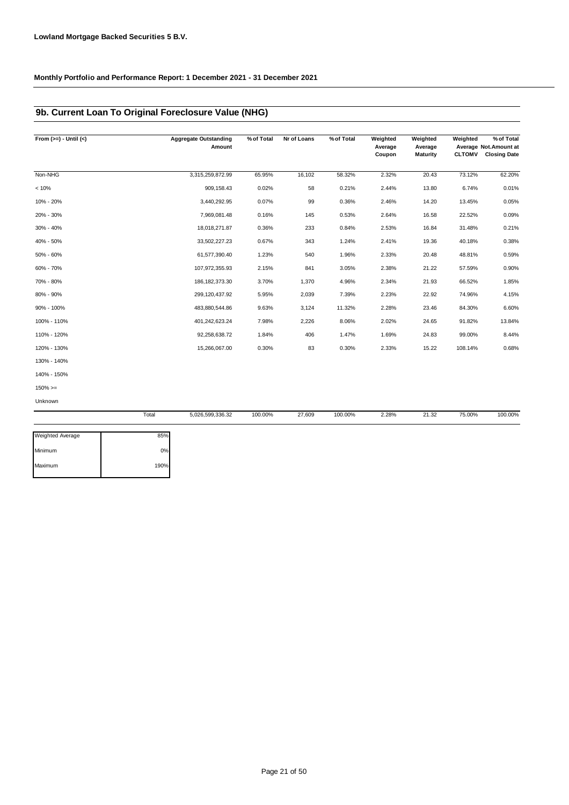### **9b. Current Loan To Original Foreclosure Value (NHG)**

| From $(>=) -$ Until $(<)$ |       | <b>Aggregate Outstanding</b><br>Amount | % of Total | Nr of Loans | % of Total | Weighted<br>Average | Weighted<br>Average | Weighted      | % of Total<br>Average Not.Amount at |
|---------------------------|-------|----------------------------------------|------------|-------------|------------|---------------------|---------------------|---------------|-------------------------------------|
|                           |       |                                        |            |             |            | Coupon              | <b>Maturity</b>     | <b>CLTOMV</b> | <b>Closing Date</b>                 |
| Non-NHG                   |       | 3,315,259,872.99                       | 65.95%     | 16,102      | 58.32%     | 2.32%               | 20.43               | 73.12%        | 62.20%                              |
| < 10%                     |       | 909,158.43                             | 0.02%      | 58          | 0.21%      | 2.44%               | 13.80               | 6.74%         | 0.01%                               |
| 10% - 20%                 |       | 3,440,292.95                           | 0.07%      | 99          | 0.36%      | 2.46%               | 14.20               | 13.45%        | 0.05%                               |
| 20% - 30%                 |       | 7,969,081.48                           | 0.16%      | 145         | 0.53%      | 2.64%               | 16.58               | 22.52%        | 0.09%                               |
| 30% - 40%                 |       | 18,018,271.87                          | 0.36%      | 233         | 0.84%      | 2.53%               | 16.84               | 31.48%        | 0.21%                               |
| 40% - 50%                 |       | 33,502,227.23                          | 0.67%      | 343         | 1.24%      | 2.41%               | 19.36               | 40.18%        | 0.38%                               |
| 50% - 60%                 |       | 61,577,390.40                          | 1.23%      | 540         | 1.96%      | 2.33%               | 20.48               | 48.81%        | 0.59%                               |
| 60% - 70%                 |       | 107,972,355.93                         | 2.15%      | 841         | 3.05%      | 2.38%               | 21.22               | 57.59%        | 0.90%                               |
| 70% - 80%                 |       | 186, 182, 373. 30                      | 3.70%      | 1,370       | 4.96%      | 2.34%               | 21.93               | 66.52%        | 1.85%                               |
| 80% - 90%                 |       | 299,120,437.92                         | 5.95%      | 2,039       | 7.39%      | 2.23%               | 22.92               | 74.96%        | 4.15%                               |
| 90% - 100%                |       | 483,880,544.86                         | 9.63%      | 3,124       | 11.32%     | 2.28%               | 23.46               | 84.30%        | 6.60%                               |
| 100% - 110%               |       | 401,242,623.24                         | 7.98%      | 2,226       | 8.06%      | 2.02%               | 24.65               | 91.82%        | 13.84%                              |
| 110% - 120%               |       | 92,258,638.72                          | 1.84%      | 406         | 1.47%      | 1.69%               | 24.83               | 99.00%        | 8.44%                               |
| 120% - 130%               |       | 15,266,067.00                          | 0.30%      | 83          | 0.30%      | 2.33%               | 15.22               | 108.14%       | 0.68%                               |
| 130% - 140%               |       |                                        |            |             |            |                     |                     |               |                                     |
| 140% - 150%               |       |                                        |            |             |            |                     |                     |               |                                     |
| $150\%>=$                 |       |                                        |            |             |            |                     |                     |               |                                     |
| Unknown                   |       |                                        |            |             |            |                     |                     |               |                                     |
|                           | Total | 5,026,599,336.32                       | 100.00%    | 27,609      | 100.00%    | 2.28%               | 21.32               | 75.00%        | 100.00%                             |

| 85%  |
|------|
| 0%   |
| 190% |
|      |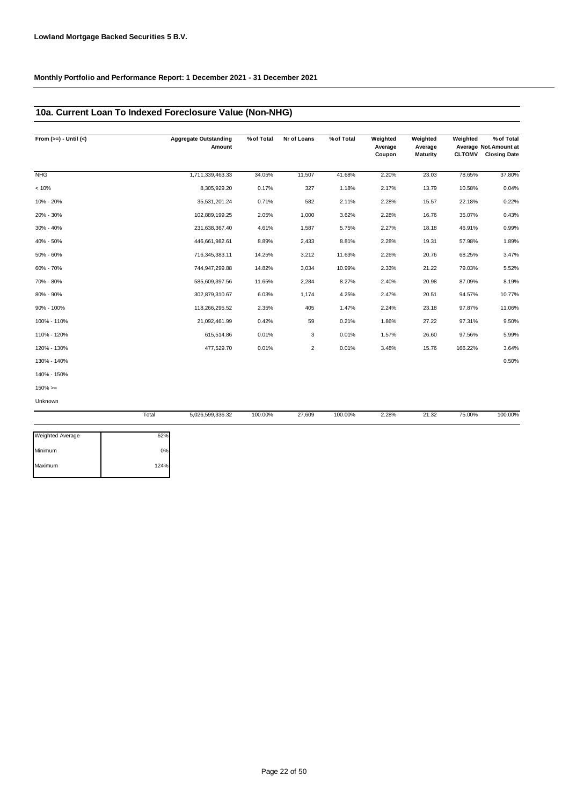### **10a. Current Loan To Indexed Foreclosure Value (Non-NHG)**

| From $(>=) -$ Until $(<)$ | <b>Aggregate Outstanding</b><br>Amount | % of Total | Nr of Loans    | % of Total | Weighted<br>Average<br>Coupon | Weighted<br>Average<br><b>Maturity</b> | Weighted<br><b>CLTOMV</b> | % of Total<br>Average Not.Amount at<br><b>Closing Date</b> |
|---------------------------|----------------------------------------|------------|----------------|------------|-------------------------------|----------------------------------------|---------------------------|------------------------------------------------------------|
| <b>NHG</b>                | 1,711,339,463.33                       | 34.05%     | 11,507         | 41.68%     | 2.20%                         | 23.03                                  | 78.65%                    | 37.80%                                                     |
| < 10%                     | 8,305,929.20                           | 0.17%      | 327            | 1.18%      | 2.17%                         | 13.79                                  | 10.58%                    | 0.04%                                                      |
| 10% - 20%                 | 35,531,201.24                          | 0.71%      | 582            | 2.11%      | 2.28%                         | 15.57                                  | 22.18%                    | 0.22%                                                      |
| 20% - 30%                 | 102,889,199.25                         | 2.05%      | 1,000          | 3.62%      | 2.28%                         | 16.76                                  | 35.07%                    | 0.43%                                                      |
| 30% - 40%                 | 231,638,367.40                         | 4.61%      | 1,587          | 5.75%      | 2.27%                         | 18.18                                  | 46.91%                    | 0.99%                                                      |
| 40% - 50%                 | 446,661,982.61                         | 8.89%      | 2,433          | 8.81%      | 2.28%                         | 19.31                                  | 57.98%                    | 1.89%                                                      |
| 50% - 60%                 | 716,345,383.11                         | 14.25%     | 3,212          | 11.63%     | 2.26%                         | 20.76                                  | 68.25%                    | 3.47%                                                      |
| 60% - 70%                 | 744,947,299.88                         | 14.82%     | 3,034          | 10.99%     | 2.33%                         | 21.22                                  | 79.03%                    | 5.52%                                                      |
| 70% - 80%                 | 585,609,397.56                         | 11.65%     | 2,284          | 8.27%      | 2.40%                         | 20.98                                  | 87.09%                    | 8.19%                                                      |
| 80% - 90%                 | 302,879,310.67                         | 6.03%      | 1,174          | 4.25%      | 2.47%                         | 20.51                                  | 94.57%                    | 10.77%                                                     |
| 90% - 100%                | 118,266,295.52                         | 2.35%      | 405            | 1.47%      | 2.24%                         | 23.18                                  | 97.87%                    | 11.06%                                                     |
| 100% - 110%               | 21,092,461.99                          | 0.42%      | 59             | 0.21%      | 1.86%                         | 27.22                                  | 97.31%                    | 9.50%                                                      |
| 110% - 120%               | 615,514.86                             | 0.01%      | 3              | 0.01%      | 1.57%                         | 26.60                                  | 97.56%                    | 5.99%                                                      |
| 120% - 130%               | 477,529.70                             | 0.01%      | $\overline{2}$ | 0.01%      | 3.48%                         | 15.76                                  | 166.22%                   | 3.64%                                                      |
| 130% - 140%               |                                        |            |                |            |                               |                                        |                           | 0.50%                                                      |
| 140% - 150%               |                                        |            |                |            |                               |                                        |                           |                                                            |
| $150\%>=$                 |                                        |            |                |            |                               |                                        |                           |                                                            |
| Unknown                   |                                        |            |                |            |                               |                                        |                           |                                                            |

|                         | Total | 5,026,599,336.32 | 100.00% | 27,609 | 100.00% | 2.28% | 21.32 | 75.00% | 100.00% |
|-------------------------|-------|------------------|---------|--------|---------|-------|-------|--------|---------|
| <b>Weighted Average</b> | 62%   |                  |         |        |         |       |       |        |         |
| Minimum                 | 0%    |                  |         |        |         |       |       |        |         |
| Maximum                 | 124%  |                  |         |        |         |       |       |        |         |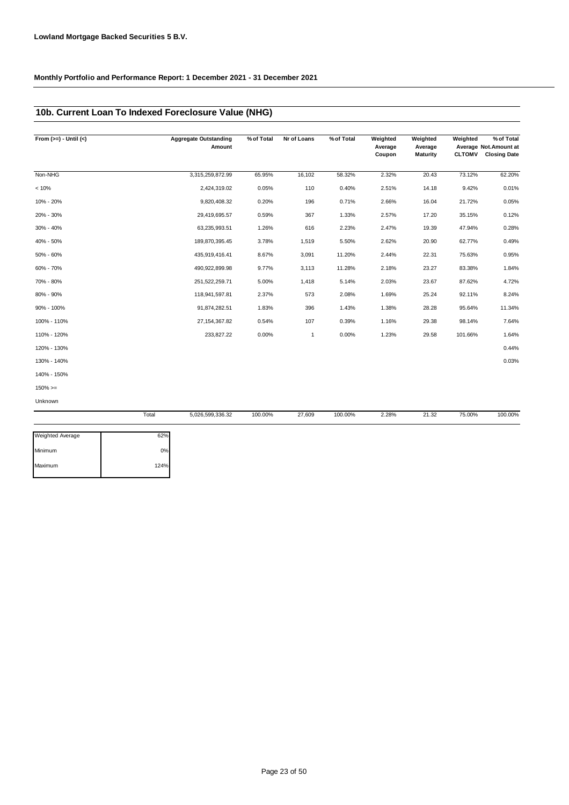### **10b. Current Loan To Indexed Foreclosure Value (NHG)**

| From $(>=) -$ Until $(<)$ |       | <b>Aggregate Outstanding</b><br>Amount | % of Total | Nr of Loans  | % of Total | Weighted<br>Average<br>Coupon | Weighted<br>Average<br><b>Maturity</b> | Weighted<br><b>CLTOMV</b> | % of Total<br>Average Not.Amount at<br><b>Closing Date</b> |
|---------------------------|-------|----------------------------------------|------------|--------------|------------|-------------------------------|----------------------------------------|---------------------------|------------------------------------------------------------|
| Non-NHG                   |       | 3,315,259,872.99                       | 65.95%     | 16,102       | 58.32%     | 2.32%                         | 20.43                                  | 73.12%                    | 62.20%                                                     |
| < 10%                     |       | 2,424,319.02                           | 0.05%      | 110          | 0.40%      | 2.51%                         | 14.18                                  | 9.42%                     | 0.01%                                                      |
| 10% - 20%                 |       | 9,820,408.32                           | 0.20%      | 196          | 0.71%      | 2.66%                         | 16.04                                  | 21.72%                    | 0.05%                                                      |
| 20% - 30%                 |       | 29,419,695.57                          | 0.59%      | 367          | 1.33%      | 2.57%                         | 17.20                                  | 35.15%                    | 0.12%                                                      |
| 30% - 40%                 |       | 63,235,993.51                          | 1.26%      | 616          | 2.23%      | 2.47%                         | 19.39                                  | 47.94%                    | 0.28%                                                      |
| 40% - 50%                 |       | 189,870,395.45                         | 3.78%      | 1,519        | 5.50%      | 2.62%                         | 20.90                                  | 62.77%                    | 0.49%                                                      |
| 50% - 60%                 |       | 435,919,416.41                         | 8.67%      | 3,091        | 11.20%     | 2.44%                         | 22.31                                  | 75.63%                    | 0.95%                                                      |
| 60% - 70%                 |       | 490,922,899.98                         | 9.77%      | 3,113        | 11.28%     | 2.18%                         | 23.27                                  | 83.38%                    | 1.84%                                                      |
| 70% - 80%                 |       | 251,522,259.71                         | 5.00%      | 1,418        | 5.14%      | 2.03%                         | 23.67                                  | 87.62%                    | 4.72%                                                      |
| 80% - 90%                 |       | 118,941,597.81                         | 2.37%      | 573          | 2.08%      | 1.69%                         | 25.24                                  | 92.11%                    | 8.24%                                                      |
| 90% - 100%                |       | 91,874,282.51                          | 1.83%      | 396          | 1.43%      | 1.38%                         | 28.28                                  | 95.64%                    | 11.34%                                                     |
| 100% - 110%               |       | 27, 154, 367.82                        | 0.54%      | 107          | 0.39%      | 1.16%                         | 29.38                                  | 98.14%                    | 7.64%                                                      |
| 110% - 120%               |       | 233,827.22                             | 0.00%      | $\mathbf{1}$ | 0.00%      | 1.23%                         | 29.58                                  | 101.66%                   | 1.64%                                                      |
| 120% - 130%               |       |                                        |            |              |            |                               |                                        |                           | 0.44%                                                      |
| 130% - 140%               |       |                                        |            |              |            |                               |                                        |                           | 0.03%                                                      |
| 140% - 150%               |       |                                        |            |              |            |                               |                                        |                           |                                                            |
| $150\%>=$                 |       |                                        |            |              |            |                               |                                        |                           |                                                            |
| Unknown                   |       |                                        |            |              |            |                               |                                        |                           |                                                            |
|                           | Total | 5,026,599,336.32                       | 100.00%    | 27,609       | 100.00%    | 2.28%                         | 21.32                                  | 75.00%                    | 100.00%                                                    |

| 0%   |
|------|
| 124% |
|      |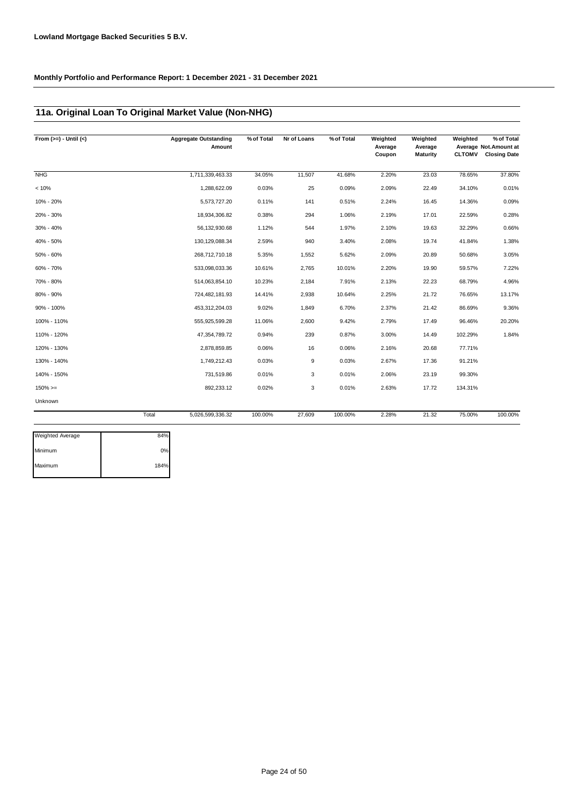### **11a. Original Loan To Original Market Value (Non-NHG)**

| From $(>=) -$ Until $(<)$ | <b>Aggregate Outstanding</b><br>Amount | % of Total | Nr of Loans | % of Total | Weighted<br>Average<br>Coupon | Weighted<br>Average<br><b>Maturity</b> | Weighted<br><b>CLTOMV</b> | % of Total<br>Average Not. Amount at<br><b>Closing Date</b> |
|---------------------------|----------------------------------------|------------|-------------|------------|-------------------------------|----------------------------------------|---------------------------|-------------------------------------------------------------|
| <b>NHG</b>                | 1,711,339,463.33                       | 34.05%     | 11,507      | 41.68%     | 2.20%                         | 23.03                                  | 78.65%                    | 37.80%                                                      |
| < 10%                     | 1,288,622.09                           | 0.03%      | 25          | 0.09%      | 2.09%                         | 22.49                                  | 34.10%                    | 0.01%                                                       |
| 10% - 20%                 | 5,573,727.20                           | 0.11%      | 141         | 0.51%      | 2.24%                         | 16.45                                  | 14.36%                    | 0.09%                                                       |
| 20% - 30%                 | 18,934,306.82                          | 0.38%      | 294         | 1.06%      | 2.19%                         | 17.01                                  | 22.59%                    | 0.28%                                                       |
| 30% - 40%                 | 56,132,930.68                          | 1.12%      | 544         | 1.97%      | 2.10%                         | 19.63                                  | 32.29%                    | 0.66%                                                       |
| 40% - 50%                 | 130, 129, 088.34                       | 2.59%      | 940         | 3.40%      | 2.08%                         | 19.74                                  | 41.84%                    | 1.38%                                                       |
| 50% - 60%                 | 268,712,710.18                         | 5.35%      | 1,552       | 5.62%      | 2.09%                         | 20.89                                  | 50.68%                    | 3.05%                                                       |
| 60% - 70%                 | 533,098,033.36                         | 10.61%     | 2,765       | 10.01%     | 2.20%                         | 19.90                                  | 59.57%                    | 7.22%                                                       |
| 70% - 80%                 | 514,063,854.10                         | 10.23%     | 2,184       | 7.91%      | 2.13%                         | 22.23                                  | 68.79%                    | 4.96%                                                       |
| 80% - 90%                 | 724,482,181.93                         | 14.41%     | 2,938       | 10.64%     | 2.25%                         | 21.72                                  | 76.65%                    | 13.17%                                                      |
| 90% - 100%                | 453,312,204.03                         | 9.02%      | 1,849       | 6.70%      | 2.37%                         | 21.42                                  | 86.69%                    | 9.36%                                                       |
| 100% - 110%               | 555,925,599.28                         | 11.06%     | 2,600       | 9.42%      | 2.79%                         | 17.49                                  | 96.46%                    | 20.20%                                                      |
| 110% - 120%               | 47,354,789.72                          | 0.94%      | 239         | 0.87%      | 3.00%                         | 14.49                                  | 102.29%                   | 1.84%                                                       |
| 120% - 130%               | 2,878,859.85                           | 0.06%      | 16          | 0.06%      | 2.16%                         | 20.68                                  | 77.71%                    |                                                             |
| 130% - 140%               | 1,749,212.43                           | 0.03%      | 9           | 0.03%      | 2.67%                         | 17.36                                  | 91.21%                    |                                                             |
| 140% - 150%               | 731,519.86                             | 0.01%      | 3           | 0.01%      | 2.06%                         | 23.19                                  | 99.30%                    |                                                             |
| $150\%>=$                 | 892,233.12                             | 0.02%      | 3           | 0.01%      | 2.63%                         | 17.72                                  | 134.31%                   |                                                             |
| Unknown                   |                                        |            |             |            |                               |                                        |                           |                                                             |
|                           | Total<br>5,026,599,336.32              | 100.00%    | 27,609      | 100.00%    | 2.28%                         | 21.32                                  |                           | 100.00%                                                     |
| Weighted Average          | 84%                                    |            |             |            |                               |                                        |                           | 75.00%                                                      |

| Weighted Average | 84%  |
|------------------|------|
| Minimum          | 0%   |
| Maximum          | 184% |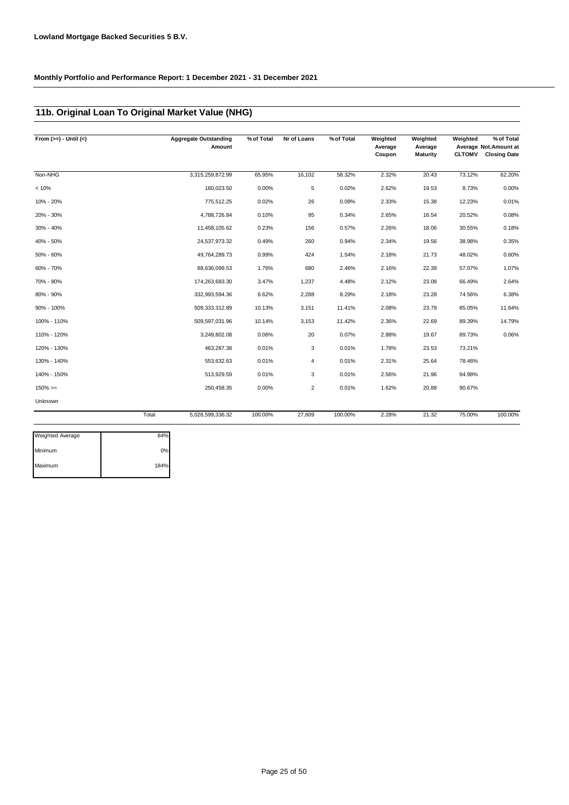### **11b. Original Loan To Original Market Value (NHG)**

| From $(>=) -$ Until $(<)$ |       | <b>Aggregate Outstanding</b><br>Amount | % of Total | Nr of Loans    | % of Total | Weighted<br>Average<br>Coupon | Weighted<br>Average<br><b>Maturity</b> | Weighted<br><b>CLTOMV</b> | % of Total<br>Average Not.Amount at<br><b>Closing Date</b> |
|---------------------------|-------|----------------------------------------|------------|----------------|------------|-------------------------------|----------------------------------------|---------------------------|------------------------------------------------------------|
| Non-NHG                   |       | 3,315,259,872.99                       | 65.95%     | 16,102         | 58.32%     | 2.32%                         | 20.43                                  | 73.12%                    | 62.20%                                                     |
| < 10%                     |       | 160,023.50                             | 0.00%      | 5              | 0.02%      | 2.62%                         | 19.53                                  | 8.73%                     | 0.00%                                                      |
| 10% - 20%                 |       | 775,512.25                             | 0.02%      | 26             | 0.09%      | 2.33%                         | 15.38                                  | 12.23%                    | 0.01%                                                      |
| 20% - 30%                 |       | 4,788,726.84                           | 0.10%      | 95             | 0.34%      | 2.65%                         | 16.54                                  | 20.52%                    | 0.08%                                                      |
| 30% - 40%                 |       | 11,458,105.62                          | 0.23%      | 156            | 0.57%      | 2.26%                         | 18.06                                  | 30.55%                    | 0.18%                                                      |
| 40% - 50%                 |       | 24,537,973.32                          | 0.49%      | 260            | 0.94%      | 2.34%                         | 19.56                                  | 38.98%                    | 0.35%                                                      |
| 50% - 60%                 |       | 49,764,289.73                          | 0.99%      | 424            | 1.54%      | 2.18%                         | 21.73                                  | 48.02%                    | 0.60%                                                      |
| 60% - 70%                 |       | 88,636,099.53                          | 1.76%      | 680            | 2.46%      | 2.16%                         | 22.39                                  | 57.07%                    | 1.07%                                                      |
| 70% - 80%                 |       | 174,263,683.30                         | 3.47%      | 1,237          | 4.48%      | 2.12%                         | 23.08                                  | 66.49%                    | 2.64%                                                      |
| 80% - 90%                 |       | 332,993,594.36                         | 6.62%      | 2,288          | 8.29%      | 2.18%                         | 23.28                                  | 74.56%                    | 6.38%                                                      |
| 90% - 100%                |       | 509,333,312.89                         | 10.13%     | 3,151          | 11.41%     | 2.08%                         | 23.79                                  | 85.05%                    | 11.64%                                                     |
| 100% - 110%               |       | 509,597,031.96                         | 10.14%     | 3,153          | 11.42%     | 2.36%                         | 22.69                                  | 89.39%                    | 14.79%                                                     |
| 110% - 120%               |       | 3,249,802.08                           | 0.06%      | 20             | 0.07%      | 2.88%                         | 19.67                                  | 89.73%                    | 0.06%                                                      |
| 120% - 130%               |       | 463,287.38                             | 0.01%      | 3              | 0.01%      | 1.78%                         | 23.53                                  | 73.21%                    |                                                            |
| 130% - 140%               |       | 553,632.63                             | 0.01%      | 4              | 0.01%      | 2.31%                         | 25.64                                  | 78.46%                    |                                                            |
| 140% - 150%               |       | 513,929.59                             | 0.01%      | 3              | 0.01%      | 2.56%                         | 21.96                                  | 94.98%                    |                                                            |
| $150\%>=$                 |       | 250,458.35                             | 0.00%      | $\overline{2}$ | 0.01%      | 1.62%                         | 20.88                                  | 90.67%                    |                                                            |
| Unknown                   |       |                                        |            |                |            |                               |                                        |                           |                                                            |
|                           | Total | 5,026,599,336.32                       | 100.00%    | 27,609         | 100.00%    | 2.28%                         | 21.32                                  | 75.00%                    | 100.00%                                                    |
| <b>Weighted Average</b>   | 84%   |                                        |            |                |            |                               |                                        |                           |                                                            |

| Weighted Average | 84%  |
|------------------|------|
| Minimum          | 0%   |
| Maximum          | 184% |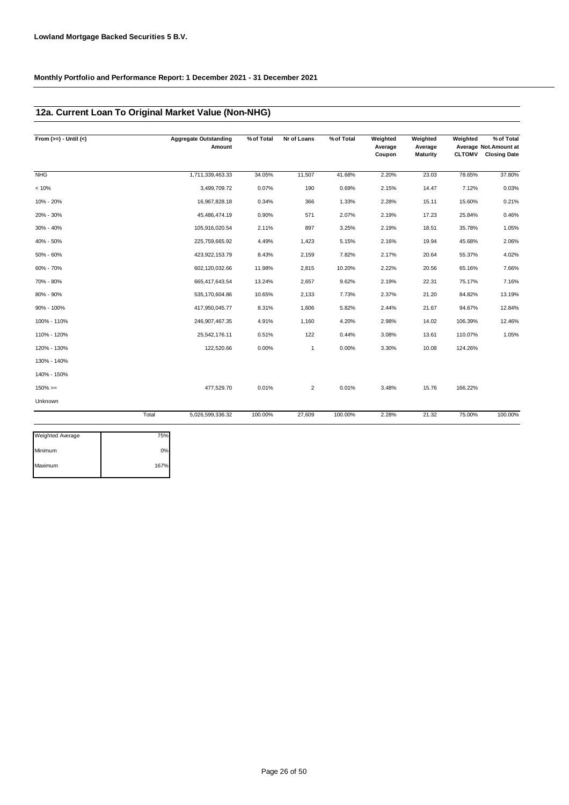### **12a. Current Loan To Original Market Value (Non-NHG)**

| From $(>=) -$ Until $(<)$ |       | <b>Aggregate Outstanding</b><br>Amount | % of Total | Nr of Loans    | % of Total | Weighted<br>Average<br>Coupon | Weighted<br>Average<br><b>Maturity</b> | Weighted<br><b>CLTOMV</b> | % of Total<br>Average Not.Amount at<br><b>Closing Date</b> |
|---------------------------|-------|----------------------------------------|------------|----------------|------------|-------------------------------|----------------------------------------|---------------------------|------------------------------------------------------------|
| <b>NHG</b>                |       | 1,711,339,463.33                       | 34.05%     | 11,507         | 41.68%     | 2.20%                         | 23.03                                  | 78.65%                    | 37.80%                                                     |
| < 10%                     |       | 3,499,709.72                           | 0.07%      | 190            | 0.69%      | 2.15%                         | 14.47                                  | 7.12%                     | 0.03%                                                      |
| 10% - 20%                 |       | 16,967,828.18                          | 0.34%      | 366            | 1.33%      | 2.28%                         | 15.11                                  | 15.60%                    | 0.21%                                                      |
| 20% - 30%                 |       | 45,486,474.19                          | 0.90%      | 571            | 2.07%      | 2.19%                         | 17.23                                  | 25.84%                    | 0.46%                                                      |
| 30% - 40%                 |       | 105,916,020.54                         | 2.11%      | 897            | 3.25%      | 2.19%                         | 18.51                                  | 35.78%                    | 1.05%                                                      |
| 40% - 50%                 |       | 225,759,665.92                         | 4.49%      | 1,423          | 5.15%      | 2.16%                         | 19.94                                  | 45.68%                    | 2.06%                                                      |
| 50% - 60%                 |       | 423,922,153.79                         | 8.43%      | 2,159          | 7.82%      | 2.17%                         | 20.64                                  | 55.37%                    | 4.02%                                                      |
| 60% - 70%                 |       | 602,120,032.66                         | 11.98%     | 2,815          | 10.20%     | 2.22%                         | 20.56                                  | 65.16%                    | 7.66%                                                      |
| 70% - 80%                 |       | 665,417,643.54                         | 13.24%     | 2,657          | 9.62%      | 2.19%                         | 22.31                                  | 75.17%                    | 7.16%                                                      |
| 80% - 90%                 |       | 535,170,604.86                         | 10.65%     | 2,133          | 7.73%      | 2.37%                         | 21.20                                  | 84.82%                    | 13.19%                                                     |
| 90% - 100%                |       | 417,950,045.77                         | 8.31%      | 1,606          | 5.82%      | 2.44%                         | 21.67                                  | 94.67%                    | 12.84%                                                     |
| 100% - 110%               |       | 246,907,467.35                         | 4.91%      | 1,160          | 4.20%      | 2.98%                         | 14.02                                  | 106.39%                   | 12.46%                                                     |
| 110% - 120%               |       | 25,542,176.11                          | 0.51%      | 122            | 0.44%      | 3.08%                         | 13.61                                  | 110.07%                   | 1.05%                                                      |
| 120% - 130%               |       | 122,520.66                             | 0.00%      | 1              | 0.00%      | 3.30%                         | 10.08                                  | 124.26%                   |                                                            |
| 130% - 140%               |       |                                        |            |                |            |                               |                                        |                           |                                                            |
| 140% - 150%               |       |                                        |            |                |            |                               |                                        |                           |                                                            |
| $150\%>=$                 |       | 477,529.70                             | 0.01%      | $\overline{2}$ | 0.01%      | 3.48%                         | 15.76                                  | 166.22%                   |                                                            |
| Unknown                   |       |                                        |            |                |            |                               |                                        |                           |                                                            |
|                           | Total | 5,026,599,336.32                       | 100.00%    | 27,609         | 100.00%    | 2.28%                         | 21.32                                  | 75.00%                    | 100.00%                                                    |
|                           |       |                                        |            |                |            |                               |                                        |                           |                                                            |

| <b>Weighted Average</b> | 75%  |
|-------------------------|------|
| Minimum                 | 0%   |
| Maximum                 | 167% |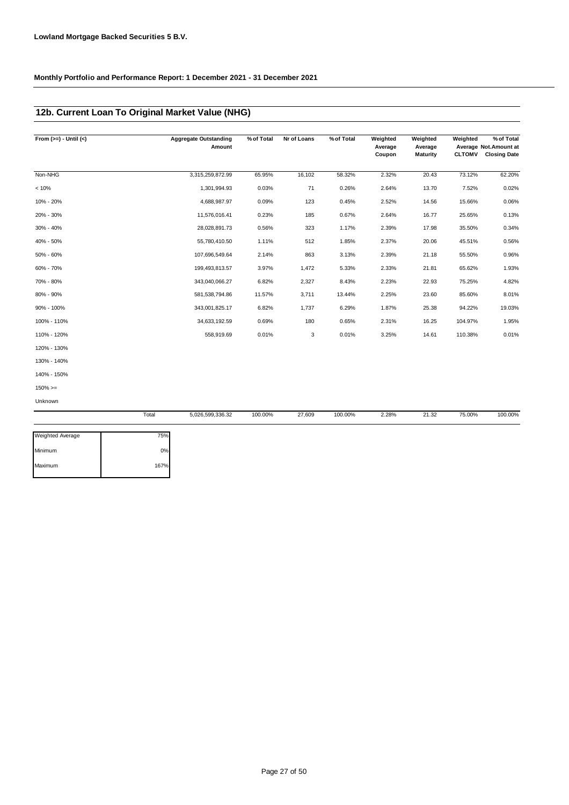### **12b. Current Loan To Original Market Value (NHG)**

| From $(>=) -$ Until $(<)$ | <b>Aggregate Outstanding</b><br>Amount | % of Total | Nr of Loans | % of Total | Weighted<br>Average<br>Coupon | Weighted<br>Average<br><b>Maturity</b> | Weighted<br><b>CLTOMV</b> | % of Total<br>Average Not.Amount at<br><b>Closing Date</b> |
|---------------------------|----------------------------------------|------------|-------------|------------|-------------------------------|----------------------------------------|---------------------------|------------------------------------------------------------|
| Non-NHG                   | 3,315,259,872.99                       | 65.95%     | 16,102      | 58.32%     | 2.32%                         | 20.43                                  | 73.12%                    | 62.20%                                                     |
| < 10%                     | 1,301,994.93                           | 0.03%      | 71          | 0.26%      | 2.64%                         | 13.70                                  | 7.52%                     | 0.02%                                                      |
| 10% - 20%                 | 4,688,987.97                           | 0.09%      | 123         | 0.45%      | 2.52%                         | 14.56                                  | 15.66%                    | 0.06%                                                      |
| 20% - 30%                 | 11,576,016.41                          | 0.23%      | 185         | 0.67%      | 2.64%                         | 16.77                                  | 25.65%                    | 0.13%                                                      |
| 30% - 40%                 | 28,028,891.73                          | 0.56%      | 323         | 1.17%      | 2.39%                         | 17.98                                  | 35.50%                    | 0.34%                                                      |
| 40% - 50%                 | 55,780,410.50                          | 1.11%      | 512         | 1.85%      | 2.37%                         | 20.06                                  | 45.51%                    | 0.56%                                                      |
| 50% - 60%                 | 107,696,549.64                         | 2.14%      | 863         | 3.13%      | 2.39%                         | 21.18                                  | 55.50%                    | 0.96%                                                      |
| 60% - 70%                 | 199,493,813.57                         | 3.97%      | 1,472       | 5.33%      | 2.33%                         | 21.81                                  | 65.62%                    | 1.93%                                                      |
| 70% - 80%                 | 343,040,066.27                         | 6.82%      | 2,327       | 8.43%      | 2.23%                         | 22.93                                  | 75.25%                    | 4.82%                                                      |
| 80% - 90%                 | 581,538,794.86                         | 11.57%     | 3,711       | 13.44%     | 2.25%                         | 23.60                                  | 85.60%                    | 8.01%                                                      |
| 90% - 100%                | 343,001,825.17                         | 6.82%      | 1,737       | 6.29%      | 1.87%                         | 25.38                                  | 94.22%                    | 19.03%                                                     |
| 100% - 110%               | 34,633,192.59                          | 0.69%      | 180         | 0.65%      | 2.31%                         | 16.25                                  | 104.97%                   | 1.95%                                                      |
| 110% - 120%               | 558,919.69                             | 0.01%      | 3           | 0.01%      | 3.25%                         | 14.61                                  | 110.38%                   | 0.01%                                                      |
| 120% - 130%               |                                        |            |             |            |                               |                                        |                           |                                                            |
| 130% - 140%               |                                        |            |             |            |                               |                                        |                           |                                                            |
| 140% - 150%               |                                        |            |             |            |                               |                                        |                           |                                                            |
| $150\%>=$                 |                                        |            |             |            |                               |                                        |                           |                                                            |
| Unknown                   |                                        |            |             |            |                               |                                        |                           |                                                            |
|                           | Total<br>5,026,599,336.32              | 100.00%    | 27,609      | 100.00%    | 2.28%                         | 21.32                                  | 75.00%                    | 100.00%                                                    |

| Weighted Average | 75%  |
|------------------|------|
| Minimum          | 0%   |
| Maximum          | 167% |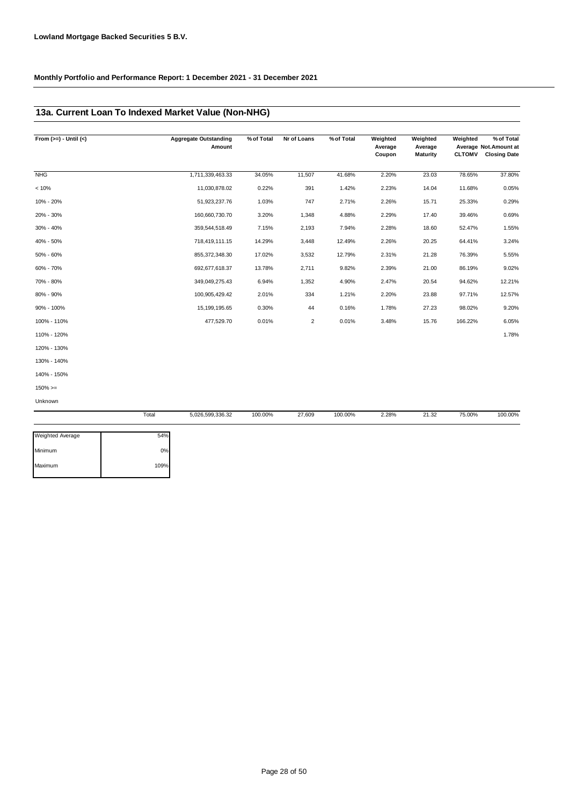### **13a. Current Loan To Indexed Market Value (Non-NHG)**

| From $(>=) -$ Until $(<)$ | <b>Aggregate Outstanding</b><br>Amount | % of Total | Nr of Loans | % of Total | Weighted<br>Average<br>Coupon | Weighted<br>Average<br><b>Maturity</b> | Weighted<br><b>CLTOMV</b> | % of Total<br>Average Not.Amount at<br><b>Closing Date</b> |
|---------------------------|----------------------------------------|------------|-------------|------------|-------------------------------|----------------------------------------|---------------------------|------------------------------------------------------------|
| <b>NHG</b>                | 1,711,339,463.33                       | 34.05%     | 11,507      | 41.68%     | 2.20%                         | 23.03                                  | 78.65%                    | 37.80%                                                     |
| < 10%                     | 11,030,878.02                          | 0.22%      | 391         | 1.42%      | 2.23%                         | 14.04                                  | 11.68%                    | 0.05%                                                      |
| 10% - 20%                 | 51,923,237.76                          | 1.03%      | 747         | 2.71%      | 2.26%                         | 15.71                                  | 25.33%                    | 0.29%                                                      |
| 20% - 30%                 | 160,660,730.70                         | 3.20%      | 1,348       | 4.88%      | 2.29%                         | 17.40                                  | 39.46%                    | 0.69%                                                      |
| 30% - 40%                 | 359,544,518.49                         | 7.15%      | 2,193       | 7.94%      | 2.28%                         | 18.60                                  | 52.47%                    | 1.55%                                                      |
| 40% - 50%                 | 718,419,111.15                         | 14.29%     | 3,448       | 12.49%     | 2.26%                         | 20.25                                  | 64.41%                    | 3.24%                                                      |
| 50% - 60%                 | 855,372,348.30                         | 17.02%     | 3,532       | 12.79%     | 2.31%                         | 21.28                                  | 76.39%                    | 5.55%                                                      |
| 60% - 70%                 | 692,677,618.37                         | 13.78%     | 2,711       | 9.82%      | 2.39%                         | 21.00                                  | 86.19%                    | 9.02%                                                      |
| 70% - 80%                 | 349,049,275.43                         | 6.94%      | 1,352       | 4.90%      | 2.47%                         | 20.54                                  | 94.62%                    | 12.21%                                                     |
| 80% - 90%                 | 100,905,429.42                         | 2.01%      | 334         | 1.21%      | 2.20%                         | 23.88                                  | 97.71%                    | 12.57%                                                     |
| 90% - 100%                | 15,199,195.65                          | 0.30%      | 44          | 0.16%      | 1.78%                         | 27.23                                  | 98.02%                    | 9.20%                                                      |
| 100% - 110%               | 477,529.70                             | 0.01%      | 2           | 0.01%      | 3.48%                         | 15.76                                  | 166.22%                   | 6.05%                                                      |
| 110% - 120%               |                                        |            |             |            |                               |                                        |                           | 1.78%                                                      |
| 120% - 130%               |                                        |            |             |            |                               |                                        |                           |                                                            |
| 130% - 140%               |                                        |            |             |            |                               |                                        |                           |                                                            |
| 140% - 150%               |                                        |            |             |            |                               |                                        |                           |                                                            |
| $150\%>=$                 |                                        |            |             |            |                               |                                        |                           |                                                            |
| Unknown                   |                                        |            |             |            |                               |                                        |                           |                                                            |

|                         | Total | 5,026,599,336.32 | 100.00% | 27,609 | 100.00% | 2.28% | 21.32 | 75.00% | 100.00% |
|-------------------------|-------|------------------|---------|--------|---------|-------|-------|--------|---------|
| <b>Weighted Average</b> | 54%   |                  |         |        |         |       |       |        |         |
| Minimum                 | 0%    |                  |         |        |         |       |       |        |         |
| Maximum                 | 109%  |                  |         |        |         |       |       |        |         |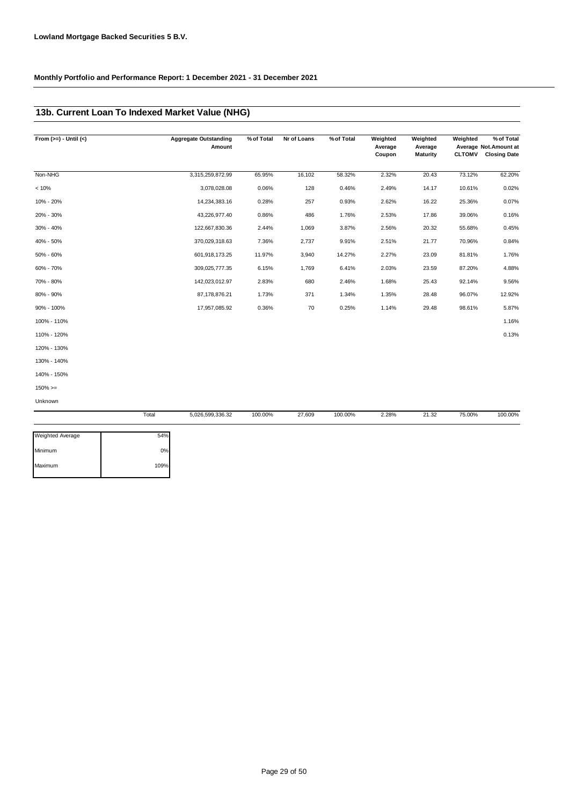### **13b. Current Loan To Indexed Market Value (NHG)**

| From $(>=) -$ Until $(<)$ |       | <b>Aggregate Outstanding</b><br>Amount | % of Total | Nr of Loans | % of Total | Weighted<br>Average<br>Coupon | Weighted<br>Average<br><b>Maturity</b> | Weighted | % of Total<br>Average Not.Amount at<br><b>CLTOMV</b> Closing Date |
|---------------------------|-------|----------------------------------------|------------|-------------|------------|-------------------------------|----------------------------------------|----------|-------------------------------------------------------------------|
| Non-NHG                   |       | 3,315,259,872.99                       | 65.95%     | 16,102      | 58.32%     | 2.32%                         | 20.43                                  | 73.12%   | 62.20%                                                            |
| < 10%                     |       | 3,078,028.08                           | 0.06%      | 128         | 0.46%      | 2.49%                         | 14.17                                  | 10.61%   | 0.02%                                                             |
| 10% - 20%                 |       | 14,234,383.16                          | 0.28%      | 257         | 0.93%      | 2.62%                         | 16.22                                  | 25.36%   | 0.07%                                                             |
| 20% - 30%                 |       | 43,226,977.40                          | 0.86%      | 486         | 1.76%      | 2.53%                         | 17.86                                  | 39.06%   | 0.16%                                                             |
| 30% - 40%                 |       | 122,667,830.36                         | 2.44%      | 1,069       | 3.87%      | 2.56%                         | 20.32                                  | 55.68%   | 0.45%                                                             |
| 40% - 50%                 |       | 370,029,318.63                         | 7.36%      | 2,737       | 9.91%      | 2.51%                         | 21.77                                  | 70.96%   | 0.84%                                                             |
| 50% - 60%                 |       | 601,918,173.25                         | 11.97%     | 3,940       | 14.27%     | 2.27%                         | 23.09                                  | 81.81%   | 1.76%                                                             |
| 60% - 70%                 |       | 309,025,777.35                         | 6.15%      | 1,769       | 6.41%      | 2.03%                         | 23.59                                  | 87.20%   | 4.88%                                                             |
| 70% - 80%                 |       | 142,023,012.97                         | 2.83%      | 680         | 2.46%      | 1.68%                         | 25.43                                  | 92.14%   | 9.56%                                                             |
| 80% - 90%                 |       | 87,178,876.21                          | 1.73%      | 371         | 1.34%      | 1.35%                         | 28.48                                  | 96.07%   | 12.92%                                                            |
| 90% - 100%                |       | 17,957,085.92                          | 0.36%      | 70          | 0.25%      | 1.14%                         | 29.48                                  | 98.61%   | 5.87%                                                             |
| 100% - 110%               |       |                                        |            |             |            |                               |                                        |          | 1.16%                                                             |
| 110% - 120%               |       |                                        |            |             |            |                               |                                        |          | 0.13%                                                             |
| 120% - 130%               |       |                                        |            |             |            |                               |                                        |          |                                                                   |
| 130% - 140%               |       |                                        |            |             |            |                               |                                        |          |                                                                   |
| 140% - 150%               |       |                                        |            |             |            |                               |                                        |          |                                                                   |
| $150\%>=$                 |       |                                        |            |             |            |                               |                                        |          |                                                                   |
| Unknown                   |       |                                        |            |             |            |                               |                                        |          |                                                                   |
|                           | Total | 5,026,599,336.32                       | 100.00%    | 27,609      | 100.00%    | 2.28%                         | 21.32                                  | 75.00%   | 100.00%                                                           |

| 54%  |
|------|
| 0%   |
| 109% |
|      |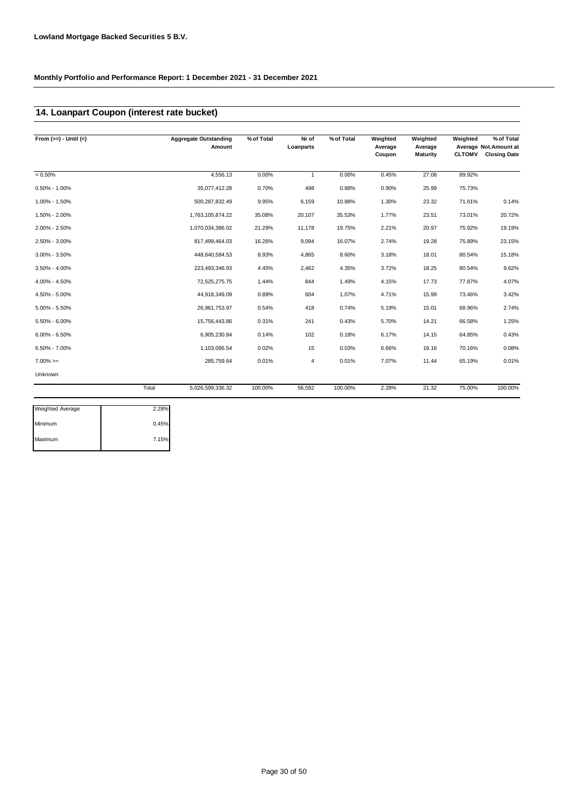### **14. Loanpart Coupon (interest rate bucket)**

| From $(>=) -$ Until $(<)$ |       | <b>Aggregate Outstanding</b><br>Amount | % of Total | Nr of<br>Loanparts | % of Total | Weighted<br>Average<br>Coupon | Weighted<br>Average<br>Maturity | Weighted<br><b>CLTOMV</b> | % of Total<br>Average Not.Amount at<br><b>Closing Date</b> |
|---------------------------|-------|----------------------------------------|------------|--------------------|------------|-------------------------------|---------------------------------|---------------------------|------------------------------------------------------------|
| $< 0.50\%$                |       | 4,556.13                               | 0.00%      | $\mathbf{1}$       | 0.00%      | 0.45%                         | 27.08                           | 89.92%                    |                                                            |
| $0.50\% - 1.00\%$         |       | 35,077,412.28                          | 0.70%      | 498                | 0.88%      | 0.90%                         | 25.99                           | 75.73%                    |                                                            |
| 1.00% - 1.50%             |       | 500,287,832.49                         | 9.95%      | 6,159              | 10.88%     | 1.30%                         | 23.32                           | 71.61%                    | 0.14%                                                      |
| 1.50% - 2.00%             |       | 1,763,105,874.22                       | 35.08%     | 20,107             | 35.53%     | 1.77%                         | 23.51                           | 73.01%                    | 20.72%                                                     |
| 2.00% - 2.50%             |       | 1,070,034,386.02                       | 21.29%     | 11,178             | 19.75%     | 2.21%                         | 20.97                           | 75.92%                    | 19.19%                                                     |
| 2.50% - 3.00%             |       | 817,499,464.03                         | 16.26%     | 9,094              | 16.07%     | 2.74%                         | 19.28                           | 75.89%                    | 23.15%                                                     |
| 3.00% - 3.50%             |       | 448,640,584.53                         | 8.93%      | 4,865              | 8.60%      | 3.18%                         | 18.01                           | 80.54%                    | 15.18%                                                     |
| $3.50\% - 4.00\%$         |       | 223,493,346.93                         | 4.45%      | 2,462              | 4.35%      | 3.72%                         | 18.25                           | 80.54%                    | 9.62%                                                      |
| 4.00% - 4.50%             |       | 72,525,275.75                          | 1.44%      | 844                | 1.49%      | 4.15%                         | 17.73                           | 77.87%                    | 4.07%                                                      |
| 4.50% - 5.00%             |       | 44,918,349.09                          | 0.89%      | 604                | 1.07%      | 4.71%                         | 15.99                           | 73.46%                    | 3.42%                                                      |
| $5.00\% - 5.50\%$         |       | 26,961,753.97                          | 0.54%      | 418                | 0.74%      | 5.19%                         | 15.01                           | 68.96%                    | 2.74%                                                      |
| 5.50% - 6.00%             |       | 15,756,443.86                          | 0.31%      | 241                | 0.43%      | 5.70%                         | 14.21                           | 66.58%                    | 1.25%                                                      |
| $6.00\% - 6.50\%$         |       | 6,905,230.84                           | 0.14%      | 102                | 0.18%      | 6.17%                         | 14.15                           | 64.85%                    | 0.43%                                                      |
| $6.50\% - 7.00\%$         |       | 1,103,066.54                           | 0.02%      | 15                 | 0.03%      | 6.66%                         | 16.16                           | 70.16%                    | 0.08%                                                      |
| $7.00\%>=$                |       | 285,759.64                             | 0.01%      | 4                  | 0.01%      | 7.07%                         | 11.44                           | 65.19%                    | 0.01%                                                      |
| Unknown                   |       |                                        |            |                    |            |                               |                                 |                           |                                                            |
|                           | Total | 5,026,599,336.32                       | 100.00%    | 56,592             | 100.00%    | 2.28%                         | 21.32                           | 75.00%                    | 100.00%                                                    |

| 0.45% |
|-------|
| 7.15% |
|       |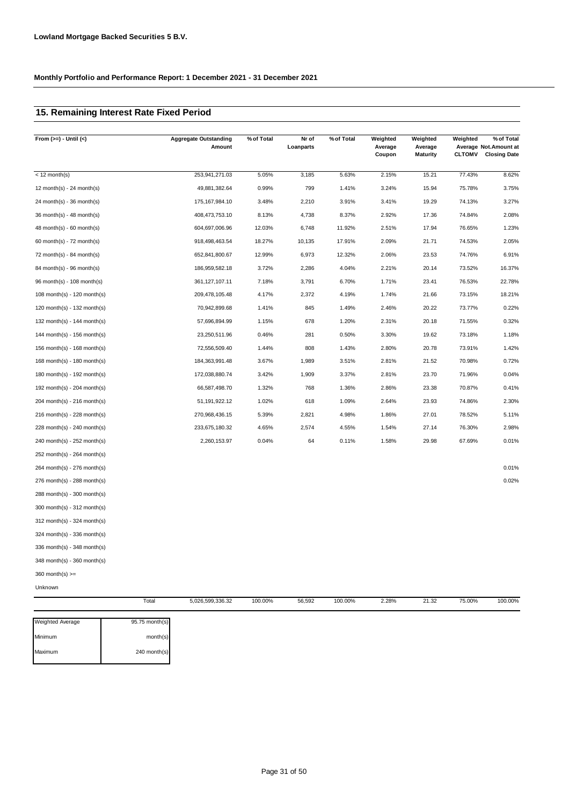### **15. Remaining Interest Rate Fixed Period**

| From $(>=)$ - Until $($       |       | <b>Aggregate Outstanding</b><br>Amount | % of Total | Nr of<br>Loanparts | % of Total | Weighted<br>Average<br>Coupon | Weighted<br>Average<br><b>Maturity</b> | Weighted<br><b>CLTOMV</b> | % of Total<br>Average Not.Amount at<br><b>Closing Date</b> |
|-------------------------------|-------|----------------------------------------|------------|--------------------|------------|-------------------------------|----------------------------------------|---------------------------|------------------------------------------------------------|
| $<$ 12 month(s)               |       | 253,941,271.03                         | 5.05%      | 3,185              | 5.63%      | 2.15%                         | 15.21                                  | 77.43%                    | 8.62%                                                      |
| 12 month(s) - 24 month(s)     |       | 49,881,382.64                          | 0.99%      | 799                | 1.41%      | 3.24%                         | 15.94                                  | 75.78%                    | 3.75%                                                      |
| 24 month(s) - 36 month(s)     |       | 175, 167, 984. 10                      | 3.48%      | 2,210              | 3.91%      | 3.41%                         | 19.29                                  | 74.13%                    | 3.27%                                                      |
| 36 month(s) - 48 month(s)     |       | 408,473,753.10                         | 8.13%      | 4,738              | 8.37%      | 2.92%                         | 17.36                                  | 74.84%                    | 2.08%                                                      |
| $48$ month(s) - 60 month(s)   |       | 604,697,006.96                         | 12.03%     | 6,748              | 11.92%     | 2.51%                         | 17.94                                  | 76.65%                    | 1.23%                                                      |
| 60 month(s) - $72$ month(s)   |       | 918,498,463.54                         | 18.27%     | 10,135             | 17.91%     | 2.09%                         | 21.71                                  | 74.53%                    | 2.05%                                                      |
| 72 month(s) - 84 month(s)     |       | 652,841,800.67                         | 12.99%     | 6,973              | 12.32%     | 2.06%                         | 23.53                                  | 74.76%                    | 6.91%                                                      |
| 84 month(s) - 96 month(s)     |       | 186,959,582.18                         | 3.72%      | 2,286              | 4.04%      | 2.21%                         | 20.14                                  | 73.52%                    | 16.37%                                                     |
| 96 month(s) - 108 month(s)    |       | 361, 127, 107. 11                      | 7.18%      | 3,791              | 6.70%      | 1.71%                         | 23.41                                  | 76.53%                    | 22.78%                                                     |
| 108 month(s) - 120 month(s)   |       | 209,478,105.48                         | 4.17%      | 2,372              | 4.19%      | 1.74%                         | 21.66                                  | 73.15%                    | 18.21%                                                     |
| 120 month(s) - 132 month(s)   |       | 70,942,899.68                          | 1.41%      | 845                | 1.49%      | 2.46%                         | 20.22                                  | 73.77%                    | 0.22%                                                      |
| 132 month(s) - 144 month(s)   |       | 57,696,894.99                          | 1.15%      | 678                | 1.20%      | 2.31%                         | 20.18                                  | 71.55%                    | 0.32%                                                      |
| 144 month(s) - 156 month(s)   |       | 23,250,511.96                          | 0.46%      | 281                | 0.50%      | 3.30%                         | 19.62                                  | 73.18%                    | 1.18%                                                      |
| 156 month(s) - $168$ month(s) |       | 72,556,509.40                          | 1.44%      | 808                | 1.43%      | 2.80%                         | 20.78                                  | 73.91%                    | 1.42%                                                      |
| 168 month(s) - 180 month(s)   |       | 184,363,991.48                         | 3.67%      | 1,989              | 3.51%      | 2.81%                         | 21.52                                  | 70.98%                    | 0.72%                                                      |
| 180 month(s) - 192 month(s)   |       | 172,038,880.74                         | 3.42%      | 1,909              | 3.37%      | 2.81%                         | 23.70                                  | 71.96%                    | 0.04%                                                      |
| 192 month(s) - $204$ month(s) |       | 66,587,498.70                          | 1.32%      | 768                | 1.36%      | 2.86%                         | 23.38                                  | 70.87%                    | 0.41%                                                      |
| 204 month(s) - 216 month(s)   |       | 51, 191, 922. 12                       | 1.02%      | 618                | 1.09%      | 2.64%                         | 23.93                                  | 74.86%                    | 2.30%                                                      |
| 216 month(s) - 228 month(s)   |       | 270,968,436.15                         | 5.39%      | 2,821              | 4.98%      | 1.86%                         | 27.01                                  | 78.52%                    | 5.11%                                                      |
| 228 month(s) - 240 month(s)   |       | 233,675,180.32                         | 4.65%      | 2,574              | 4.55%      | 1.54%                         | 27.14                                  | 76.30%                    | 2.98%                                                      |
| 240 month(s) - 252 month(s)   |       | 2,260,153.97                           | 0.04%      | 64                 | 0.11%      | 1.58%                         | 29.98                                  | 67.69%                    | 0.01%                                                      |
| 252 month(s) - 264 month(s)   |       |                                        |            |                    |            |                               |                                        |                           |                                                            |
| 264 month(s) - 276 month(s)   |       |                                        |            |                    |            |                               |                                        |                           | 0.01%                                                      |
| 276 month(s) - 288 month(s)   |       |                                        |            |                    |            |                               |                                        |                           | 0.02%                                                      |
| 288 month(s) - 300 month(s)   |       |                                        |            |                    |            |                               |                                        |                           |                                                            |
| 300 month(s) - 312 month(s)   |       |                                        |            |                    |            |                               |                                        |                           |                                                            |
| 312 month(s) - 324 month(s)   |       |                                        |            |                    |            |                               |                                        |                           |                                                            |
| 324 month(s) - 336 month(s)   |       |                                        |            |                    |            |                               |                                        |                           |                                                            |
| 336 month(s) - 348 month(s)   |       |                                        |            |                    |            |                               |                                        |                           |                                                            |
| 348 month(s) - 360 month(s)   |       |                                        |            |                    |            |                               |                                        |                           |                                                            |
| 360 month(s) $>=$             |       |                                        |            |                    |            |                               |                                        |                           |                                                            |
| Unknown                       |       |                                        |            |                    |            |                               |                                        |                           |                                                            |
|                               | Total | 5,026,599,336.32                       | 100.00%    | 56,592             | 100.00%    | 2.28%                         | 21.32                                  | 75.00%                    | 100.00%                                                    |

| <b>Weighted Average</b> | 95.75 month(s) |
|-------------------------|----------------|
| Minimum                 | month(s)       |
| Maximum                 | $240$ month(s) |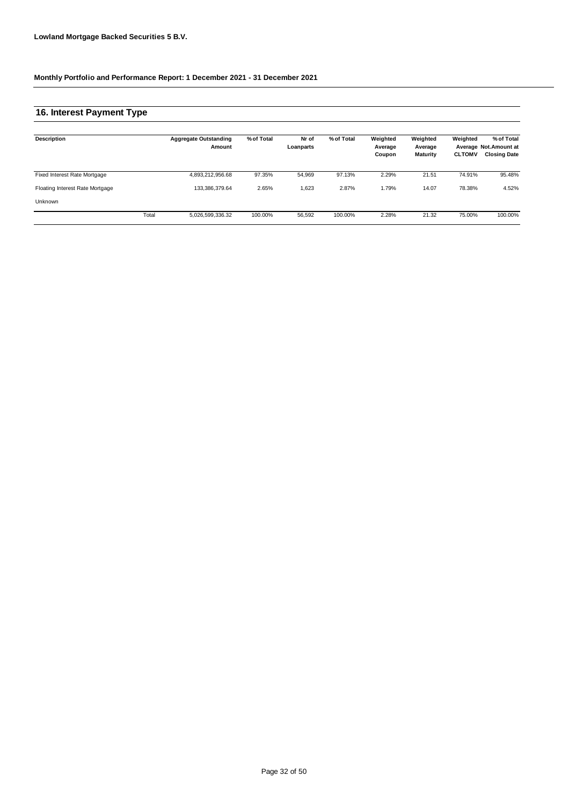### **16. Interest Payment Type**

| Description                     |       | <b>Aggregate Outstanding</b><br>Amount | % of Total | Nr of<br>Loanparts | % of Total | Weighted<br>Average<br>Coupon | Weighted<br>Average<br><b>Maturity</b> | Weighted<br><b>CLTOMV</b> | % of Total<br>Average Not.Amount at<br><b>Closing Date</b> |
|---------------------------------|-------|----------------------------------------|------------|--------------------|------------|-------------------------------|----------------------------------------|---------------------------|------------------------------------------------------------|
| Fixed Interest Rate Mortgage    |       | 4,893,212,956.68                       | 97.35%     | 54,969             | 97.13%     | 2.29%                         | 21.51                                  | 74.91%                    | 95.48%                                                     |
| Floating Interest Rate Mortgage |       | 133.386.379.64                         | 2.65%      | 1,623              | 2.87%      | 1.79%                         | 14.07                                  | 78.38%                    | 4.52%                                                      |
| Unknown                         |       |                                        |            |                    |            |                               |                                        |                           |                                                            |
|                                 | Total | 5,026,599,336.32                       | 100.00%    | 56.592             | 100.00%    | 2.28%                         | 21.32                                  | 75.00%                    | 100.00%                                                    |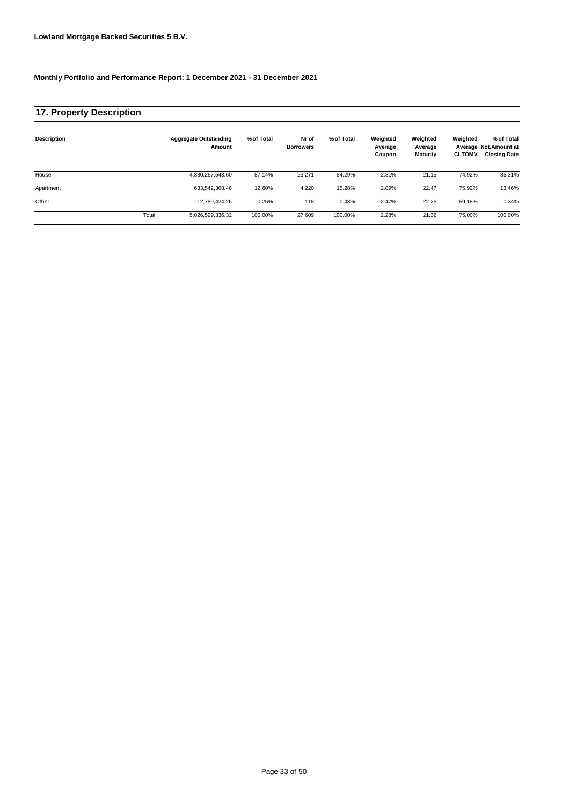### **17. Property Description**

| Description |       | <b>Aggregate Outstanding</b><br>Amount | % of Total | Nr of<br><b>Borrowers</b> | % of Total | Weighted<br>Average<br>Coupon | Weighted<br>Average<br><b>Maturity</b> | Weighted<br><b>CLTOMV</b> | % of Total<br>Average Not.Amount at<br><b>Closing Date</b> |
|-------------|-------|----------------------------------------|------------|---------------------------|------------|-------------------------------|----------------------------------------|---------------------------|------------------------------------------------------------|
| House       |       | 4,380,267,543.60                       | 87.14%     | 23.271                    | 84.29%     | 2.31%                         | 21.15                                  | 74.92%                    | 86.31%                                                     |
| Apartment   |       | 633.542.368.46                         | 12.60%     | 4,220                     | 15.28%     | 2.09%                         | 22.47                                  | 75.92%                    | 13.46%                                                     |
| Other       |       | 12.789.424.26                          | 0.25%      | 118                       | 0.43%      | 2.47%                         | 22.26                                  | 59.18%                    | 0.24%                                                      |
|             | Total | 5,026,599,336.32                       | 100.00%    | 27.609                    | 100.00%    | 2.28%                         | 21.32                                  | 75.00%                    | 100.00%                                                    |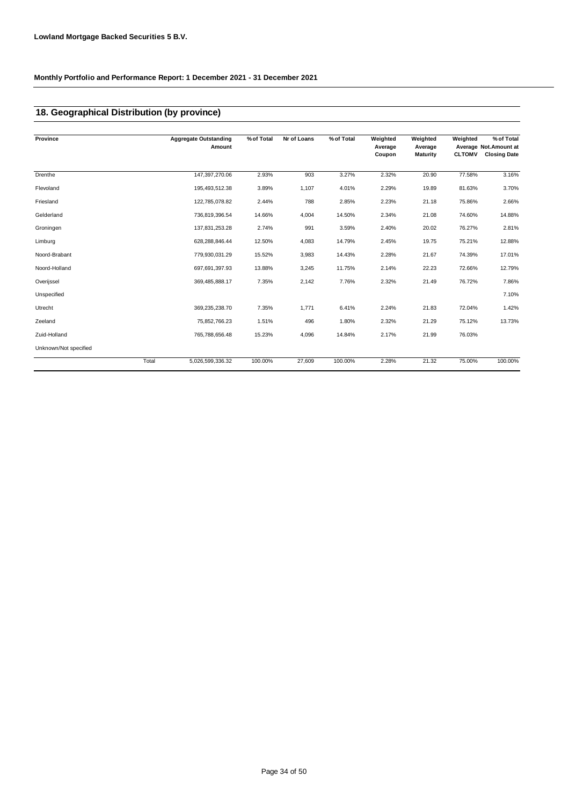### **18. Geographical Distribution (by province)**

| Province              |       | <b>Aggregate Outstanding</b><br>Amount | % of Total | Nr of Loans | % of Total | Weighted<br>Average<br>Coupon | Weighted<br>Average<br><b>Maturity</b> | Weighted<br><b>CLTOMV</b> | % of Total<br>Average Not.Amount at<br><b>Closing Date</b> |
|-----------------------|-------|----------------------------------------|------------|-------------|------------|-------------------------------|----------------------------------------|---------------------------|------------------------------------------------------------|
| Drenthe               |       | 147,397,270.06                         | 2.93%      | 903         | 3.27%      | 2.32%                         | 20.90                                  | 77.58%                    | 3.16%                                                      |
| Flevoland             |       | 195,493,512.38                         | 3.89%      | 1,107       | 4.01%      | 2.29%                         | 19.89                                  | 81.63%                    | 3.70%                                                      |
| Friesland             |       | 122,785,078.82                         | 2.44%      | 788         | 2.85%      | 2.23%                         | 21.18                                  | 75.86%                    | 2.66%                                                      |
| Gelderland            |       | 736,819,396.54                         | 14.66%     | 4,004       | 14.50%     | 2.34%                         | 21.08                                  | 74.60%                    | 14.88%                                                     |
| Groningen             |       | 137,831,253.28                         | 2.74%      | 991         | 3.59%      | 2.40%                         | 20.02                                  | 76.27%                    | 2.81%                                                      |
| Limburg               |       | 628, 288, 846.44                       | 12.50%     | 4,083       | 14.79%     | 2.45%                         | 19.75                                  | 75.21%                    | 12.88%                                                     |
| Noord-Brabant         |       | 779,930,031.29                         | 15.52%     | 3,983       | 14.43%     | 2.28%                         | 21.67                                  | 74.39%                    | 17.01%                                                     |
| Noord-Holland         |       | 697,691,397.93                         | 13.88%     | 3,245       | 11.75%     | 2.14%                         | 22.23                                  | 72.66%                    | 12.79%                                                     |
| Overijssel            |       | 369,485,888.17                         | 7.35%      | 2,142       | 7.76%      | 2.32%                         | 21.49                                  | 76.72%                    | 7.86%                                                      |
| Unspecified           |       |                                        |            |             |            |                               |                                        |                           | 7.10%                                                      |
| Utrecht               |       | 369,235,238.70                         | 7.35%      | 1,771       | 6.41%      | 2.24%                         | 21.83                                  | 72.04%                    | 1.42%                                                      |
| Zeeland               |       | 75,852,766.23                          | 1.51%      | 496         | 1.80%      | 2.32%                         | 21.29                                  | 75.12%                    | 13.73%                                                     |
| Zuid-Holland          |       | 765,788,656.48                         | 15.23%     | 4,096       | 14.84%     | 2.17%                         | 21.99                                  | 76.03%                    |                                                            |
| Unknown/Not specified |       |                                        |            |             |            |                               |                                        |                           |                                                            |
|                       | Total | 5,026,599,336.32                       | 100.00%    | 27,609      | 100.00%    | 2.28%                         | 21.32                                  | 75.00%                    | 100.00%                                                    |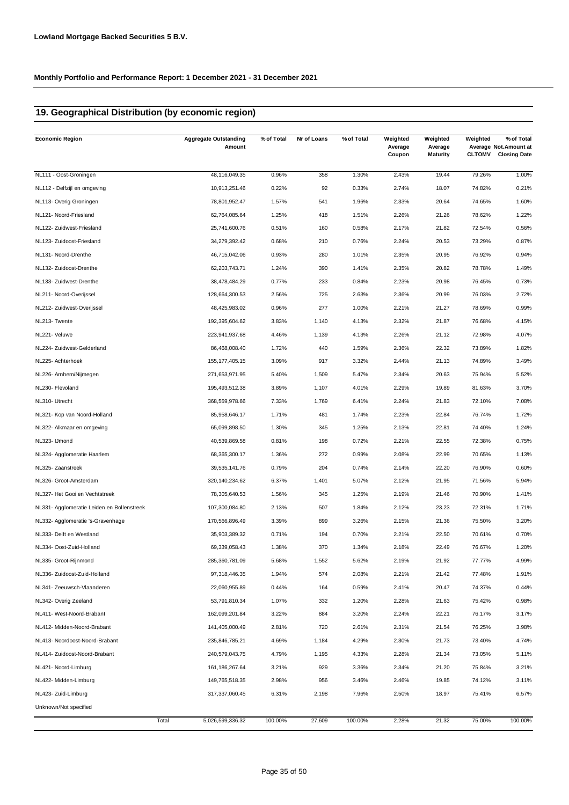### **19. Geographical Distribution (by economic region)**

| <b>Economic Region</b>                     | <b>Aggregate Outstanding</b><br>Amount | % of Total | Nr of Loans | % of Total | Weighted<br>Average<br>Coupon | Weighted<br>Average<br><b>Maturity</b> | Weighted<br><b>CLTOMV</b> | % of Total<br>Average Not.Amount at<br><b>Closing Date</b> |
|--------------------------------------------|----------------------------------------|------------|-------------|------------|-------------------------------|----------------------------------------|---------------------------|------------------------------------------------------------|
| NL111 - Oost-Groningen                     | 48,116,049.35                          | 0.96%      | 358         | 1.30%      | 2.43%                         | 19.44                                  | 79.26%                    | 1.00%                                                      |
| NL112 - Delfzijl en omgeving               | 10,913,251.46                          | 0.22%      | 92          | 0.33%      | 2.74%                         | 18.07                                  | 74.82%                    | 0.21%                                                      |
| NL113- Overig Groningen                    | 78,801,952.47                          | 1.57%      | 541         | 1.96%      | 2.33%                         | 20.64                                  | 74.65%                    | 1.60%                                                      |
| NL121- Noord-Friesland                     | 62,764,085.64                          | 1.25%      | 418         | 1.51%      | 2.26%                         | 21.26                                  | 78.62%                    | 1.22%                                                      |
| NL122- Zuidwest-Friesland                  | 25,741,600.76                          | 0.51%      | 160         | 0.58%      | 2.17%                         | 21.82                                  | 72.54%                    | 0.56%                                                      |
| NL123- Zuidoost-Friesland                  | 34,279,392.42                          | 0.68%      | 210         | 0.76%      | 2.24%                         | 20.53                                  | 73.29%                    | 0.87%                                                      |
| NL131- Noord-Drenthe                       | 46,715,042.06                          | 0.93%      | 280         | 1.01%      | 2.35%                         | 20.95                                  | 76.92%                    | 0.94%                                                      |
| NL132- Zuidoost-Drenthe                    | 62,203,743.71                          | 1.24%      | 390         | 1.41%      | 2.35%                         | 20.82                                  | 78.78%                    | 1.49%                                                      |
| NL133- Zuidwest-Drenthe                    | 38,478,484.29                          | 0.77%      | 233         | 0.84%      | 2.23%                         | 20.98                                  | 76.45%                    | 0.73%                                                      |
| NL211- Noord-Overijssel                    | 128,664,300.53                         | 2.56%      | 725         | 2.63%      | 2.36%                         | 20.99                                  | 76.03%                    | 2.72%                                                      |
| NL212- Zuidwest-Overijssel                 | 48,425,983.02                          | 0.96%      | 277         | 1.00%      | 2.21%                         | 21.27                                  | 78.69%                    | 0.99%                                                      |
| NL213- Twente                              | 192,395,604.62                         | 3.83%      | 1,140       | 4.13%      | 2.32%                         | 21.87                                  | 76.68%                    | 4.15%                                                      |
| NL221- Veluwe                              | 223,941,937.68                         | 4.46%      | 1,139       | 4.13%      | 2.26%                         | 21.12                                  | 72.98%                    | 4.07%                                                      |
| NL224- Zuidwest-Gelderland                 | 86,468,008.40                          | 1.72%      | 440         | 1.59%      | 2.36%                         | 22.32                                  | 73.89%                    | 1.82%                                                      |
| NL225- Achterhoek                          | 155, 177, 405. 15                      | 3.09%      | 917         | 3.32%      | 2.44%                         | 21.13                                  | 74.89%                    | 3.49%                                                      |
| NL226- Arnhem/Nijmegen                     | 271,653,971.95                         | 5.40%      | 1,509       | 5.47%      | 2.34%                         | 20.63                                  | 75.94%                    | 5.52%                                                      |
| NL230- Flevoland                           | 195,493,512.38                         | 3.89%      | 1,107       | 4.01%      | 2.29%                         | 19.89                                  | 81.63%                    | 3.70%                                                      |
| NL310- Utrecht                             | 368,559,978.66                         | 7.33%      | 1,769       | 6.41%      | 2.24%                         | 21.83                                  | 72.10%                    | 7.08%                                                      |
| NL321- Kop van Noord-Holland               | 85,958,646.17                          | 1.71%      | 481         | 1.74%      | 2.23%                         | 22.84                                  | 76.74%                    | 1.72%                                                      |
| NL322- Alkmaar en omgeving                 | 65,099,898.50                          | 1.30%      | 345         | 1.25%      | 2.13%                         | 22.81                                  | 74.40%                    | 1.24%                                                      |
| NL323- IJmond                              | 40,539,869.58                          | 0.81%      | 198         | 0.72%      | 2.21%                         | 22.55                                  | 72.38%                    | 0.75%                                                      |
| NL324- Agglomeratie Haarlem                | 68,365,300.17                          | 1.36%      | 272         | 0.99%      | 2.08%                         | 22.99                                  | 70.65%                    | 1.13%                                                      |
| NL325- Zaanstreek                          | 39,535,141.76                          | 0.79%      | 204         | 0.74%      | 2.14%                         | 22.20                                  | 76.90%                    | 0.60%                                                      |
| NL326- Groot-Amsterdam                     | 320, 140, 234.62                       | 6.37%      | 1,401       | 5.07%      | 2.12%                         | 21.95                                  | 71.56%                    | 5.94%                                                      |
| NL327- Het Gooi en Vechtstreek             | 78,305,640.53                          | 1.56%      | 345         | 1.25%      | 2.19%                         | 21.46                                  | 70.90%                    | 1.41%                                                      |
| NL331- Agglomeratie Leiden en Bollenstreek | 107,300,084.80                         | 2.13%      | 507         | 1.84%      | 2.12%                         | 23.23                                  | 72.31%                    | 1.71%                                                      |
| NL332- Agglomeratie 's-Gravenhage          | 170,566,896.49                         | 3.39%      | 899         | 3.26%      | 2.15%                         | 21.36                                  | 75.50%                    | 3.20%                                                      |
| NL333- Delft en Westland                   | 35,903,389.32                          | 0.71%      | 194         | 0.70%      | 2.21%                         | 22.50                                  | 70.61%                    | 0.70%                                                      |
| NL334- Oost-Zuid-Holland                   | 69,339,058.43                          | 1.38%      | 370         | 1.34%      | 2.18%                         | 22.49                                  | 76.67%                    | 1.20%                                                      |
| NL335- Groot-Rijnmond                      | 285,360,781.09                         | 5.68%      | 1,552       | 5.62%      | 2.19%                         | 21.92                                  | 77.77%                    | 4.99%                                                      |
| NL336- Zuidoost-Zuid-Holland               | 97,318,446.35                          | 1.94%      | 574         | 2.08%      | 2.21%                         | 21.42                                  | 77.48%                    | 1.91%                                                      |
| NL341- Zeeuwsch-Vlaanderen                 | 22,060,955.89                          | 0.44%      | 164         | 0.59%      | 2.41%                         | 20.47                                  | 74.37%                    | 0.44%                                                      |
| NL342- Overig Zeeland                      | 53,791,810.34                          | 1.07%      | 332         | 1.20%      | 2.28%                         | 21.63                                  | 75.42%                    | 0.98%                                                      |
| NL411- West-Noord-Brabant                  | 162,099,201.84                         | 3.22%      | 884         | 3.20%      | 2.24%                         | 22.21                                  | 76.17%                    | 3.17%                                                      |
| NL412- Midden-Noord-Brabant                | 141,405,000.49                         | 2.81%      | 720         | 2.61%      | 2.31%                         | 21.54                                  | 76.25%                    | 3.98%                                                      |
| NL413- Noordoost-Noord-Brabant             | 235,846,785.21                         | 4.69%      | 1,184       | 4.29%      | 2.30%                         | 21.73                                  | 73.40%                    | 4.74%                                                      |
| NL414- Zuidoost-Noord-Brabant              | 240,579,043.75                         | 4.79%      | 1,195       | 4.33%      | 2.28%                         | 21.34                                  | 73.05%                    | 5.11%                                                      |
| NL421- Noord-Limburg                       | 161, 186, 267.64                       | 3.21%      | 929         | 3.36%      | 2.34%                         | 21.20                                  | 75.84%                    | 3.21%                                                      |
| NL422- Midden-Limburg                      | 149,765,518.35                         | 2.98%      | 956         | 3.46%      | 2.46%                         | 19.85                                  | 74.12%                    | 3.11%                                                      |
| NL423- Zuid-Limburg                        | 317,337,060.45                         | 6.31%      | 2,198       | 7.96%      | 2.50%                         | 18.97                                  | 75.41%                    | 6.57%                                                      |
| Unknown/Not specified                      |                                        |            |             |            |                               |                                        |                           |                                                            |
|                                            | Total<br>5,026,599,336.32              | 100.00%    | 27,609      | 100.00%    | 2.28%                         | 21.32                                  | 75.00%                    | 100.00%                                                    |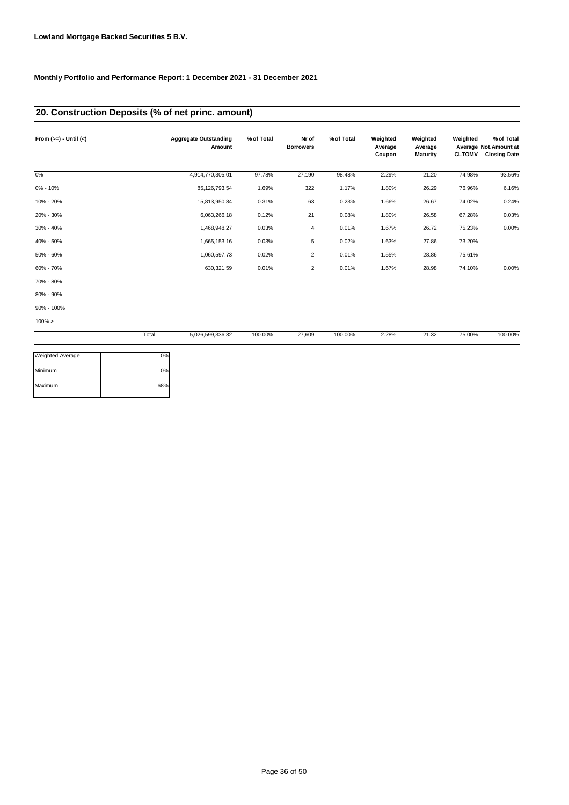# **20. Construction Deposits (% of net princ. amount)**

| From $(>=) -$ Until $(<)$ |       | <b>Aggregate Outstanding</b><br>Amount | % of Total | Nr of<br><b>Borrowers</b> | % of Total | Weighted<br>Average<br>Coupon | Weighted<br>Average<br><b>Maturity</b> | Weighted<br><b>CLTOMV</b> | % of Total<br>Average Not.Amount at<br><b>Closing Date</b> |
|---------------------------|-------|----------------------------------------|------------|---------------------------|------------|-------------------------------|----------------------------------------|---------------------------|------------------------------------------------------------|
| 0%                        |       | 4,914,770,305.01                       | 97.78%     | 27,190                    | 98.48%     | 2.29%                         | 21.20                                  | 74.98%                    | 93.56%                                                     |
| $0\% - 10\%$              |       | 85,126,793.54                          | 1.69%      | 322                       | 1.17%      | 1.80%                         | 26.29                                  | 76.96%                    | 6.16%                                                      |
| 10% - 20%                 |       | 15,813,950.84                          | 0.31%      | 63                        | 0.23%      | 1.66%                         | 26.67                                  | 74.02%                    | 0.24%                                                      |
| 20% - 30%                 |       | 6,063,266.18                           | 0.12%      | 21                        | 0.08%      | 1.80%                         | 26.58                                  | 67.28%                    | 0.03%                                                      |
| 30% - 40%                 |       | 1,468,948.27                           | 0.03%      | 4                         | 0.01%      | 1.67%                         | 26.72                                  | 75.23%                    | 0.00%                                                      |
| 40% - 50%                 |       | 1,665,153.16                           | 0.03%      | 5                         | 0.02%      | 1.63%                         | 27.86                                  | 73.20%                    |                                                            |
| 50% - 60%                 |       | 1,060,597.73                           | 0.02%      | $\overline{2}$            | 0.01%      | 1.55%                         | 28.86                                  | 75.61%                    |                                                            |
| 60% - 70%                 |       | 630,321.59                             | 0.01%      | $\overline{2}$            | 0.01%      | 1.67%                         | 28.98                                  | 74.10%                    | 0.00%                                                      |
| 70% - 80%                 |       |                                        |            |                           |            |                               |                                        |                           |                                                            |
| 80% - 90%                 |       |                                        |            |                           |            |                               |                                        |                           |                                                            |
| 90% - 100%                |       |                                        |            |                           |            |                               |                                        |                           |                                                            |
| $100\% >$                 |       |                                        |            |                           |            |                               |                                        |                           |                                                            |
|                           | Total | 5,026,599,336.32                       | 100.00%    | 27,609                    | 100.00%    | 2.28%                         | 21.32                                  | 75.00%                    | 100.00%                                                    |

| Weighted Average | 0%  |
|------------------|-----|
| Minimum          | 0%  |
| Maximum          | 68% |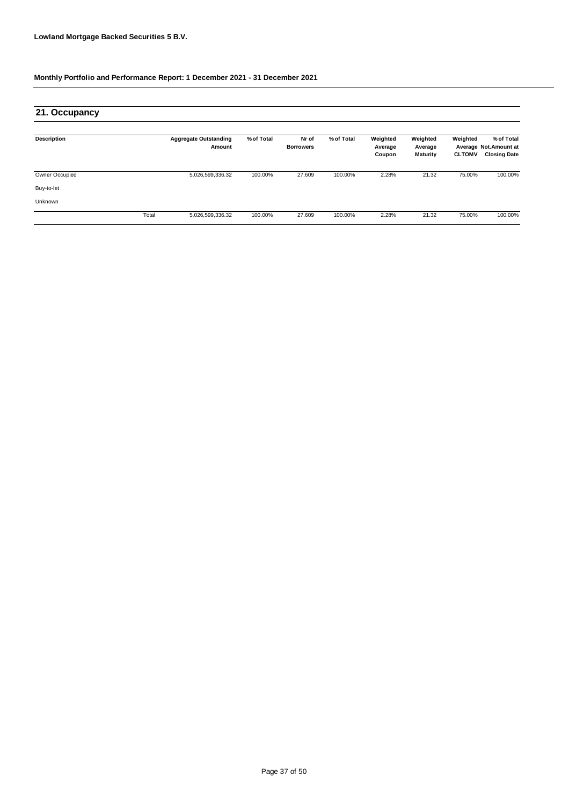| 21. Occupancy      |       |                                        |            |                           |            |                               |                                        |                           |                                                            |
|--------------------|-------|----------------------------------------|------------|---------------------------|------------|-------------------------------|----------------------------------------|---------------------------|------------------------------------------------------------|
| <b>Description</b> |       | <b>Aggregate Outstanding</b><br>Amount | % of Total | Nr of<br><b>Borrowers</b> | % of Total | Weighted<br>Average<br>Coupon | Weighted<br>Average<br><b>Maturity</b> | Weighted<br><b>CLTOMV</b> | % of Total<br>Average Not.Amount at<br><b>Closing Date</b> |
| Owner Occupied     |       | 5,026,599,336.32                       | 100.00%    | 27,609                    | 100.00%    | 2.28%                         | 21.32                                  | 75.00%                    | 100.00%                                                    |
| Buy-to-let         |       |                                        |            |                           |            |                               |                                        |                           |                                                            |
| Unknown            |       |                                        |            |                           |            |                               |                                        |                           |                                                            |
|                    | Total | 5,026,599,336.32                       | 100.00%    | 27,609                    | 100.00%    | 2.28%                         | 21.32                                  | 75.00%                    | 100.00%                                                    |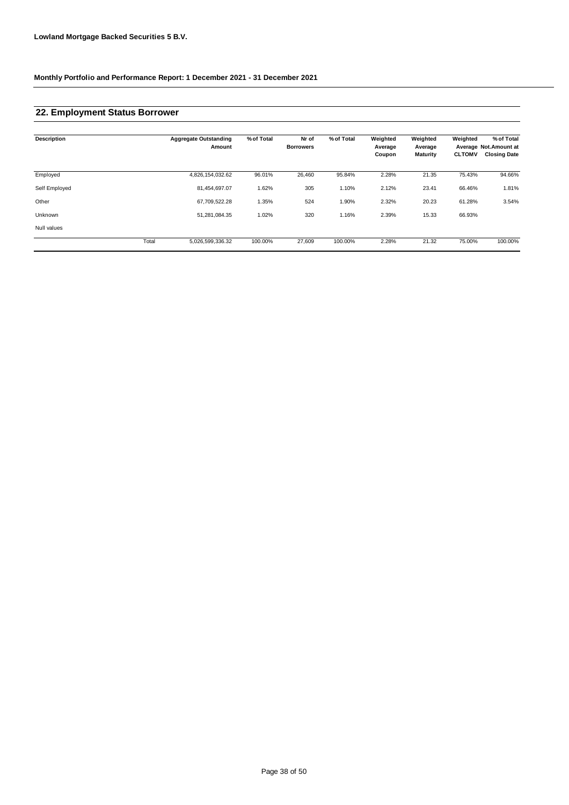### **22. Employment Status Borrower**

| <b>Description</b> |       | <b>Aggregate Outstanding</b><br>Amount | % of Total | Nr of<br><b>Borrowers</b> | % of Total | Weighted<br>Average<br>Coupon | Weighted<br>Average<br><b>Maturity</b> | Weighted<br><b>CLTOMV</b> | % of Total<br>Average Not.Amount at<br><b>Closing Date</b> |
|--------------------|-------|----------------------------------------|------------|---------------------------|------------|-------------------------------|----------------------------------------|---------------------------|------------------------------------------------------------|
| Employed           |       | 4,826,154,032.62                       | 96.01%     | 26,460                    | 95.84%     | 2.28%                         | 21.35                                  | 75.43%                    | 94.66%                                                     |
| Self Employed      |       | 81,454,697.07                          | 1.62%      | 305                       | 1.10%      | 2.12%                         | 23.41                                  | 66.46%                    | 1.81%                                                      |
| Other              |       | 67,709,522.28                          | 1.35%      | 524                       | 1.90%      | 2.32%                         | 20.23                                  | 61.28%                    | 3.54%                                                      |
| Unknown            |       | 51,281,084.35                          | 1.02%      | 320                       | 1.16%      | 2.39%                         | 15.33                                  | 66.93%                    |                                                            |
| Null values        |       |                                        |            |                           |            |                               |                                        |                           |                                                            |
|                    | Total | 5,026,599,336.32                       | 100.00%    | 27,609                    | 100.00%    | 2.28%                         | 21.32                                  | 75.00%                    | 100.00%                                                    |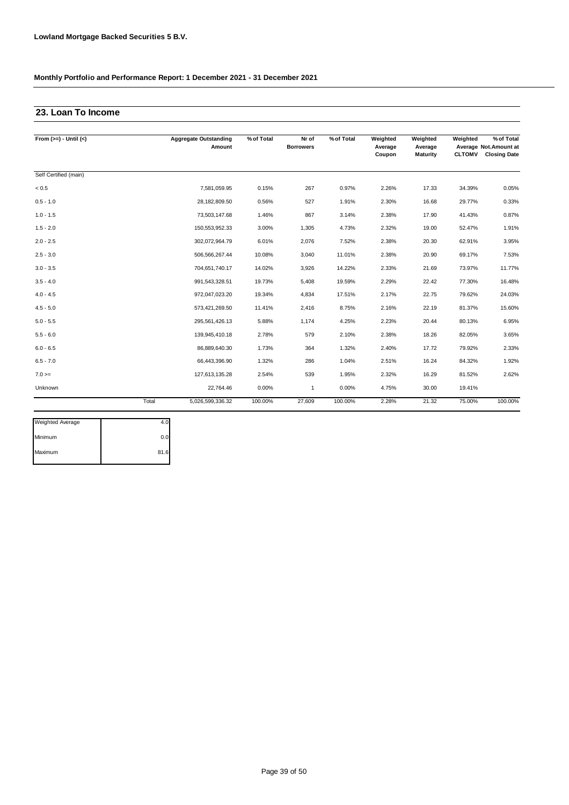### **23. Loan To Income**

| From $(>=) -$ Until $(<)$ |       | <b>Aggregate Outstanding</b><br>Amount | % of Total | Nr of<br><b>Borrowers</b> | % of Total | Weighted<br>Average<br>Coupon | Weighted<br>Average<br><b>Maturity</b> | Weighted<br><b>CLTOMV</b> | % of Total<br>Average Not.Amount at<br><b>Closing Date</b> |
|---------------------------|-------|----------------------------------------|------------|---------------------------|------------|-------------------------------|----------------------------------------|---------------------------|------------------------------------------------------------|
| Self Certified (main)     |       |                                        |            |                           |            |                               |                                        |                           |                                                            |
| < 0.5                     |       | 7,581,059.95                           | 0.15%      | 267                       | 0.97%      | 2.26%                         | 17.33                                  | 34.39%                    | 0.05%                                                      |
| $0.5 - 1.0$               |       | 28,182,809.50                          | 0.56%      | 527                       | 1.91%      | 2.30%                         | 16.68                                  | 29.77%                    | 0.33%                                                      |
| $1.0 - 1.5$               |       | 73,503,147.68                          | 1.46%      | 867                       | 3.14%      | 2.38%                         | 17.90                                  | 41.43%                    | 0.87%                                                      |
| $1.5 - 2.0$               |       | 150,553,952.33                         | 3.00%      | 1,305                     | 4.73%      | 2.32%                         | 19.00                                  | 52.47%                    | 1.91%                                                      |
| $2.0 - 2.5$               |       | 302,072,964.79                         | 6.01%      | 2,076                     | 7.52%      | 2.38%                         | 20.30                                  | 62.91%                    | 3.95%                                                      |
| $2.5 - 3.0$               |       | 506,566,267.44                         | 10.08%     | 3,040                     | 11.01%     | 2.38%                         | 20.90                                  | 69.17%                    | 7.53%                                                      |
| $3.0 - 3.5$               |       | 704,651,740.17                         | 14.02%     | 3,926                     | 14.22%     | 2.33%                         | 21.69                                  | 73.97%                    | 11.77%                                                     |
| $3.5 - 4.0$               |       | 991,543,328.51                         | 19.73%     | 5,408                     | 19.59%     | 2.29%                         | 22.42                                  | 77.30%                    | 16.48%                                                     |
| $4.0 - 4.5$               |       | 972,047,023.20                         | 19.34%     | 4,834                     | 17.51%     | 2.17%                         | 22.75                                  | 79.62%                    | 24.03%                                                     |
| $4.5 - 5.0$               |       | 573,421,269.50                         | 11.41%     | 2,416                     | 8.75%      | 2.16%                         | 22.19                                  | 81.37%                    | 15.60%                                                     |
| $5.0 - 5.5$               |       | 295,561,426.13                         | 5.88%      | 1,174                     | 4.25%      | 2.23%                         | 20.44                                  | 80.13%                    | 6.95%                                                      |
| $5.5 - 6.0$               |       | 139,945,410.18                         | 2.78%      | 579                       | 2.10%      | 2.38%                         | 18.26                                  | 82.05%                    | 3.65%                                                      |
| $6.0 - 6.5$               |       | 86,889,640.30                          | 1.73%      | 364                       | 1.32%      | 2.40%                         | 17.72                                  | 79.92%                    | 2.33%                                                      |
| $6.5 - 7.0$               |       | 66,443,396.90                          | 1.32%      | 286                       | 1.04%      | 2.51%                         | 16.24                                  | 84.32%                    | 1.92%                                                      |
| $7.0 =$                   |       | 127,613,135.28                         | 2.54%      | 539                       | 1.95%      | 2.32%                         | 16.29                                  | 81.52%                    | 2.62%                                                      |
| Unknown                   |       | 22,764.46                              | 0.00%      | $\mathbf{1}$              | 0.00%      | 4.75%                         | 30.00                                  | 19.41%                    |                                                            |
|                           | Total | 5,026,599,336.32                       | 100.00%    | 27,609                    | 100.00%    | 2.28%                         | 21.32                                  | 75.00%                    | 100.00%                                                    |

| 0.0  |
|------|
| 81.6 |
|      |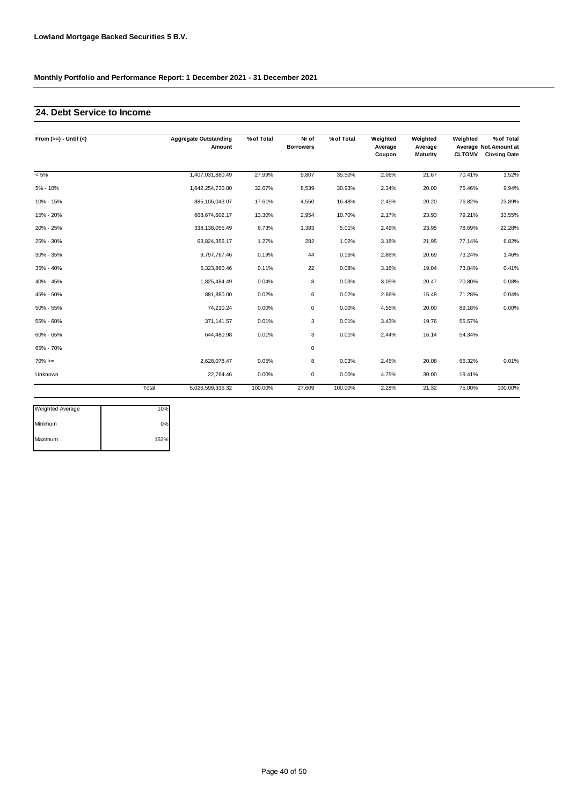### **24. Debt Service to Income**

| From $(>=) -$ Until $(<)$ |       | <b>Aggregate Outstanding</b><br>Amount | % of Total | Nr of<br><b>Borrowers</b> | % of Total | Weighted<br>Average<br>Coupon | Weighted<br>Average<br><b>Maturity</b> | Weighted<br><b>CLTOMV</b> | % of Total<br>Average Not.Amount at<br><b>Closing Date</b> |
|---------------------------|-------|----------------------------------------|------------|---------------------------|------------|-------------------------------|----------------------------------------|---------------------------|------------------------------------------------------------|
|                           |       |                                        |            |                           |            |                               |                                        |                           |                                                            |
| $< 5\%$                   |       | 1,407,031,880.49                       | 27.99%     | 9,807                     | 35.50%     | 2.06%                         | 21.67                                  | 70.41%                    | 1.52%                                                      |
| 5% - 10%                  |       | 1,642,254,730.80                       | 32.67%     | 8,539                     | 30.93%     | 2.34%                         | 20.00                                  | 75.46%                    | 9.94%                                                      |
| 10% - 15%                 |       | 885,106,043.07                         | 17.61%     | 4,550                     | 16.48%     | 2.45%                         | 20.20                                  | 76.82%                    | 23.89%                                                     |
| 15% - 20%                 |       | 668,674,602.17                         | 13.30%     | 2,954                     | 10.70%     | 2.17%                         | 23.93                                  | 79.21%                    | 33.55%                                                     |
| 20% - 25%                 |       | 338, 138, 055.49                       | 6.73%      | 1,383                     | 5.01%      | 2.49%                         | 23.95                                  | 78.69%                    | 22.28%                                                     |
| 25% - 30%                 |       | 63,824,356.17                          | 1.27%      | 282                       | 1.02%      | 3.18%                         | 21.95                                  | 77.14%                    | 6.82%                                                      |
| 30% - 35%                 |       | 9,797,767.46                           | 0.19%      | 44                        | 0.16%      | 2.86%                         | 20.69                                  | 73.24%                    | 1.46%                                                      |
| 35% - 40%                 |       | 5,323,860.46                           | 0.11%      | 22                        | 0.08%      | 3.16%                         | 19.04                                  | 73.84%                    | 0.41%                                                      |
| 40% - 45%                 |       | 1,825,484.49                           | 0.04%      | 8                         | 0.03%      | 3.05%                         | 20.47                                  | 70.80%                    | 0.08%                                                      |
| 45% - 50%                 |       | 881,880.00                             | 0.02%      | 6                         | 0.02%      | 2.66%                         | 15.48                                  | 71.28%                    | 0.04%                                                      |
| 50% - 55%                 |       | 74,210.24                              | 0.00%      | 0                         | 0.00%      | 4.55%                         | 20.00                                  | 89.18%                    | 0.00%                                                      |
| 55% - 60%                 |       | 371,141.57                             | 0.01%      | 3                         | 0.01%      | 3.43%                         | 19.76                                  | 55.57%                    |                                                            |
| 60% - 65%                 |       | 644,480.98                             | 0.01%      | 3                         | 0.01%      | 2.44%                         | 16.14                                  | 54.34%                    |                                                            |
| 65% - 70%                 |       |                                        |            | $\mathbf 0$               |            |                               |                                        |                           |                                                            |
| $70\%>=$                  |       | 2,628,078.47                           | 0.05%      | 8                         | 0.03%      | 2.45%                         | 20.08                                  | 66.32%                    | 0.01%                                                      |
| Unknown                   |       | 22,764.46                              | 0.00%      | 0                         | 0.00%      | 4.75%                         | 30.00                                  | 19.41%                    |                                                            |
|                           | Total | 5,026,599,336.32                       | 100.00%    | 27,609                    | 100.00%    | 2.28%                         | 21.32                                  | 75.00%                    | 100.00%                                                    |

| Weighted Average | 10%  |
|------------------|------|
| Minimum          | 0%   |
| Maximum          | 152% |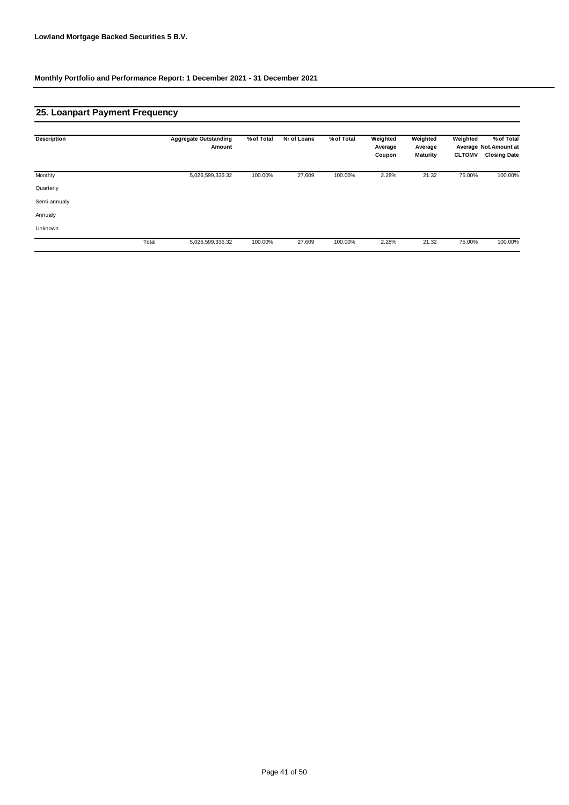# **25. Loanpart Payment Frequency**

| <b>Description</b> |       | <b>Aggregate Outstanding</b><br>Amount | % of Total | Nr of Loans | % of Total | Weighted<br>Average<br>Coupon | Weighted<br>Average<br>Maturity | Weighted<br><b>CLTOMV</b> | % of Total<br>Average Not. Amount at<br><b>Closing Date</b> |
|--------------------|-------|----------------------------------------|------------|-------------|------------|-------------------------------|---------------------------------|---------------------------|-------------------------------------------------------------|
| Monthly            |       | 5,026,599,336.32                       | 100.00%    | 27,609      | 100.00%    | 2.28%                         | 21.32                           | 75.00%                    | 100.00%                                                     |
| Quarterly          |       |                                        |            |             |            |                               |                                 |                           |                                                             |
| Semi-annualy       |       |                                        |            |             |            |                               |                                 |                           |                                                             |
| Annualy            |       |                                        |            |             |            |                               |                                 |                           |                                                             |
| Unknown            |       |                                        |            |             |            |                               |                                 |                           |                                                             |
|                    | Total | 5,026,599,336.32                       | 100.00%    | 27,609      | 100.00%    | 2.28%                         | 21.32                           | 75.00%                    | 100.00%                                                     |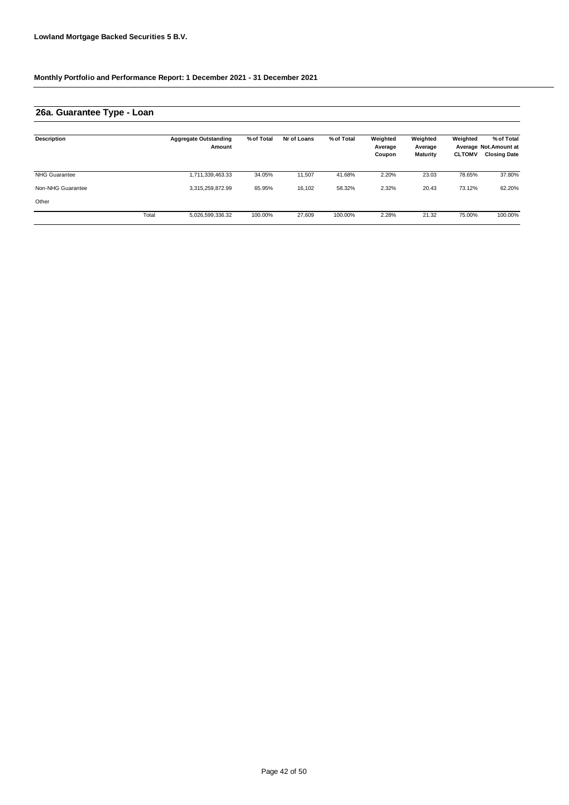# **26a. Guarantee Type - Loan**

| <b>Description</b>   |       | <b>Aggregate Outstanding</b><br>Amount | % of Total | Nr of Loans | % of Total | Weighted<br>Average<br>Coupon | Weighted<br>Average<br><b>Maturity</b> | Weighted<br><b>CLTOMV</b> | % of Total<br>Average Not.Amount at<br><b>Closing Date</b> |
|----------------------|-------|----------------------------------------|------------|-------------|------------|-------------------------------|----------------------------------------|---------------------------|------------------------------------------------------------|
| <b>NHG Guarantee</b> |       | 1,711,339,463.33                       | 34.05%     | 11,507      | 41.68%     | 2.20%                         | 23.03                                  | 78.65%                    | 37.80%                                                     |
| Non-NHG Guarantee    |       | 3,315,259,872.99                       | 65.95%     | 16.102      | 58.32%     | 2.32%                         | 20.43                                  | 73.12%                    | 62.20%                                                     |
| Other                |       |                                        |            |             |            |                               |                                        |                           |                                                            |
|                      | Total | 5,026,599,336.32                       | 100.00%    | 27.609      | 100.00%    | 2.28%                         | 21.32                                  | 75.00%                    | 100.00%                                                    |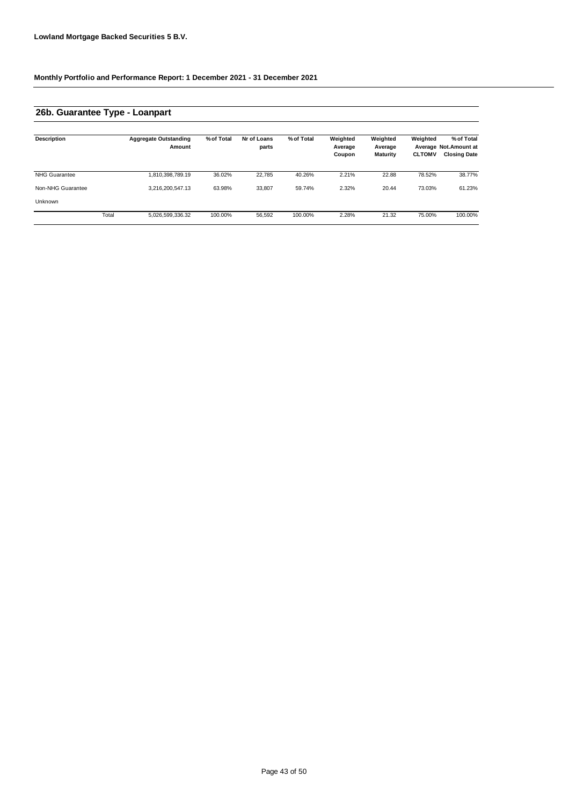# **26b. Guarantee Type - Loanpart**

| <b>Description</b>   |       | <b>Aggregate Outstanding</b><br>Amount | % of Total | Nr of Loans<br>parts | % of Total | Weighted<br>Average<br>Coupon | Weighted<br>Average<br><b>Maturity</b> | Weighted<br><b>CLTOMV</b> | % of Total<br>Average Not.Amount at<br><b>Closing Date</b> |
|----------------------|-------|----------------------------------------|------------|----------------------|------------|-------------------------------|----------------------------------------|---------------------------|------------------------------------------------------------|
| <b>NHG Guarantee</b> |       | 1,810,398,789.19                       | 36.02%     | 22.785               | 40.26%     | 2.21%                         | 22.88                                  | 78.52%                    | 38.77%                                                     |
| Non-NHG Guarantee    |       | 3,216,200,547.13                       | 63.98%     | 33,807               | 59.74%     | 2.32%                         | 20.44                                  | 73.03%                    | 61.23%                                                     |
| Unknown              |       |                                        |            |                      |            |                               |                                        |                           |                                                            |
|                      | Total | 5,026,599,336.32                       | 100.00%    | 56,592               | 100.00%    | 2.28%                         | 21.32                                  | 75.00%                    | 100.00%                                                    |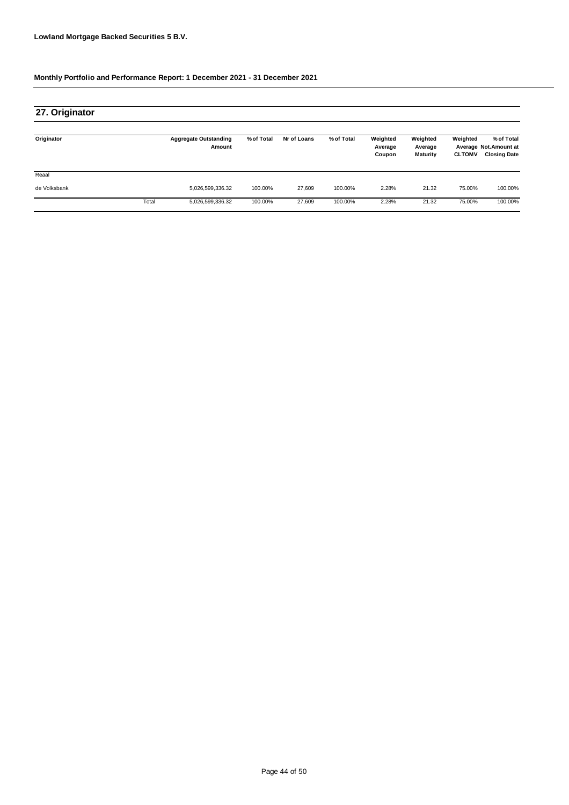| 27. Originator |       |                                        |            |             |            |                               |                                        |                           |                                                            |
|----------------|-------|----------------------------------------|------------|-------------|------------|-------------------------------|----------------------------------------|---------------------------|------------------------------------------------------------|
| Originator     |       | <b>Aggregate Outstanding</b><br>Amount | % of Total | Nr of Loans | % of Total | Weighted<br>Average<br>Coupon | Weighted<br>Average<br><b>Maturity</b> | Weighted<br><b>CLTOMV</b> | % of Total<br>Average Not.Amount at<br><b>Closing Date</b> |
| Reaal          |       |                                        |            |             |            |                               |                                        |                           |                                                            |
| de Volksbank   |       | 5,026,599,336.32                       | 100.00%    | 27,609      | 100.00%    | 2.28%                         | 21.32                                  | 75.00%                    | 100.00%                                                    |
|                | Total | 5,026,599,336.32                       | 100.00%    | 27,609      | 100.00%    | 2.28%                         | 21.32                                  | 75.00%                    | 100.00%                                                    |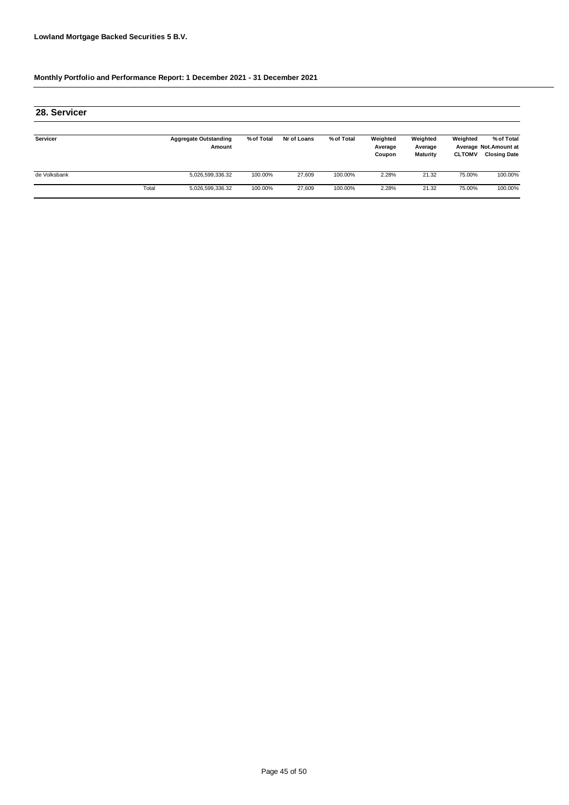| 28. Servicer |       |                                        |            |             |            |                               |                                        |                           |                                                            |
|--------------|-------|----------------------------------------|------------|-------------|------------|-------------------------------|----------------------------------------|---------------------------|------------------------------------------------------------|
| Servicer     |       | <b>Aggregate Outstanding</b><br>Amount | % of Total | Nr of Loans | % of Total | Weighted<br>Average<br>Coupon | Weighted<br>Average<br><b>Maturity</b> | Weighted<br><b>CLTOMV</b> | % of Total<br>Average Not.Amount at<br><b>Closing Date</b> |
| de Volksbank |       | 5,026,599,336.32                       | 100.00%    | 27.609      | 100.00%    | 2.28%                         | 21.32                                  | 75.00%                    | 100.00%                                                    |
|              | Total | 5,026,599,336.32                       | 100.00%    | 27.609      | 100.00%    | 2.28%                         | 21.32                                  | 75.00%                    | 100.00%                                                    |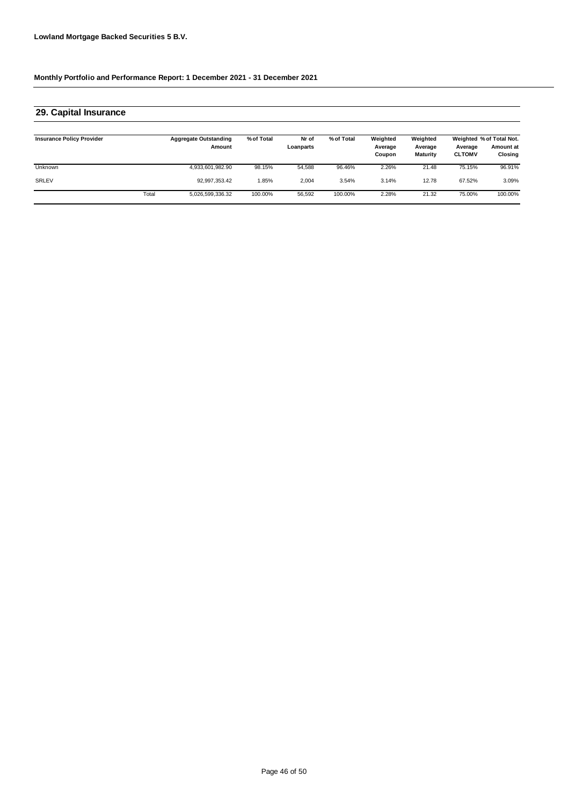### **29. Capital Insurance**

| <b>Insurance Policy Provider</b> |       | <b>Aggregate Outstanding</b><br>Amount | % of Total | Nr of<br>Loanparts | % of Total | Weighted<br>Average<br>Coupon | Weighted<br>Average<br><b>Maturity</b> | Average<br><b>CLTOMV</b> | Weighted % of Total Not.<br>Amount at<br>Closing |
|----------------------------------|-------|----------------------------------------|------------|--------------------|------------|-------------------------------|----------------------------------------|--------------------------|--------------------------------------------------|
| <b>Unknown</b>                   |       | 4,933,601,982.90                       | 98.15%     | 54.588             | 96.46%     | 2.26%                         | 21.48                                  | 75.15%                   | 96.91%                                           |
| <b>SRLEV</b>                     |       | 92,997,353.42                          | .85%       | 2.004              | 3.54%      | 3.14%                         | 12.78                                  | 67.52%                   | 3.09%                                            |
|                                  | Total | 5,026,599,336.32                       | 100.00%    | 56,592             | 100.00%    | 2.28%                         | 21.32                                  | 75.00%                   | 100.00%                                          |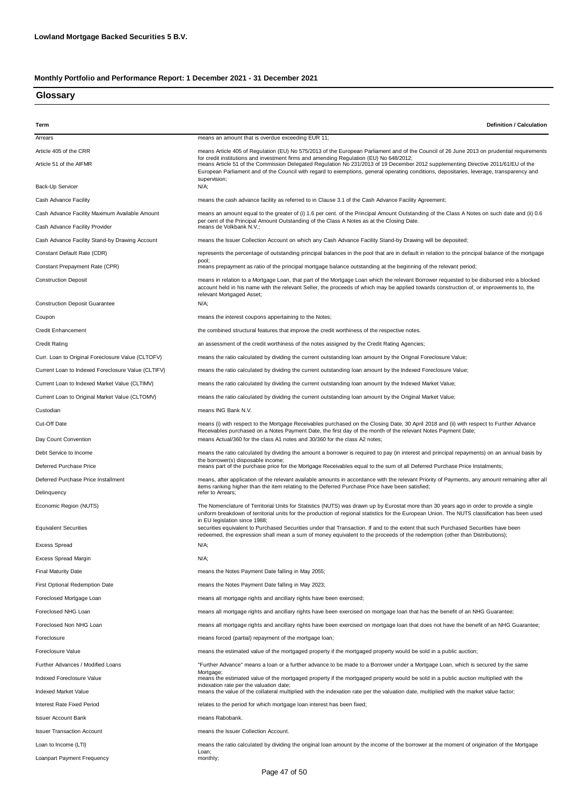#### **Glossary**

| Term                                               | <b>Definition / Calculation</b>                                                                                                                                                                                                                                                                                                                                         |
|----------------------------------------------------|-------------------------------------------------------------------------------------------------------------------------------------------------------------------------------------------------------------------------------------------------------------------------------------------------------------------------------------------------------------------------|
| Arrears                                            | means an amount that is overdue exceeding EUR 11;                                                                                                                                                                                                                                                                                                                       |
| Article 405 of the CRR                             | means Article 405 of Regulation (EU) No 575/2013 of the European Parliament and of the Council of 26 June 2013 on prudential requirements                                                                                                                                                                                                                               |
| Article 51 of the AIFMR                            | for credit institutions and investment firms and amending Regulation (EU) No 648/2012;<br>means Article 51 of the Commission Delegated Regulation No 231/2013 of 19 December 2012 supplementing Directive 2011/61/EU of the<br>European Parliament and of the Council with regard to exemptions, general operating conditions, depositaries, leverage, transparency and |
| Back-Up Servicer                                   | supervision;<br>N/A;                                                                                                                                                                                                                                                                                                                                                    |
| Cash Advance Facility                              | means the cash advance facility as referred to in Clause 3.1 of the Cash Advance Facility Agreement;                                                                                                                                                                                                                                                                    |
| Cash Advance Facility Maximum Available Amount     | means an amount equal to the greater of (i) 1.6 per cent. of the Principal Amount Outstanding of the Class A Notes on such date and (ii) 0.6                                                                                                                                                                                                                            |
| Cash Advance Facility Provider                     | per cent of the Principal Amount Outstanding of the Class A Notes as at the Closing Date.<br>means de Volkbank N.V.:                                                                                                                                                                                                                                                    |
| Cash Advance Facility Stand-by Drawing Account     | means the Issuer Collection Account on which any Cash Advance Facility Stand-by Drawing will be deposited;                                                                                                                                                                                                                                                              |
| Constant Default Rate (CDR)                        | represents the percentage of outstanding principal balances in the pool that are in default in relation to the principal balance of the mortgage                                                                                                                                                                                                                        |
| Constant Prepayment Rate (CPR)                     | pool;<br>means prepayment as ratio of the principal mortgage balance outstanding at the beginning of the relevant period;                                                                                                                                                                                                                                               |
| <b>Construction Deposit</b>                        | means in relation to a Mortgage Loan, that part of the Mortgage Loan which the relevant Borrower requested to be disbursed into a blocked<br>account held in his name with the relevant Seller, the proceeds of which may be applied towards construction of, or improvements to, the<br>relevant Mortgaged Asset;                                                      |
| <b>Construction Deposit Guarantee</b>              | N/A;                                                                                                                                                                                                                                                                                                                                                                    |
| Coupon                                             | means the interest coupons appertaining to the Notes;                                                                                                                                                                                                                                                                                                                   |
| <b>Credit Enhancement</b>                          | the combined structural features that improve the credit worthiness of the respective notes.                                                                                                                                                                                                                                                                            |
| <b>Credit Rating</b>                               | an assessment of the credit worthiness of the notes assigned by the Credit Rating Agencies;                                                                                                                                                                                                                                                                             |
| Curr. Loan to Original Foreclosure Value (CLTOFV)  | means the ratio calculated by dividing the current outstanding loan amount by the Orignal Foreclosure Value;                                                                                                                                                                                                                                                            |
| Current Loan to Indexed Foreclosure Value (CLTIFV) | means the ratio calculated by dividing the current outstanding loan amount by the Indexed Foreclosure Value;                                                                                                                                                                                                                                                            |
| Current Loan to Indexed Market Value (CLTIMV)      | means the ratio calculated by dividing the current outstanding loan amount by the Indexed Market Value;                                                                                                                                                                                                                                                                 |
| Current Loan to Original Market Value (CLTOMV)     | means the ratio calculated by dividing the current outstanding loan amount by the Original Market Value;                                                                                                                                                                                                                                                                |
| Custodian                                          | means ING Bank N.V.                                                                                                                                                                                                                                                                                                                                                     |
| Cut-Off Date                                       | means (i) with respect to the Mortgage Receivables purchased on the Closing Date, 30 April 2018 and (ii) with respect to Further Advance<br>Receivables purchased on a Notes Payment Date, the first day of the month of the relevant Notes Payment Date;                                                                                                               |
| Day Count Convention                               | means Actual/360 for the class A1 notes and 30/360 for the class A2 notes;                                                                                                                                                                                                                                                                                              |
| Debt Service to Income                             | means the ratio calculated by dividing the amount a borrower is required to pay (in interest and principal repayments) on an annual basis by<br>the borrower(s) disposable income;                                                                                                                                                                                      |
| Deferred Purchase Price                            | means part of the purchase price for the Mortgage Receivables equal to the sum of all Deferred Purchase Price Instalments;                                                                                                                                                                                                                                              |
| Deferred Purchase Price Installment<br>Delinquency | means, after application of the relevant available amounts in accordance with the relevant Priority of Payments, any amount remaining after all<br>items ranking higher than the item relating to the Deferred Purchase Price have been satisfied;<br>refer to Arrears;                                                                                                 |
| Economic Region (NUTS)                             | The Nomenclature of Territorial Units for Statistics (NUTS) was drawn up by Eurostat more than 30 years ago in order to provide a single<br>uniform breakdown of territorial units for the production of regional statistics for the European Union. The NUTS classification has been used                                                                              |
| <b>Equivalent Securities</b>                       | in EU legislation since 1988;<br>securities equivalent to Purchased Securities under that Transaction. If and to the extent that such Purchased Securities have been<br>redeemed, the expression shall mean a sum of money equivalent to the proceeds of the redemption (other than Distributions);                                                                     |
| <b>Excess Spread</b>                               | N/A;                                                                                                                                                                                                                                                                                                                                                                    |
| Excess Spread Margin                               | N/A;                                                                                                                                                                                                                                                                                                                                                                    |
| <b>Final Maturity Date</b>                         | means the Notes Payment Date falling in May 2055;                                                                                                                                                                                                                                                                                                                       |
| <b>First Optional Redemption Date</b>              | means the Notes Payment Date falling in May 2023;                                                                                                                                                                                                                                                                                                                       |
| Foreclosed Mortgage Loan                           | means all mortgage rights and ancillary rights have been exercised;                                                                                                                                                                                                                                                                                                     |
| Foreclosed NHG Loan                                | means all mortgage rights and ancillary rights have been exercised on mortgage loan that has the benefit of an NHG Guarantee;                                                                                                                                                                                                                                           |
| Foreclosed Non NHG Loan                            | means all mortgage rights and ancillary rights have been exercised on mortgage loan that does not have the benefit of an NHG Guarantee;                                                                                                                                                                                                                                 |
| Foreclosure                                        | means forced (partial) repayment of the mortgage loan;                                                                                                                                                                                                                                                                                                                  |
| Foreclosure Value                                  | means the estimated value of the mortgaged property if the mortgaged property would be sold in a public auction;                                                                                                                                                                                                                                                        |
| Further Advances / Modified Loans                  | "Further Advance" means a loan or a further advance to be made to a Borrower under a Mortgage Loan, which is secured by the same                                                                                                                                                                                                                                        |
| Indexed Foreclosure Value                          | Mortgage;<br>means the estimated value of the mortgaged property if the mortgaged property would be sold in a public auction multiplied with the                                                                                                                                                                                                                        |
| Indexed Market Value                               | indexation rate per the valuation date;<br>means the value of the collateral multiplied with the indexation rate per the valuation date, multiplied with the market value factor;                                                                                                                                                                                       |
| <b>Interest Rate Fixed Period</b>                  | relates to the period for which mortgage loan interest has been fixed;                                                                                                                                                                                                                                                                                                  |
| <b>Issuer Account Bank</b>                         | means Rabobank.                                                                                                                                                                                                                                                                                                                                                         |
| <b>Issuer Transaction Account</b>                  | means the Issuer Collection Account.                                                                                                                                                                                                                                                                                                                                    |
| Loan to Income (LTI)                               | means the ratio calculated by dividing the original loan amount by the income of the borrower at the moment of origination of the Mortgage                                                                                                                                                                                                                              |
| Loanpart Payment Frequency                         | Loan;<br>monthly;                                                                                                                                                                                                                                                                                                                                                       |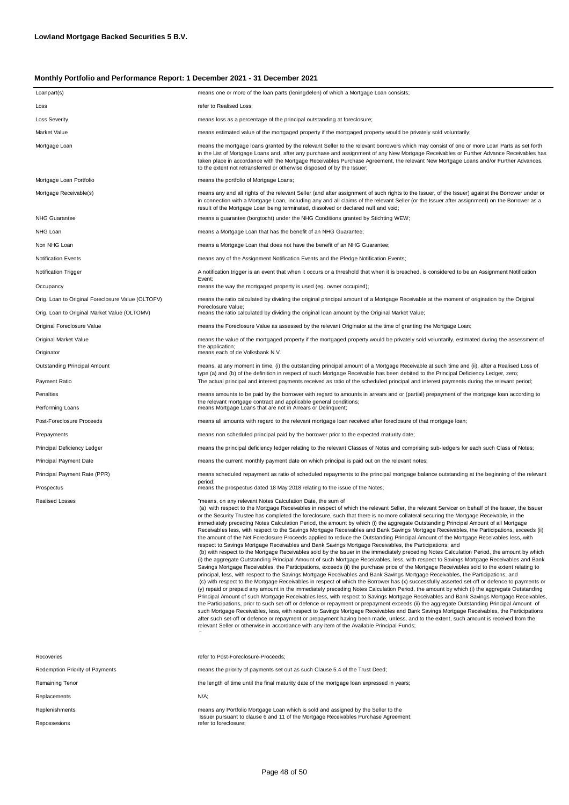| Loanpart(s)                                       | means one or more of the loan parts (leningdelen) of which a Mortgage Loan consists;                                                                                                                                                                                                                                                                                                                                                                                                                                                                                                                                                                                                                                                                                                                                                                                                                                                                                                                                                                                                                                                                                                                                                                                                                                                                                                                                                                                                                                                                                                                                                                                                                                                                                                                                                                                                                                                                                                                                                                                                                                                                                                                                                                                                                                                                                                                                                                 |
|---------------------------------------------------|------------------------------------------------------------------------------------------------------------------------------------------------------------------------------------------------------------------------------------------------------------------------------------------------------------------------------------------------------------------------------------------------------------------------------------------------------------------------------------------------------------------------------------------------------------------------------------------------------------------------------------------------------------------------------------------------------------------------------------------------------------------------------------------------------------------------------------------------------------------------------------------------------------------------------------------------------------------------------------------------------------------------------------------------------------------------------------------------------------------------------------------------------------------------------------------------------------------------------------------------------------------------------------------------------------------------------------------------------------------------------------------------------------------------------------------------------------------------------------------------------------------------------------------------------------------------------------------------------------------------------------------------------------------------------------------------------------------------------------------------------------------------------------------------------------------------------------------------------------------------------------------------------------------------------------------------------------------------------------------------------------------------------------------------------------------------------------------------------------------------------------------------------------------------------------------------------------------------------------------------------------------------------------------------------------------------------------------------------------------------------------------------------------------------------------------------------|
| Loss                                              | refer to Realised Loss;                                                                                                                                                                                                                                                                                                                                                                                                                                                                                                                                                                                                                                                                                                                                                                                                                                                                                                                                                                                                                                                                                                                                                                                                                                                                                                                                                                                                                                                                                                                                                                                                                                                                                                                                                                                                                                                                                                                                                                                                                                                                                                                                                                                                                                                                                                                                                                                                                              |
| <b>Loss Severity</b>                              | means loss as a percentage of the principal outstanding at foreclosure;                                                                                                                                                                                                                                                                                                                                                                                                                                                                                                                                                                                                                                                                                                                                                                                                                                                                                                                                                                                                                                                                                                                                                                                                                                                                                                                                                                                                                                                                                                                                                                                                                                                                                                                                                                                                                                                                                                                                                                                                                                                                                                                                                                                                                                                                                                                                                                              |
| Market Value                                      | means estimated value of the mortgaged property if the mortgaged property would be privately sold voluntarily;                                                                                                                                                                                                                                                                                                                                                                                                                                                                                                                                                                                                                                                                                                                                                                                                                                                                                                                                                                                                                                                                                                                                                                                                                                                                                                                                                                                                                                                                                                                                                                                                                                                                                                                                                                                                                                                                                                                                                                                                                                                                                                                                                                                                                                                                                                                                       |
| Mortgage Loan                                     | means the mortgage loans granted by the relevant Seller to the relevant borrowers which may consist of one or more Loan Parts as set forth<br>in the List of Mortgage Loans and, after any purchase and assignment of any New Mortgage Receivables or Further Advance Receivables has<br>taken place in accordance with the Mortgage Receivables Purchase Agreement, the relevant New Mortgage Loans and/or Further Advances,<br>to the extent not retransferred or otherwise disposed of by the Issuer;                                                                                                                                                                                                                                                                                                                                                                                                                                                                                                                                                                                                                                                                                                                                                                                                                                                                                                                                                                                                                                                                                                                                                                                                                                                                                                                                                                                                                                                                                                                                                                                                                                                                                                                                                                                                                                                                                                                                             |
| Mortgage Loan Portfolio                           | means the portfolio of Mortgage Loans;                                                                                                                                                                                                                                                                                                                                                                                                                                                                                                                                                                                                                                                                                                                                                                                                                                                                                                                                                                                                                                                                                                                                                                                                                                                                                                                                                                                                                                                                                                                                                                                                                                                                                                                                                                                                                                                                                                                                                                                                                                                                                                                                                                                                                                                                                                                                                                                                               |
| Mortgage Receivable(s)                            | means any and all rights of the relevant Seller (and after assignment of such rights to the Issuer, of the Issuer) against the Borrower under or<br>in connection with a Mortgage Loan, including any and all claims of the relevant Seller (or the Issuer after assignment) on the Borrower as a<br>result of the Mortgage Loan being terminated, dissolved or declared null and void;                                                                                                                                                                                                                                                                                                                                                                                                                                                                                                                                                                                                                                                                                                                                                                                                                                                                                                                                                                                                                                                                                                                                                                                                                                                                                                                                                                                                                                                                                                                                                                                                                                                                                                                                                                                                                                                                                                                                                                                                                                                              |
| <b>NHG Guarantee</b>                              | means a guarantee (borgtocht) under the NHG Conditions granted by Stichting WEW;                                                                                                                                                                                                                                                                                                                                                                                                                                                                                                                                                                                                                                                                                                                                                                                                                                                                                                                                                                                                                                                                                                                                                                                                                                                                                                                                                                                                                                                                                                                                                                                                                                                                                                                                                                                                                                                                                                                                                                                                                                                                                                                                                                                                                                                                                                                                                                     |
| NHG Loan                                          | means a Mortgage Loan that has the benefit of an NHG Guarantee;                                                                                                                                                                                                                                                                                                                                                                                                                                                                                                                                                                                                                                                                                                                                                                                                                                                                                                                                                                                                                                                                                                                                                                                                                                                                                                                                                                                                                                                                                                                                                                                                                                                                                                                                                                                                                                                                                                                                                                                                                                                                                                                                                                                                                                                                                                                                                                                      |
| Non NHG Loan                                      | means a Mortgage Loan that does not have the benefit of an NHG Guarantee;                                                                                                                                                                                                                                                                                                                                                                                                                                                                                                                                                                                                                                                                                                                                                                                                                                                                                                                                                                                                                                                                                                                                                                                                                                                                                                                                                                                                                                                                                                                                                                                                                                                                                                                                                                                                                                                                                                                                                                                                                                                                                                                                                                                                                                                                                                                                                                            |
| <b>Notification Events</b>                        | means any of the Assignment Notification Events and the Pledge Notification Events;                                                                                                                                                                                                                                                                                                                                                                                                                                                                                                                                                                                                                                                                                                                                                                                                                                                                                                                                                                                                                                                                                                                                                                                                                                                                                                                                                                                                                                                                                                                                                                                                                                                                                                                                                                                                                                                                                                                                                                                                                                                                                                                                                                                                                                                                                                                                                                  |
| Notification Trigger                              | A notification trigger is an event that when it occurs or a threshold that when it is breached, is considered to be an Assignment Notification<br>Event;                                                                                                                                                                                                                                                                                                                                                                                                                                                                                                                                                                                                                                                                                                                                                                                                                                                                                                                                                                                                                                                                                                                                                                                                                                                                                                                                                                                                                                                                                                                                                                                                                                                                                                                                                                                                                                                                                                                                                                                                                                                                                                                                                                                                                                                                                             |
| Occupancy                                         | means the way the mortgaged property is used (eg. owner occupied);                                                                                                                                                                                                                                                                                                                                                                                                                                                                                                                                                                                                                                                                                                                                                                                                                                                                                                                                                                                                                                                                                                                                                                                                                                                                                                                                                                                                                                                                                                                                                                                                                                                                                                                                                                                                                                                                                                                                                                                                                                                                                                                                                                                                                                                                                                                                                                                   |
| Orig. Loan to Original Foreclosure Value (OLTOFV) | means the ratio calculated by dividing the original principal amount of a Mortgage Receivable at the moment of origination by the Original<br>Foreclosure Value;                                                                                                                                                                                                                                                                                                                                                                                                                                                                                                                                                                                                                                                                                                                                                                                                                                                                                                                                                                                                                                                                                                                                                                                                                                                                                                                                                                                                                                                                                                                                                                                                                                                                                                                                                                                                                                                                                                                                                                                                                                                                                                                                                                                                                                                                                     |
| Orig. Loan to Original Market Value (OLTOMV)      | means the ratio calculated by dividing the original loan amount by the Original Market Value;                                                                                                                                                                                                                                                                                                                                                                                                                                                                                                                                                                                                                                                                                                                                                                                                                                                                                                                                                                                                                                                                                                                                                                                                                                                                                                                                                                                                                                                                                                                                                                                                                                                                                                                                                                                                                                                                                                                                                                                                                                                                                                                                                                                                                                                                                                                                                        |
| Original Foreclosure Value                        | means the Foreclosure Value as assessed by the relevant Originator at the time of granting the Mortgage Loan;                                                                                                                                                                                                                                                                                                                                                                                                                                                                                                                                                                                                                                                                                                                                                                                                                                                                                                                                                                                                                                                                                                                                                                                                                                                                                                                                                                                                                                                                                                                                                                                                                                                                                                                                                                                                                                                                                                                                                                                                                                                                                                                                                                                                                                                                                                                                        |
| Original Market Value                             | means the value of the mortgaged property if the mortgaged property would be privately sold voluntarily, estimated during the assessment of<br>the application;                                                                                                                                                                                                                                                                                                                                                                                                                                                                                                                                                                                                                                                                                                                                                                                                                                                                                                                                                                                                                                                                                                                                                                                                                                                                                                                                                                                                                                                                                                                                                                                                                                                                                                                                                                                                                                                                                                                                                                                                                                                                                                                                                                                                                                                                                      |
| Originator                                        | means each of de Volksbank N.V.                                                                                                                                                                                                                                                                                                                                                                                                                                                                                                                                                                                                                                                                                                                                                                                                                                                                                                                                                                                                                                                                                                                                                                                                                                                                                                                                                                                                                                                                                                                                                                                                                                                                                                                                                                                                                                                                                                                                                                                                                                                                                                                                                                                                                                                                                                                                                                                                                      |
| Outstanding Principal Amount<br>Payment Ratio     | means, at any moment in time, (i) the outstanding principal amount of a Mortgage Receivable at such time and (ii), after a Realised Loss of<br>type (a) and (b) of the definition in respect of such Mortgage Receivable has been debited to the Principal Deficiency Ledger, zero;<br>The actual principal and interest payments received as ratio of the scheduled principal and interest payments during the relevant period;                                                                                                                                                                                                                                                                                                                                                                                                                                                                                                                                                                                                                                                                                                                                                                                                                                                                                                                                                                                                                                                                                                                                                                                                                                                                                                                                                                                                                                                                                                                                                                                                                                                                                                                                                                                                                                                                                                                                                                                                                     |
|                                                   |                                                                                                                                                                                                                                                                                                                                                                                                                                                                                                                                                                                                                                                                                                                                                                                                                                                                                                                                                                                                                                                                                                                                                                                                                                                                                                                                                                                                                                                                                                                                                                                                                                                                                                                                                                                                                                                                                                                                                                                                                                                                                                                                                                                                                                                                                                                                                                                                                                                      |
| Penalties<br>Performing Loans                     | means amounts to be paid by the borrower with regard to amounts in arrears and or (partial) prepayment of the mortgage loan according to<br>the relevant mortgage contract and applicable general conditions;<br>means Mortgage Loans that are not in Arrears or Delinquent;                                                                                                                                                                                                                                                                                                                                                                                                                                                                                                                                                                                                                                                                                                                                                                                                                                                                                                                                                                                                                                                                                                                                                                                                                                                                                                                                                                                                                                                                                                                                                                                                                                                                                                                                                                                                                                                                                                                                                                                                                                                                                                                                                                         |
| Post-Foreclosure Proceeds                         | means all amounts with regard to the relevant mortgage loan received after foreclosure of that mortgage loan;                                                                                                                                                                                                                                                                                                                                                                                                                                                                                                                                                                                                                                                                                                                                                                                                                                                                                                                                                                                                                                                                                                                                                                                                                                                                                                                                                                                                                                                                                                                                                                                                                                                                                                                                                                                                                                                                                                                                                                                                                                                                                                                                                                                                                                                                                                                                        |
| Prepayments                                       | means non scheduled principal paid by the borrower prior to the expected maturity date;                                                                                                                                                                                                                                                                                                                                                                                                                                                                                                                                                                                                                                                                                                                                                                                                                                                                                                                                                                                                                                                                                                                                                                                                                                                                                                                                                                                                                                                                                                                                                                                                                                                                                                                                                                                                                                                                                                                                                                                                                                                                                                                                                                                                                                                                                                                                                              |
| Principal Deficiency Ledger                       | means the principal deficiency ledger relating to the relevant Classes of Notes and comprising sub-ledgers for each such Class of Notes;                                                                                                                                                                                                                                                                                                                                                                                                                                                                                                                                                                                                                                                                                                                                                                                                                                                                                                                                                                                                                                                                                                                                                                                                                                                                                                                                                                                                                                                                                                                                                                                                                                                                                                                                                                                                                                                                                                                                                                                                                                                                                                                                                                                                                                                                                                             |
| Principal Payment Date                            | means the current monthly payment date on which principal is paid out on the relevant notes;                                                                                                                                                                                                                                                                                                                                                                                                                                                                                                                                                                                                                                                                                                                                                                                                                                                                                                                                                                                                                                                                                                                                                                                                                                                                                                                                                                                                                                                                                                                                                                                                                                                                                                                                                                                                                                                                                                                                                                                                                                                                                                                                                                                                                                                                                                                                                         |
| Principal Payment Rate (PPR)                      | means scheduled repayment as ratio of scheduled repayments to the principal mortgage balance outstanding at the beginning of the relevant                                                                                                                                                                                                                                                                                                                                                                                                                                                                                                                                                                                                                                                                                                                                                                                                                                                                                                                                                                                                                                                                                                                                                                                                                                                                                                                                                                                                                                                                                                                                                                                                                                                                                                                                                                                                                                                                                                                                                                                                                                                                                                                                                                                                                                                                                                            |
| Prospectus                                        | period;<br>means the prospectus dated 18 May 2018 relating to the issue of the Notes;                                                                                                                                                                                                                                                                                                                                                                                                                                                                                                                                                                                                                                                                                                                                                                                                                                                                                                                                                                                                                                                                                                                                                                                                                                                                                                                                                                                                                                                                                                                                                                                                                                                                                                                                                                                                                                                                                                                                                                                                                                                                                                                                                                                                                                                                                                                                                                |
| <b>Realised Losses</b>                            | "means, on any relevant Notes Calculation Date, the sum of<br>(a) with respect to the Mortgage Receivables in respect of which the relevant Seller, the relevant Servicer on behalf of the Issuer, the Issuer<br>or the Security Trustee has completed the foreclosure, such that there is no more collateral securing the Mortgage Receivable, in the<br>immediately preceding Notes Calculation Period, the amount by which (i) the aggregate Outstanding Principal Amount of all Mortgage<br>Receivables less, with respect to the Savings Mortgage Receivables and Bank Savings Mortgage Receivables, the Participations, exceeds (ii)<br>the amount of the Net Foreclosure Proceeds applied to reduce the Outstanding Principal Amount of the Mortgage Receivables less, with<br>respect to Savings Mortgage Receivables and Bank Savings Mortgage Receivables, the Participations; and<br>(b) with respect to the Mortgage Receivables sold by the Issuer in the immediately preceding Notes Calculation Period, the amount by which<br>(i) the aggregate Outstanding Principal Amount of such Mortgage Receivables, less, with respect to Savings Mortgage Receivables and Bank<br>Savings Mortgage Receivables, the Participations, exceeds (ii) the purchase price of the Mortgage Receivables sold to the extent relating to<br>principal, less, with respect to the Savings Mortgage Receivables and Bank Savings Mortgage Receivables, the Participations; and<br>(c) with respect to the Mortgage Receivables in respect of which the Borrower has (x) successfully asserted set-off or defence to payments or<br>(y) repaid or prepaid any amount in the immediately preceding Notes Calculation Period, the amount by which (i) the aggregate Outstanding<br>Principal Amount of such Mortgage Receivables less, with respect to Savings Mortgage Receivables and Bank Savings Mortgage Receivables,<br>the Participations, prior to such set-off or defence or repayment or prepayment exceeds (ii) the aggregate Outstanding Principal Amount of<br>such Mortgage Receivables, less, with respect to Savings Mortgage Receivables and Bank Savings Mortgage Receivables, the Participations<br>after such set-off or defence or repayment or prepayment having been made, unless, and to the extent, such amount is received from the<br>relevant Seller or otherwise in accordance with any item of the Available Principal Funds; |
| Recoveries                                        | refer to Post-Foreclosure-Proceeds;                                                                                                                                                                                                                                                                                                                                                                                                                                                                                                                                                                                                                                                                                                                                                                                                                                                                                                                                                                                                                                                                                                                                                                                                                                                                                                                                                                                                                                                                                                                                                                                                                                                                                                                                                                                                                                                                                                                                                                                                                                                                                                                                                                                                                                                                                                                                                                                                                  |
| <b>Redemption Priority of Payments</b>            | means the priority of payments set out as such Clause 5.4 of the Trust Deed;                                                                                                                                                                                                                                                                                                                                                                                                                                                                                                                                                                                                                                                                                                                                                                                                                                                                                                                                                                                                                                                                                                                                                                                                                                                                                                                                                                                                                                                                                                                                                                                                                                                                                                                                                                                                                                                                                                                                                                                                                                                                                                                                                                                                                                                                                                                                                                         |
| Remaining Tenor                                   | the length of time until the final maturity date of the mortgage loan expressed in years;                                                                                                                                                                                                                                                                                                                                                                                                                                                                                                                                                                                                                                                                                                                                                                                                                                                                                                                                                                                                                                                                                                                                                                                                                                                                                                                                                                                                                                                                                                                                                                                                                                                                                                                                                                                                                                                                                                                                                                                                                                                                                                                                                                                                                                                                                                                                                            |
|                                                   |                                                                                                                                                                                                                                                                                                                                                                                                                                                                                                                                                                                                                                                                                                                                                                                                                                                                                                                                                                                                                                                                                                                                                                                                                                                                                                                                                                                                                                                                                                                                                                                                                                                                                                                                                                                                                                                                                                                                                                                                                                                                                                                                                                                                                                                                                                                                                                                                                                                      |

N/A;

Replacements Replenishments Repossesions

means any Portfolio Mortgage Loan which is sold and assigned by the Seller to the Issuer pursuant to clause 6 and 11 of the Mortgage Receivables Purchase Agreement; refer to foreclosure;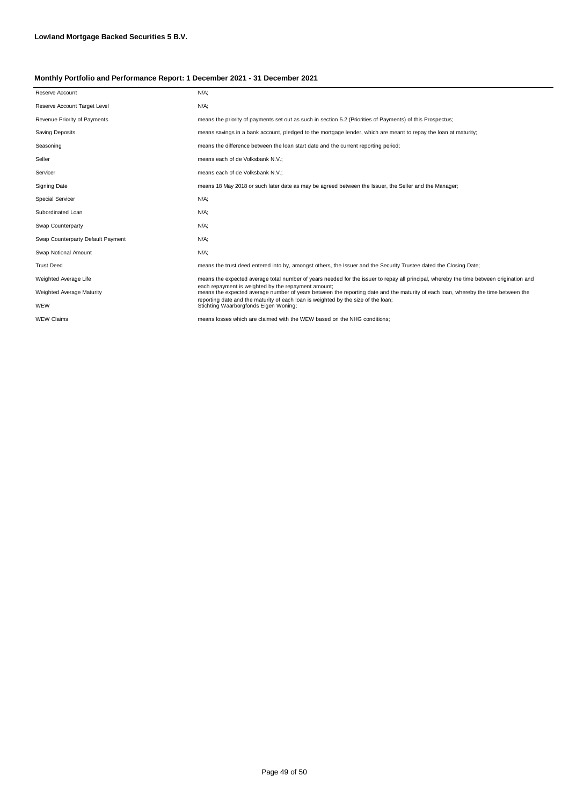| Reserve Account                   | $N/A$ ;                                                                                                                                                                                        |
|-----------------------------------|------------------------------------------------------------------------------------------------------------------------------------------------------------------------------------------------|
| Reserve Account Target Level      | $N/A$ ;                                                                                                                                                                                        |
| Revenue Priority of Payments      | means the priority of payments set out as such in section 5.2 (Priorities of Payments) of this Prospectus;                                                                                     |
| Saving Deposits                   | means savings in a bank account, pledged to the mortgage lender, which are meant to repay the loan at maturity;                                                                                |
| Seasoning                         | means the difference between the loan start date and the current reporting period;                                                                                                             |
| Seller                            | means each of de Volksbank N.V.;                                                                                                                                                               |
| Servicer                          | means each of de Volksbank N.V.;                                                                                                                                                               |
| <b>Signing Date</b>               | means 18 May 2018 or such later date as may be agreed between the Issuer, the Seller and the Manager;                                                                                          |
| <b>Special Servicer</b>           | $N/A$ ;                                                                                                                                                                                        |
| Subordinated Loan                 | $N/A$ ;                                                                                                                                                                                        |
| Swap Counterparty                 | $N/A$ ;                                                                                                                                                                                        |
| Swap Counterparty Default Payment | $N/A$ ;                                                                                                                                                                                        |
| Swap Notional Amount              | $N/A$ ;                                                                                                                                                                                        |
| <b>Trust Deed</b>                 | means the trust deed entered into by, amongst others, the Issuer and the Security Trustee dated the Closing Date;                                                                              |
| Weighted Average Life             | means the expected average total number of years needed for the issuer to repay all principal, whereby the time between origination and<br>each repayment is weighted by the repayment amount: |
| Weighted Average Maturity         | means the expected average number of years between the reporting date and the maturity of each loan, whereby the time between the                                                              |
| WEW                               | reporting date and the maturity of each loan is weighted by the size of the loan;<br>Stichting Waarborgfonds Eigen Woning;                                                                     |
| <b>WEW Claims</b>                 | means losses which are claimed with the WEW based on the NHG conditions;                                                                                                                       |